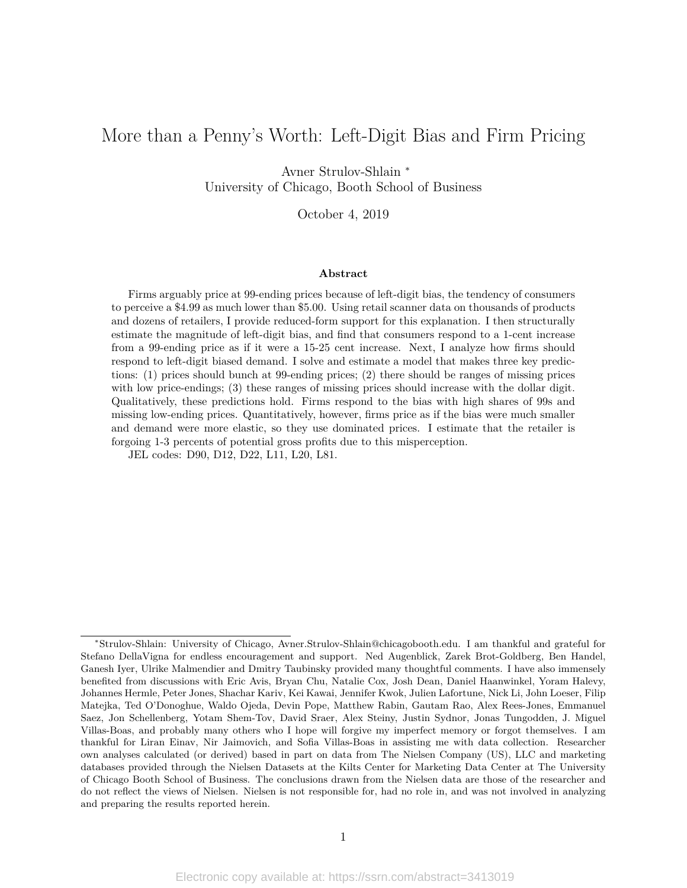## More than a Penny's Worth: Left-Digit Bias and Firm Pricing

Avner Strulov-Shlain <sup>∗</sup> University of Chicago, Booth School of Business

October 4, 2019

#### **Abstract**

Firms arguably price at 99-ending prices because of left-digit bias, the tendency of consumers to perceive a \$4.99 as much lower than \$5.00. Using retail scanner data on thousands of products and dozens of retailers, I provide reduced-form support for this explanation. I then structurally estimate the magnitude of left-digit bias, and find that consumers respond to a 1-cent increase from a 99-ending price as if it were a 15-25 cent increase. Next, I analyze how firms should respond to left-digit biased demand. I solve and estimate a model that makes three key predictions: (1) prices should bunch at 99-ending prices; (2) there should be ranges of missing prices with low price-endings; (3) these ranges of missing prices should increase with the dollar digit. Qualitatively, these predictions hold. Firms respond to the bias with high shares of 99s and missing low-ending prices. Quantitatively, however, firms price as if the bias were much smaller and demand were more elastic, so they use dominated prices. I estimate that the retailer is forgoing 1-3 percents of potential gross profits due to this misperception.

JEL codes: D90, D12, D22, L11, L20, L81.

<sup>∗</sup>Strulov-Shlain: University of Chicago, Avner.Strulov-Shlain@chicagobooth.edu. I am thankful and grateful for Stefano DellaVigna for endless encouragement and support. Ned Augenblick, Zarek Brot-Goldberg, Ben Handel, Ganesh Iyer, Ulrike Malmendier and Dmitry Taubinsky provided many thoughtful comments. I have also immensely benefited from discussions with Eric Avis, Bryan Chu, Natalie Cox, Josh Dean, Daniel Haanwinkel, Yoram Halevy, Johannes Hermle, Peter Jones, Shachar Kariv, Kei Kawai, Jennifer Kwok, Julien Lafortune, Nick Li, John Loeser, Filip Matejka, Ted O'Donoghue, Waldo Ojeda, Devin Pope, Matthew Rabin, Gautam Rao, Alex Rees-Jones, Emmanuel Saez, Jon Schellenberg, Yotam Shem-Tov, David Sraer, Alex Steiny, Justin Sydnor, Jonas Tungodden, J. Miguel Villas-Boas, and probably many others who I hope will forgive my imperfect memory or forgot themselves. I am thankful for Liran Einav, Nir Jaimovich, and Sofia Villas-Boas in assisting me with data collection. Researcher own analyses calculated (or derived) based in part on data from The Nielsen Company (US), LLC and marketing databases provided through the Nielsen Datasets at the Kilts Center for Marketing Data Center at The University of Chicago Booth School of Business. The conclusions drawn from the Nielsen data are those of the researcher and do not reflect the views of Nielsen. Nielsen is not responsible for, had no role in, and was not involved in analyzing and preparing the results reported herein.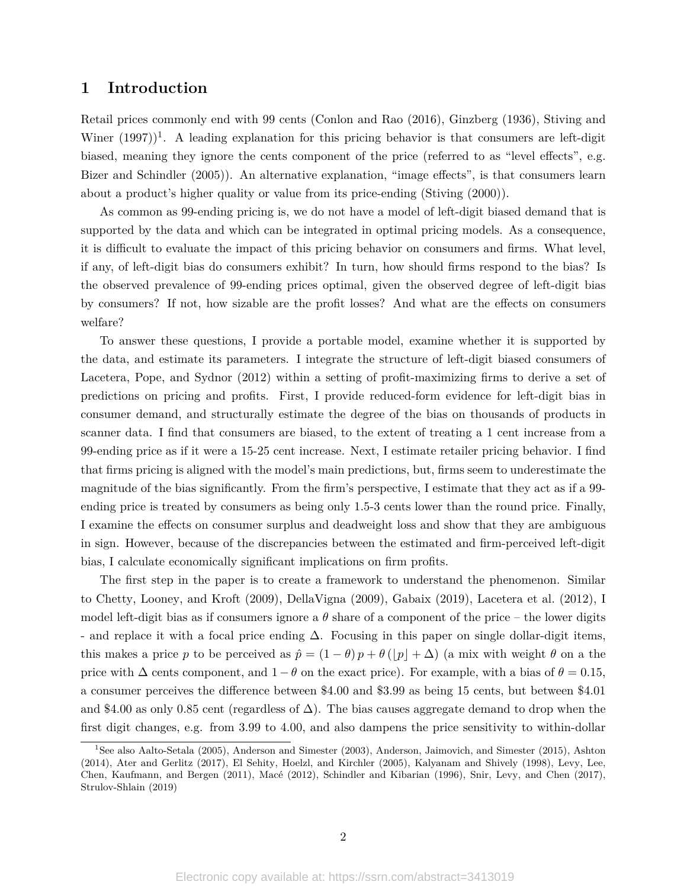## **1 Introduction**

Retail prices commonly end with 99 cents (Conlon and Rao (2016), Ginzberg (1936), Stiving and Winer  $(1997)^{1}$ . A leading explanation for this pricing behavior is that consumers are left-digit biased, meaning they ignore the cents component of the price (referred to as "level effects", e.g. Bizer and Schindler (2005)). An alternative explanation, "image effects", is that consumers learn about a product's higher quality or value from its price-ending (Stiving (2000)).

As common as 99-ending pricing is, we do not have a model of left-digit biased demand that is supported by the data and which can be integrated in optimal pricing models. As a consequence, it is difficult to evaluate the impact of this pricing behavior on consumers and firms. What level, if any, of left-digit bias do consumers exhibit? In turn, how should firms respond to the bias? Is the observed prevalence of 99-ending prices optimal, given the observed degree of left-digit bias by consumers? If not, how sizable are the profit losses? And what are the effects on consumers welfare?

To answer these questions, I provide a portable model, examine whether it is supported by the data, and estimate its parameters. I integrate the structure of left-digit biased consumers of Lacetera, Pope, and Sydnor (2012) within a setting of profit-maximizing firms to derive a set of predictions on pricing and profits. First, I provide reduced-form evidence for left-digit bias in consumer demand, and structurally estimate the degree of the bias on thousands of products in scanner data. I find that consumers are biased, to the extent of treating a 1 cent increase from a 99-ending price as if it were a 15-25 cent increase. Next, I estimate retailer pricing behavior. I find that firms pricing is aligned with the model's main predictions, but, firms seem to underestimate the magnitude of the bias significantly. From the firm's perspective, I estimate that they act as if a 99 ending price is treated by consumers as being only 1.5-3 cents lower than the round price. Finally, I examine the effects on consumer surplus and deadweight loss and show that they are ambiguous in sign. However, because of the discrepancies between the estimated and firm-perceived left-digit bias, I calculate economically significant implications on firm profits.

The first step in the paper is to create a framework to understand the phenomenon. Similar to Chetty, Looney, and Kroft (2009), DellaVigna (2009), Gabaix (2019), Lacetera et al. (2012), I model left-digit bias as if consumers ignore a  $\theta$  share of a component of the price – the lower digits - and replace it with a focal price ending  $\Delta$ . Focusing in this paper on single dollar-digit items, this makes a price *p* to be perceived as  $\hat{p} = (1 - \theta)p + \theta(|p| + \Delta)$  (a mix with weight  $\theta$  on a the price with  $\Delta$  cents component, and  $1 - \theta$  on the exact price). For example, with a bias of  $\theta = 0.15$ , a consumer perceives the difference between \$4.00 and \$3.99 as being 15 cents, but between \$4.01 and \$4.00 as only 0.85 cent (regardless of  $\Delta$ ). The bias causes aggregate demand to drop when the first digit changes, e.g. from 3.99 to 4.00, and also dampens the price sensitivity to within-dollar

<sup>1</sup>See also Aalto-Setala (2005), Anderson and Simester (2003), Anderson, Jaimovich, and Simester (2015), Ashton (2014), Ater and Gerlitz (2017), El Sehity, Hoelzl, and Kirchler (2005), Kalyanam and Shively (1998), Levy, Lee, Chen, Kaufmann, and Bergen (2011), Macé (2012), Schindler and Kibarian (1996), Snir, Levy, and Chen (2017), Strulov-Shlain (2019)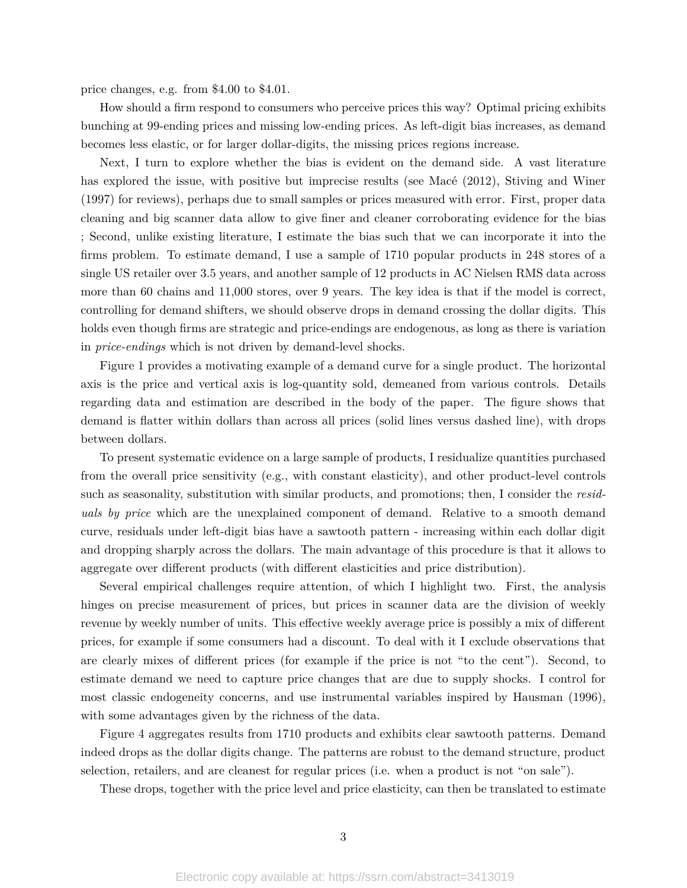price changes, e.g. from \$4.00 to \$4.01.

How should a firm respond to consumers who perceive prices this way? Optimal pricing exhibits bunching at 99-ending prices and missing low-ending prices. As left-digit bias increases, as demand becomes less elastic, or for larger dollar-digits, the missing prices regions increase.

Next, I turn to explore whether the bias is evident on the demand side. A vast literature has explored the issue, with positive but imprecise results (see Macé (2012), Stiving and Winer (1997) for reviews), perhaps due to small samples or prices measured with error. First, proper data cleaning and big scanner data allow to give finer and cleaner corroborating evidence for the bias ; Second, unlike existing literature, I estimate the bias such that we can incorporate it into the firms problem. To estimate demand, I use a sample of 1710 popular products in 248 stores of a single US retailer over 3.5 years, and another sample of 12 products in AC Nielsen RMS data across more than 60 chains and 11,000 stores, over 9 years. The key idea is that if the model is correct, controlling for demand shifters, we should observe drops in demand crossing the dollar digits. This holds even though firms are strategic and price-endings are endogenous, as long as there is variation in *price-endings* which is not driven by demand-level shocks.

Figure 1 provides a motivating example of a demand curve for a single product. The horizontal axis is the price and vertical axis is log-quantity sold, demeaned from various controls. Details regarding data and estimation are described in the body of the paper. The figure shows that demand is flatter within dollars than across all prices (solid lines versus dashed line), with drops between dollars.

To present systematic evidence on a large sample of products, I residualize quantities purchased from the overall price sensitivity (e.g., with constant elasticity), and other product-level controls such as seasonality, substitution with similar products, and promotions; then, I consider the *residuals by price* which are the unexplained component of demand. Relative to a smooth demand curve, residuals under left-digit bias have a sawtooth pattern - increasing within each dollar digit and dropping sharply across the dollars. The main advantage of this procedure is that it allows to aggregate over different products (with different elasticities and price distribution).

Several empirical challenges require attention, of which I highlight two. First, the analysis hinges on precise measurement of prices, but prices in scanner data are the division of weekly revenue by weekly number of units. This effective weekly average price is possibly a mix of different prices, for example if some consumers had a discount. To deal with it I exclude observations that are clearly mixes of different prices (for example if the price is not "to the cent"). Second, to estimate demand we need to capture price changes that are due to supply shocks. I control for most classic endogeneity concerns, and use instrumental variables inspired by Hausman (1996), with some advantages given by the richness of the data.

Figure 4 aggregates results from 1710 products and exhibits clear sawtooth patterns. Demand indeed drops as the dollar digits change. The patterns are robust to the demand structure, product selection, retailers, and are cleanest for regular prices (i.e. when a product is not "on sale").

These drops, together with the price level and price elasticity, can then be translated to estimate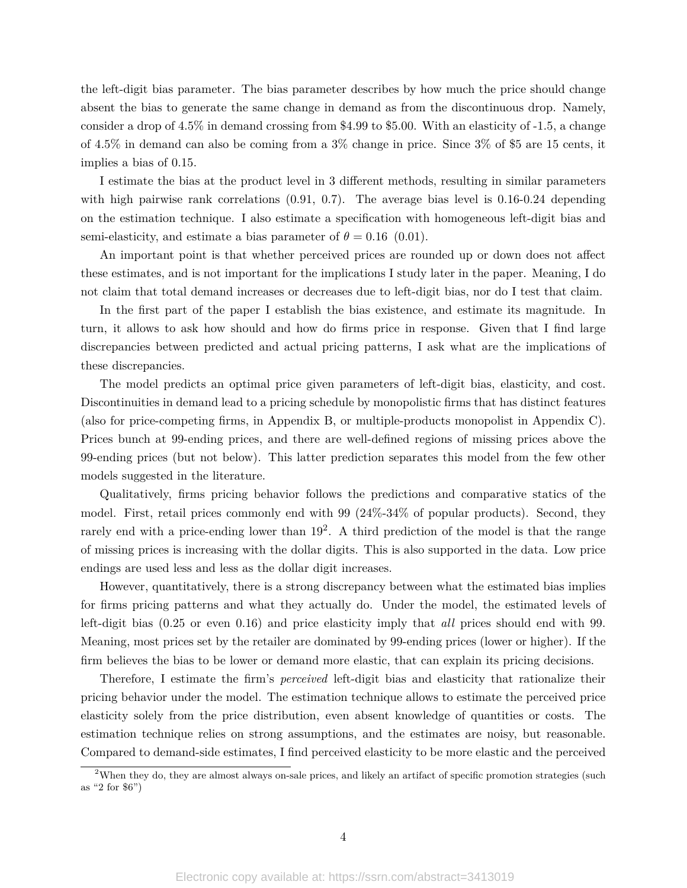the left-digit bias parameter. The bias parameter describes by how much the price should change absent the bias to generate the same change in demand as from the discontinuous drop. Namely, consider a drop of 4.5% in demand crossing from \$4.99 to \$5.00. With an elasticity of -1.5, a change of 4.5% in demand can also be coming from a 3% change in price. Since 3% of \$5 are 15 cents, it implies a bias of 0.15.

I estimate the bias at the product level in 3 different methods, resulting in similar parameters with high pairwise rank correlations  $(0.91, 0.7)$ . The average bias level is 0.16-0.24 depending on the estimation technique. I also estimate a specification with homogeneous left-digit bias and semi-elasticity, and estimate a bias parameter of  $\theta = 0.16$  (0.01).

An important point is that whether perceived prices are rounded up or down does not affect these estimates, and is not important for the implications I study later in the paper. Meaning, I do not claim that total demand increases or decreases due to left-digit bias, nor do I test that claim.

In the first part of the paper I establish the bias existence, and estimate its magnitude. In turn, it allows to ask how should and how do firms price in response. Given that I find large discrepancies between predicted and actual pricing patterns, I ask what are the implications of these discrepancies.

The model predicts an optimal price given parameters of left-digit bias, elasticity, and cost. Discontinuities in demand lead to a pricing schedule by monopolistic firms that has distinct features (also for price-competing firms, in Appendix B, or multiple-products monopolist in Appendix C). Prices bunch at 99-ending prices, and there are well-defined regions of missing prices above the 99-ending prices (but not below). This latter prediction separates this model from the few other models suggested in the literature.

Qualitatively, firms pricing behavior follows the predictions and comparative statics of the model. First, retail prices commonly end with 99 (24%-34% of popular products). Second, they rarely end with a price-ending lower than 19<sup>2</sup>. A third prediction of the model is that the range of missing prices is increasing with the dollar digits. This is also supported in the data. Low price endings are used less and less as the dollar digit increases.

However, quantitatively, there is a strong discrepancy between what the estimated bias implies for firms pricing patterns and what they actually do. Under the model, the estimated levels of left-digit bias (0.25 or even 0.16) and price elasticity imply that *all* prices should end with 99. Meaning, most prices set by the retailer are dominated by 99-ending prices (lower or higher). If the firm believes the bias to be lower or demand more elastic, that can explain its pricing decisions.

Therefore, I estimate the firm's *perceived* left-digit bias and elasticity that rationalize their pricing behavior under the model. The estimation technique allows to estimate the perceived price elasticity solely from the price distribution, even absent knowledge of quantities or costs. The estimation technique relies on strong assumptions, and the estimates are noisy, but reasonable. Compared to demand-side estimates, I find perceived elasticity to be more elastic and the perceived

<sup>&</sup>lt;sup>2</sup>When they do, they are almost always on-sale prices, and likely an artifact of specific promotion strategies (such as "2 for \$6")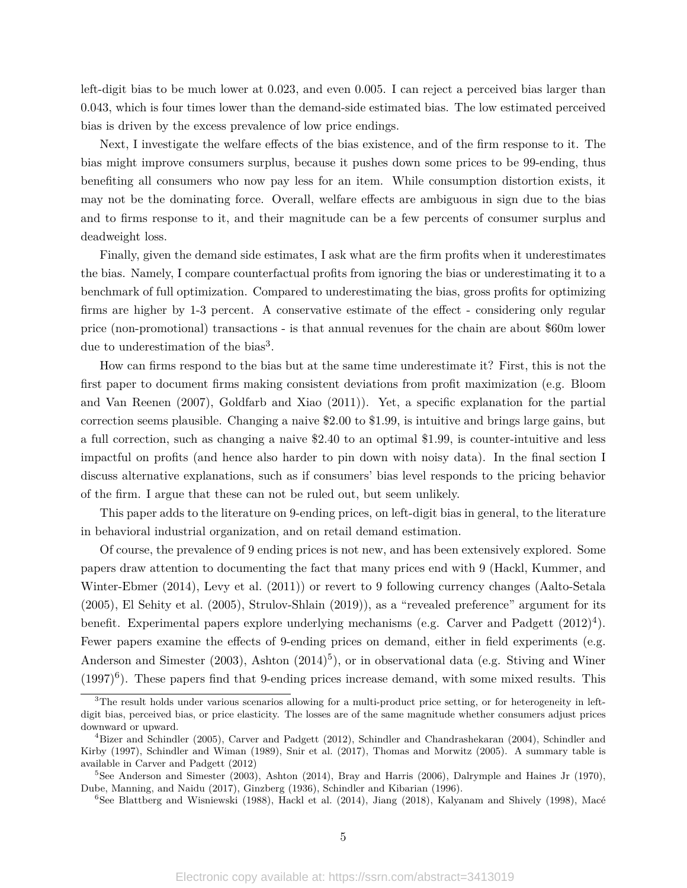left-digit bias to be much lower at 0.023, and even 0.005. I can reject a perceived bias larger than 0.043, which is four times lower than the demand-side estimated bias. The low estimated perceived bias is driven by the excess prevalence of low price endings.

Next, I investigate the welfare effects of the bias existence, and of the firm response to it. The bias might improve consumers surplus, because it pushes down some prices to be 99-ending, thus benefiting all consumers who now pay less for an item. While consumption distortion exists, it may not be the dominating force. Overall, welfare effects are ambiguous in sign due to the bias and to firms response to it, and their magnitude can be a few percents of consumer surplus and deadweight loss.

Finally, given the demand side estimates, I ask what are the firm profits when it underestimates the bias. Namely, I compare counterfactual profits from ignoring the bias or underestimating it to a benchmark of full optimization. Compared to underestimating the bias, gross profits for optimizing firms are higher by 1-3 percent. A conservative estimate of the effect - considering only regular price (non-promotional) transactions - is that annual revenues for the chain are about \$60m lower due to underestimation of the bias<sup>3</sup>.

How can firms respond to the bias but at the same time underestimate it? First, this is not the first paper to document firms making consistent deviations from profit maximization (e.g. Bloom and Van Reenen (2007), Goldfarb and Xiao (2011)). Yet, a specific explanation for the partial correction seems plausible. Changing a naive \$2.00 to \$1.99, is intuitive and brings large gains, but a full correction, such as changing a naive \$2.40 to an optimal \$1.99, is counter-intuitive and less impactful on profits (and hence also harder to pin down with noisy data). In the final section I discuss alternative explanations, such as if consumers' bias level responds to the pricing behavior of the firm. I argue that these can not be ruled out, but seem unlikely.

This paper adds to the literature on 9-ending prices, on left-digit bias in general, to the literature in behavioral industrial organization, and on retail demand estimation.

Of course, the prevalence of 9 ending prices is not new, and has been extensively explored. Some papers draw attention to documenting the fact that many prices end with 9 (Hackl, Kummer, and Winter-Ebmer (2014), Levy et al. (2011)) or revert to 9 following currency changes (Aalto-Setala (2005), El Sehity et al. (2005), Strulov-Shlain (2019)), as a "revealed preference" argument for its benefit. Experimental papers explore underlying mechanisms (e.g. Carver and Padgett  $(2012)^4$ ). Fewer papers examine the effects of 9-ending prices on demand, either in field experiments (e.g. Anderson and Simester  $(2003)$ , Ashton  $(2014)^5$ ), or in observational data (e.g. Stiving and Winer  $(1997)^6$ ). These papers find that 9-ending prices increase demand, with some mixed results. This

<sup>&</sup>lt;sup>3</sup>The result holds under various scenarios allowing for a multi-product price setting, or for heterogeneity in leftdigit bias, perceived bias, or price elasticity. The losses are of the same magnitude whether consumers adjust prices downward or upward.

<sup>&</sup>lt;sup>4</sup>Bizer and Schindler (2005), Carver and Padgett (2012), Schindler and Chandrashekaran (2004), Schindler and Kirby (1997), Schindler and Wiman (1989), Snir et al. (2017), Thomas and Morwitz (2005). A summary table is available in Carver and Padgett (2012)

 $5$ See Anderson and Simester (2003), Ashton (2014), Bray and Harris (2006), Dalrymple and Haines Jr (1970), Dube, Manning, and Naidu (2017), Ginzberg (1936), Schindler and Kibarian (1996).

<sup>&</sup>lt;sup>6</sup>See Blattberg and Wisniewski (1988), Hackl et al. (2014), Jiang (2018), Kalyanam and Shively (1998), Macé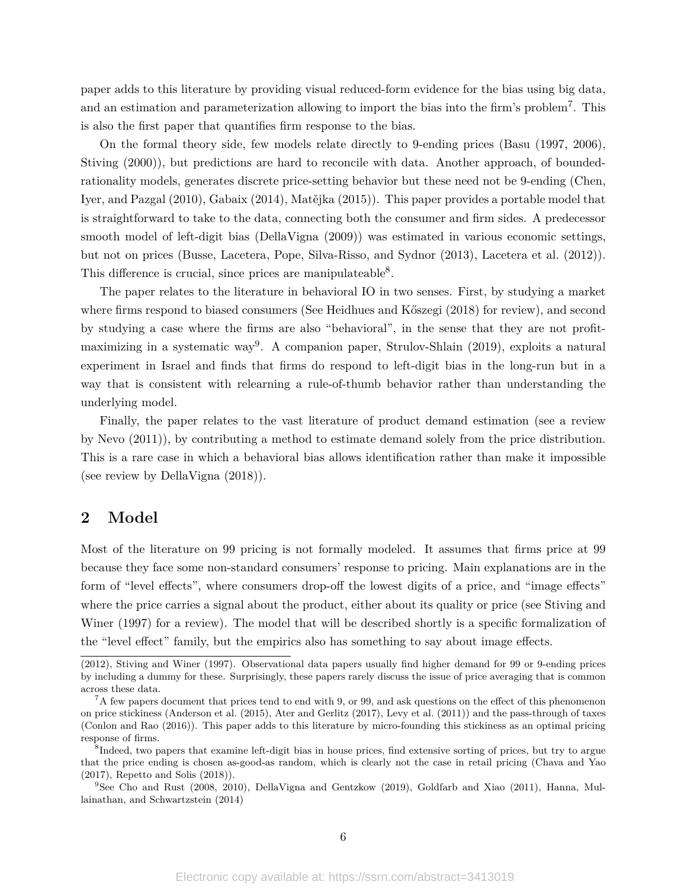paper adds to this literature by providing visual reduced-form evidence for the bias using big data, and an estimation and parameterization allowing to import the bias into the firm's problem<sup>7</sup>. This is also the first paper that quantifies firm response to the bias.

On the formal theory side, few models relate directly to 9-ending prices (Basu (1997, 2006), Stiving (2000)), but predictions are hard to reconcile with data. Another approach, of boundedrationality models, generates discrete price-setting behavior but these need not be 9-ending (Chen, Iyer, and Pazgal (2010), Gabaix (2014), Matějka (2015)). This paper provides a portable model that is straightforward to take to the data, connecting both the consumer and firm sides. A predecessor smooth model of left-digit bias (DellaVigna (2009)) was estimated in various economic settings, but not on prices (Busse, Lacetera, Pope, Silva-Risso, and Sydnor (2013), Lacetera et al. (2012)). This difference is crucial, since prices are manipulateable<sup>8</sup>.

The paper relates to the literature in behavioral IO in two senses. First, by studying a market where firms respond to biased consumers (See Heidhues and Kőszegi (2018) for review), and second by studying a case where the firms are also "behavioral", in the sense that they are not profitmaximizing in a systematic way<sup>9</sup>. A companion paper, Strulov-Shlain (2019), exploits a natural experiment in Israel and finds that firms do respond to left-digit bias in the long-run but in a way that is consistent with relearning a rule-of-thumb behavior rather than understanding the underlying model.

Finally, the paper relates to the vast literature of product demand estimation (see a review by Nevo (2011)), by contributing a method to estimate demand solely from the price distribution. This is a rare case in which a behavioral bias allows identification rather than make it impossible (see review by DellaVigna (2018)).

## **2 Model**

Most of the literature on 99 pricing is not formally modeled. It assumes that firms price at 99 because they face some non-standard consumers' response to pricing. Main explanations are in the form of "level effects", where consumers drop-off the lowest digits of a price, and "image effects" where the price carries a signal about the product, either about its quality or price (see Stiving and Winer (1997) for a review). The model that will be described shortly is a specific formalization of the "level effect" family, but the empirics also has something to say about image effects.

<sup>(2012),</sup> Stiving and Winer (1997). Observational data papers usually find higher demand for 99 or 9-ending prices by including a dummy for these. Surprisingly, these papers rarely discuss the issue of price averaging that is common across these data.

 ${}^{7}$ A few papers document that prices tend to end with 9, or 99, and ask questions on the effect of this phenomenon on price stickiness (Anderson et al. (2015), Ater and Gerlitz (2017), Levy et al. (2011)) and the pass-through of taxes (Conlon and Rao (2016)). This paper adds to this literature by micro-founding this stickiness as an optimal pricing response of firms.

<sup>8</sup> Indeed, two papers that examine left-digit bias in house prices, find extensive sorting of prices, but try to argue that the price ending is chosen as-good-as random, which is clearly not the case in retail pricing (Chava and Yao (2017), Repetto and Solis (2018)).

<sup>9</sup>See Cho and Rust (2008, 2010), DellaVigna and Gentzkow (2019), Goldfarb and Xiao (2011), Hanna, Mullainathan, and Schwartzstein (2014)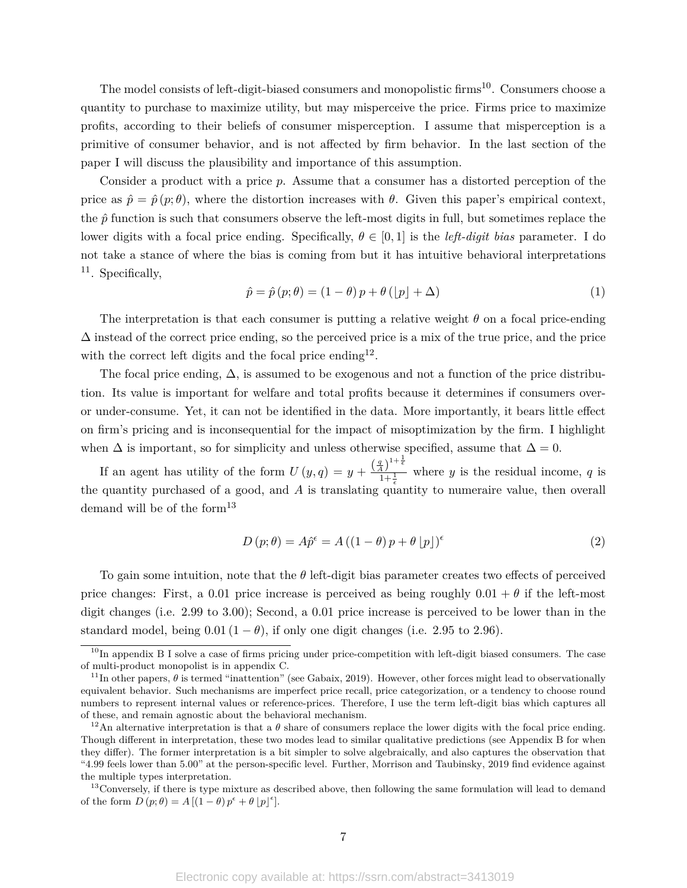The model consists of left-digit-biased consumers and monopolistic firms<sup>10</sup>. Consumers choose a quantity to purchase to maximize utility, but may misperceive the price. Firms price to maximize profits, according to their beliefs of consumer misperception. I assume that misperception is a primitive of consumer behavior, and is not affected by firm behavior. In the last section of the paper I will discuss the plausibility and importance of this assumption.

Consider a product with a price *p*. Assume that a consumer has a distorted perception of the price as  $\hat{p} = \hat{p}(p; \theta)$ , where the distortion increases with  $\theta$ . Given this paper's empirical context, the  $\hat{p}$  function is such that consumers observe the left-most digits in full, but sometimes replace the lower digits with a focal price ending. Specifically,  $\theta \in [0,1]$  is the *left-digit bias* parameter. I do not take a stance of where the bias is coming from but it has intuitive behavioral interpretations  $11.$  Specifically,

$$
\hat{p} = \hat{p}(p; \theta) = (1 - \theta)p + \theta(|p| + \Delta)
$$
\n(1)

The interpretation is that each consumer is putting a relative weight *θ* on a focal price-ending  $\Delta$  instead of the correct price ending, so the perceived price is a mix of the true price, and the price with the correct left digits and the focal price ending  $12$ .

The focal price ending,  $\Delta$ , is assumed to be exogenous and not a function of the price distribution. Its value is important for welfare and total profits because it determines if consumers overor under-consume. Yet, it can not be identified in the data. More importantly, it bears little effect on firm's pricing and is inconsequential for the impact of misoptimization by the firm. I highlight when  $\Delta$  is important, so for simplicity and unless otherwise specified, assume that  $\Delta = 0$ .

If an agent has utility of the form  $U(y,q) = y + \frac{\left(\frac{q}{A}\right)^{1+\frac{1}{\epsilon}}}{\frac{q}{A} + \frac{1}{\epsilon}}$  $\frac{47}{1+\frac{1}{6}}$  where *y* is the residual income, *q* is the quantity purchased of a good, and  $\overline{A}$  is translating quantity to numeraire value, then overall demand will be of the form $^{13}$ 

$$
D(p; \theta) = A\hat{p}^{\epsilon} = A((1 - \theta)p + \theta |p|)^{\epsilon}
$$
\n(2)

To gain some intuition, note that the *θ* left-digit bias parameter creates two effects of perceived price changes: First, a 0.01 price increase is perceived as being roughly  $0.01 + \theta$  if the left-most digit changes (i.e. 2.99 to 3.00); Second, a 0.01 price increase is perceived to be lower than in the standard model, being  $0.01 (1 - \theta)$ , if only one digit changes (i.e. 2.95 to 2.96).

 $10$ In appendix B I solve a case of firms pricing under price-competition with left-digit biased consumers. The case of multi-product monopolist is in appendix C.

<sup>&</sup>lt;sup>11</sup>In other papers,  $\theta$  is termed "inattention" (see Gabaix, 2019). However, other forces might lead to observationally equivalent behavior. Such mechanisms are imperfect price recall, price categorization, or a tendency to choose round numbers to represent internal values or reference-prices. Therefore, I use the term left-digit bias which captures all of these, and remain agnostic about the behavioral mechanism.

<sup>&</sup>lt;sup>12</sup>An alternative interpretation is that a  $\theta$  share of consumers replace the lower digits with the focal price ending. Though different in interpretation, these two modes lead to similar qualitative predictions (see Appendix B for when they differ). The former interpretation is a bit simpler to solve algebraically, and also captures the observation that "4.99 feels lower than 5.00" at the person-specific level. Further, Morrison and Taubinsky, 2019 find evidence against the multiple types interpretation.

 $13$ Conversely, if there is type mixture as described above, then following the same formulation will lead to demand of the form  $D(p; \theta) = A[(1 - \theta)p^{\epsilon} + \theta |p|^{\epsilon}].$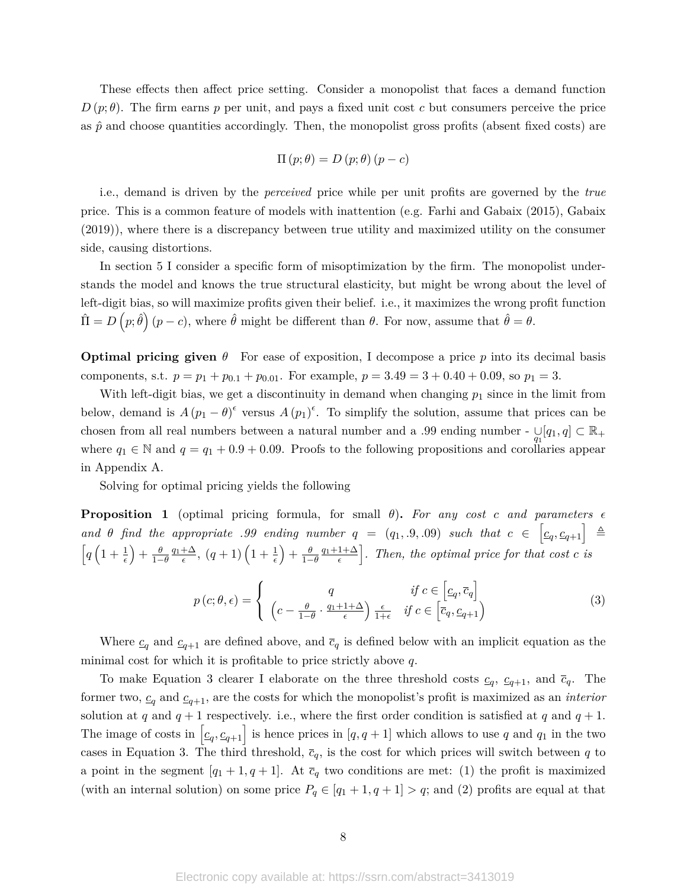These effects then affect price setting. Consider a monopolist that faces a demand function  $D(p;\theta)$ . The firm earns p per unit, and pays a fixed unit cost c but consumers perceive the price as  $\hat{p}$  and choose quantities accordingly. Then, the monopolist gross profits (absent fixed costs) are

$$
\Pi(p; \theta) = D(p; \theta) (p - c)
$$

i.e., demand is driven by the *perceived* price while per unit profits are governed by the *true* price. This is a common feature of models with inattention (e.g. Farhi and Gabaix (2015), Gabaix (2019)), where there is a discrepancy between true utility and maximized utility on the consumer side, causing distortions.

In section 5 I consider a specific form of misoptimization by the firm. The monopolist understands the model and knows the true structural elasticity, but might be wrong about the level of left-digit bias, so will maximize profits given their belief. i.e., it maximizes the wrong profit function  $\hat{\Pi} = D(p; \hat{\theta}) (p - c)$ , where  $\hat{\theta}$  might be different than  $\theta$ . For now, assume that  $\hat{\theta} = \theta$ .

**Optimal pricing given**  $\theta$  For ease of exposition, I decompose a price p into its decimal basis components, s.t.  $p = p_1 + p_{0.1} + p_{0.01}$ . For example,  $p = 3.49 = 3 + 0.40 + 0.09$ , so  $p_1 = 3$ .

With left-digit bias, we get a discontinuity in demand when changing  $p_1$  since in the limit from below, demand is  $A(p_1 - \theta)^{\epsilon}$  versus  $A(p_1)^{\epsilon}$ . To simplify the solution, assume that prices can be chosen from all real numbers between a natural number and a .99 ending number -  $\bigcup_{q_1} [q_1, q] \subset \mathbb{R}_+$ where  $q_1 \in \mathbb{N}$  and  $q = q_1 + 0.9 + 0.09$ . Proofs to the following propositions and corollaries appear in Appendix A.

Solving for optimal pricing yields the following

**Proposition 1** (optimal pricing formula, for small  $\theta$ ). For any cost *c* and parameters  $\epsilon$ *and θ find* the appropriate .99 ending number  $q = (q_1, .9, .09)$  such that  $c \in \left[c_q, c_{q+1}\right] \triangleq$  $\left[q\left(1+\frac{1}{\epsilon}\right)+\frac{\theta}{1-\theta}\frac{q_1+\Delta}{\epsilon},\ (q+1)\left(1+\frac{1}{\epsilon}\right)+\frac{\theta}{1-\theta}\frac{q_1+1+\Delta}{\epsilon}\right]$ . Then, the optimal price for that cost c is

$$
p(c; \theta, \epsilon) = \begin{cases} q & \text{if } c \in \left[c_q, \overline{c}_q\right] \\ \left(c - \frac{\theta}{1 - \theta} \cdot \frac{q_1 + 1 + \Delta}{\epsilon}\right) \frac{\epsilon}{1 + \epsilon} & \text{if } c \in \left[\overline{c}_q, \underline{c}_{q + 1}\right) \end{cases}
$$
(3)

Where  $c_q$  and  $c_{q+1}$  are defined above, and  $\bar{c}_q$  is defined below with an implicit equation as the minimal cost for which it is profitable to price strictly above *q*.

To make Equation 3 clearer I elaborate on the three threshold costs  $c_q$ ,  $c_{q+1}$ , and  $\bar{c}_q$ . The former two,  $c_q$  and  $c_{q+1}$ , are the costs for which the monopolist's profit is maximized as an *interior* solution at *q* and  $q + 1$  respectively. i.e., where the first order condition is satisfied at *q* and  $q + 1$ . The image of costs in  $[c_q, c_{q+1}]$  is hence prices in  $[q, q+1]$  which allows to use *q* and  $q_1$  in the two cases in Equation 3. The third threshold,  $\bar{c}_q$ , is the cost for which prices will switch between *q* to a point in the segment  $[q_1 + 1, q + 1]$ . At  $\bar{c}_q$  two conditions are met: (1) the profit is maximized (with an internal solution) on some price  $P_q \in [q_1 + 1, q + 1] > q$ ; and (2) profits are equal at that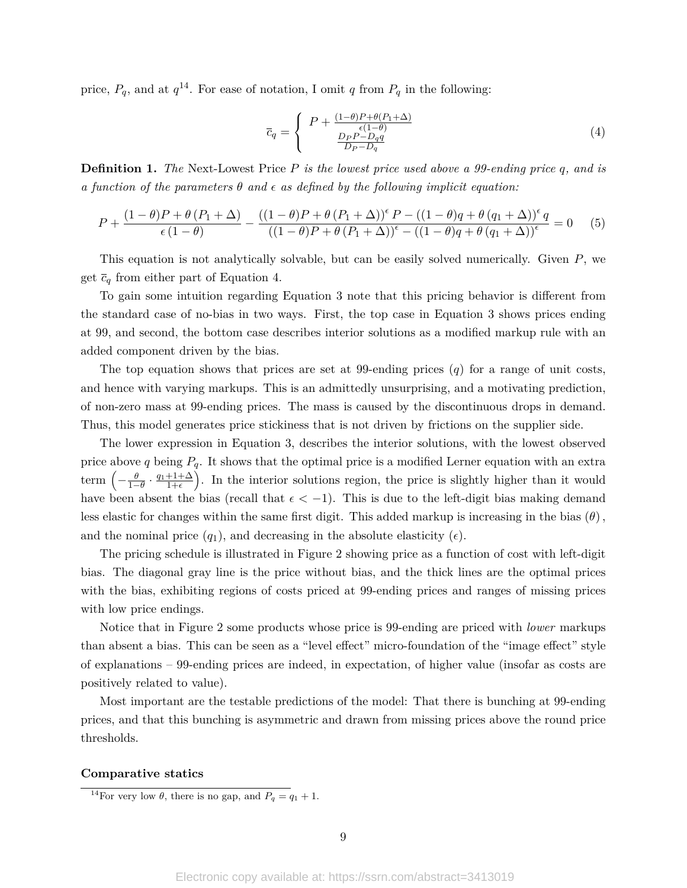price,  $P_q$ , and at  $q^{14}$ . For ease of notation, I omit  $q$  from  $P_q$  in the following:

$$
\overline{c}_q = \begin{cases} P + \frac{(1-\theta)P + \theta(P_1 + \Delta)}{\epsilon(1-\theta)} \\ \frac{D_P P - D_q q}{D_P - D_q} \end{cases} \tag{4}
$$

**Definition 1.** *The* Next-Lowest Price *P is the lowest price used above a 99-ending price q, and is a function of the parameters*  $\theta$  *and*  $\epsilon$  *as defined by the following implicit equation:* 

$$
P + \frac{(1-\theta)P + \theta (P_1 + \Delta)}{\epsilon (1-\theta)} - \frac{((1-\theta)P + \theta (P_1 + \Delta))^{\epsilon}P - ((1-\theta)q + \theta (q_1 + \Delta))^{\epsilon}q}{((1-\theta)P + \theta (P_1 + \Delta))^{\epsilon} - ((1-\theta)q + \theta (q_1 + \Delta))^{\epsilon}} = 0
$$
 (5)

This equation is not analytically solvable, but can be easily solved numerically. Given *P*, we get  $\bar{c}_q$  from either part of Equation 4.

To gain some intuition regarding Equation 3 note that this pricing behavior is different from the standard case of no-bias in two ways. First, the top case in Equation 3 shows prices ending at 99, and second, the bottom case describes interior solutions as a modified markup rule with an added component driven by the bias.

The top equation shows that prices are set at 99-ending prices (*q*) for a range of unit costs, and hence with varying markups. This is an admittedly unsurprising, and a motivating prediction, of non-zero mass at 99-ending prices. The mass is caused by the discontinuous drops in demand. Thus, this model generates price stickiness that is not driven by frictions on the supplier side.

The lower expression in Equation 3, describes the interior solutions, with the lowest observed price above *q* being  $P_q$ . It shows that the optimal price is a modified Lerner equation with an extra term  $\left(-\frac{\theta}{1-\theta}\cdot\frac{q_1+1+\Delta}{1+\epsilon}\right)$ . In the interior solutions region, the price is slightly higher than it would have been absent the bias (recall that  $\epsilon < -1$ ). This is due to the left-digit bias making demand less elastic for changes within the same first digit. This added markup is increasing in the bias (*θ*)*,* and the nominal price  $(q_1)$ , and decreasing in the absolute elasticity  $(\epsilon)$ .

The pricing schedule is illustrated in Figure 2 showing price as a function of cost with left-digit bias. The diagonal gray line is the price without bias, and the thick lines are the optimal prices with the bias, exhibiting regions of costs priced at 99-ending prices and ranges of missing prices with low price endings.

Notice that in Figure 2 some products whose price is 99-ending are priced with *lower* markups than absent a bias. This can be seen as a "level effect" micro-foundation of the "image effect" style of explanations – 99-ending prices are indeed, in expectation, of higher value (insofar as costs are positively related to value).

Most important are the testable predictions of the model: That there is bunching at 99-ending prices, and that this bunching is asymmetric and drawn from missing prices above the round price thresholds.

#### **Comparative statics**

<sup>&</sup>lt;sup>14</sup>For very low  $\theta$ , there is no gap, and  $P_q = q_1 + 1$ .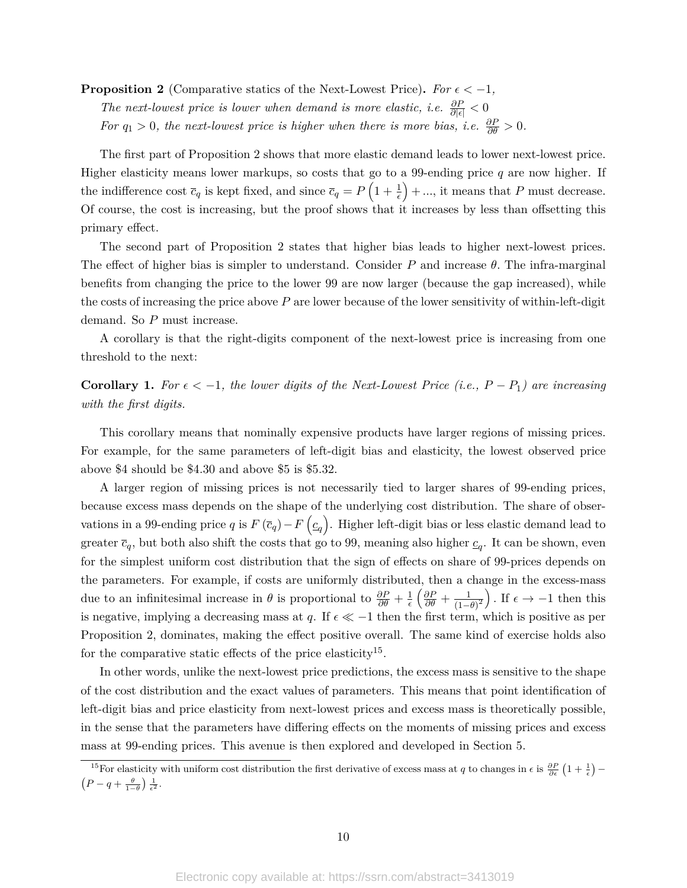**Proposition 2** (Comparative statics of the Next-Lowest Price). For  $\epsilon < -1$ , *The next-lowest price is lower when demand is more elastic, i.e.*  $\frac{\partial P}{\partial |\epsilon|} < 0$ *For*  $q_1 > 0$ , the next-lowest price is higher when there is more bias, i.e.  $\frac{\partial P}{\partial \theta} > 0$ .

The first part of Proposition 2 shows that more elastic demand leads to lower next-lowest price. Higher elasticity means lower markups, so costs that go to a 99-ending price *q* are now higher. If the indifference cost  $\bar{c}_q$  is kept fixed, and since  $\bar{c}_q = P\left(1 + \frac{1}{\epsilon}\right) + \dots$ , it means that P must decrease. Of course, the cost is increasing, but the proof shows that it increases by less than offsetting this primary effect.

The second part of Proposition 2 states that higher bias leads to higher next-lowest prices. The effect of higher bias is simpler to understand. Consider *P* and increase *θ.* The infra-marginal benefits from changing the price to the lower 99 are now larger (because the gap increased), while the costs of increasing the price above *P* are lower because of the lower sensitivity of within-left-digit demand. So *P* must increase.

A corollary is that the right-digits component of the next-lowest price is increasing from one threshold to the next:

**Corollary 1.** For  $\epsilon < -1$ , the lower digits of the Next-Lowest Price (i.e.,  $P - P_1$ ) are increasing *with the first digits.*

This corollary means that nominally expensive products have larger regions of missing prices. For example, for the same parameters of left-digit bias and elasticity, the lowest observed price above \$4 should be \$4.30 and above \$5 is \$5.32.

A larger region of missing prices is not necessarily tied to larger shares of 99-ending prices, because excess mass depends on the shape of the underlying cost distribution. The share of observations in a 99-ending price *q* is  $F(\bar{c}_q) - F(q_q)$ . Higher left-digit bias or less elastic demand lead to greater  $\bar{c}_q$ , but both also shift the costs that go to 99, meaning also higher  $\underline{c}_q$ . It can be shown, even for the simplest uniform cost distribution that the sign of effects on share of 99-prices depends on the parameters. For example, if costs are uniformly distributed, then a change in the excess-mass due to an infinitesimal increase in  $\theta$  is proportional to  $\frac{\partial P}{\partial \theta} + \frac{1}{\epsilon}$  $\frac{1}{\epsilon}\left(\frac{\partial P}{\partial \theta} + \frac{1}{(1-\theta)}\right)$  $\frac{1}{(1-\theta)^2}$ . If  $\epsilon \to -1$  then this is negative, implying a decreasing mass at *q*. If  $\epsilon \ll -1$  then the first term, which is positive as per Proposition 2, dominates, making the effect positive overall. The same kind of exercise holds also for the comparative static effects of the price elasticity<sup>15</sup>.

In other words, unlike the next-lowest price predictions, the excess mass is sensitive to the shape of the cost distribution and the exact values of parameters. This means that point identification of left-digit bias and price elasticity from next-lowest prices and excess mass is theoretically possible, in the sense that the parameters have differing effects on the moments of missing prices and excess mass at 99-ending prices. This avenue is then explored and developed in Section 5.

<sup>&</sup>lt;sup>15</sup>For elasticity with uniform cost distribution the first derivative of excess mass at *q* to changes in  $\epsilon$  is  $\frac{\partial P}{\partial \epsilon}(1+\frac{1}{\epsilon})$  –  $\left(P-q+\frac{\theta}{1-\theta}\right)\frac{1}{\epsilon^2}.$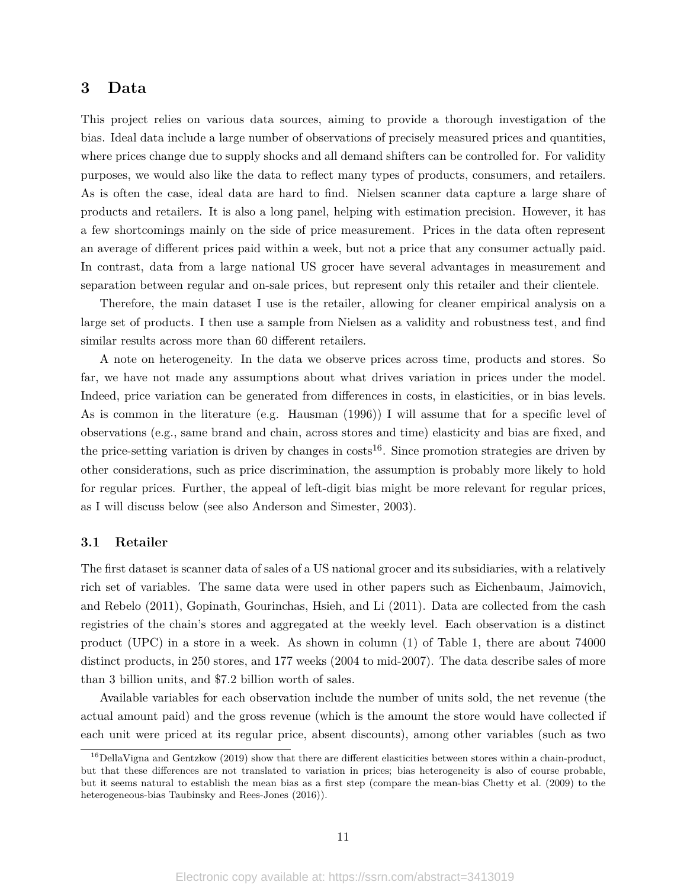## **3 Data**

This project relies on various data sources, aiming to provide a thorough investigation of the bias. Ideal data include a large number of observations of precisely measured prices and quantities, where prices change due to supply shocks and all demand shifters can be controlled for. For validity purposes, we would also like the data to reflect many types of products, consumers, and retailers. As is often the case, ideal data are hard to find. Nielsen scanner data capture a large share of products and retailers. It is also a long panel, helping with estimation precision. However, it has a few shortcomings mainly on the side of price measurement. Prices in the data often represent an average of different prices paid within a week, but not a price that any consumer actually paid. In contrast, data from a large national US grocer have several advantages in measurement and separation between regular and on-sale prices, but represent only this retailer and their clientele.

Therefore, the main dataset I use is the retailer, allowing for cleaner empirical analysis on a large set of products. I then use a sample from Nielsen as a validity and robustness test, and find similar results across more than 60 different retailers.

A note on heterogeneity. In the data we observe prices across time, products and stores. So far, we have not made any assumptions about what drives variation in prices under the model. Indeed, price variation can be generated from differences in costs, in elasticities, or in bias levels. As is common in the literature (e.g. Hausman (1996)) I will assume that for a specific level of observations (e.g., same brand and chain, across stores and time) elasticity and bias are fixed, and the price-setting variation is driven by changes in  $costs^{16}$ . Since promotion strategies are driven by other considerations, such as price discrimination, the assumption is probably more likely to hold for regular prices. Further, the appeal of left-digit bias might be more relevant for regular prices, as I will discuss below (see also Anderson and Simester, 2003).

#### **3.1 Retailer**

The first dataset is scanner data of sales of a US national grocer and its subsidiaries, with a relatively rich set of variables. The same data were used in other papers such as Eichenbaum, Jaimovich, and Rebelo (2011), Gopinath, Gourinchas, Hsieh, and Li (2011). Data are collected from the cash registries of the chain's stores and aggregated at the weekly level. Each observation is a distinct product (UPC) in a store in a week. As shown in column (1) of Table 1, there are about 74000 distinct products, in 250 stores, and 177 weeks (2004 to mid-2007). The data describe sales of more than 3 billion units, and \$7.2 billion worth of sales.

Available variables for each observation include the number of units sold, the net revenue (the actual amount paid) and the gross revenue (which is the amount the store would have collected if each unit were priced at its regular price, absent discounts), among other variables (such as two

 $^{16}$ DellaVigna and Gentzkow (2019) show that there are different elasticities between stores within a chain-product, but that these differences are not translated to variation in prices; bias heterogeneity is also of course probable, but it seems natural to establish the mean bias as a first step (compare the mean-bias Chetty et al. (2009) to the heterogeneous-bias Taubinsky and Rees-Jones (2016)).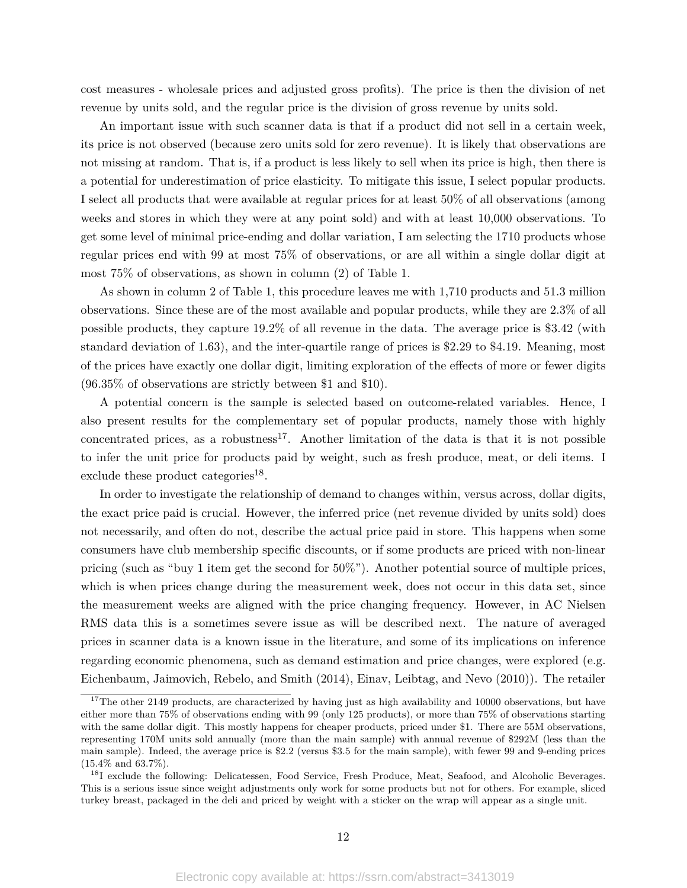cost measures - wholesale prices and adjusted gross profits). The price is then the division of net revenue by units sold, and the regular price is the division of gross revenue by units sold.

An important issue with such scanner data is that if a product did not sell in a certain week, its price is not observed (because zero units sold for zero revenue). It is likely that observations are not missing at random. That is, if a product is less likely to sell when its price is high, then there is a potential for underestimation of price elasticity. To mitigate this issue, I select popular products. I select all products that were available at regular prices for at least 50% of all observations (among weeks and stores in which they were at any point sold) and with at least 10,000 observations. To get some level of minimal price-ending and dollar variation, I am selecting the 1710 products whose regular prices end with 99 at most 75% of observations, or are all within a single dollar digit at most 75% of observations, as shown in column (2) of Table 1.

As shown in column 2 of Table 1, this procedure leaves me with 1,710 products and 51.3 million observations. Since these are of the most available and popular products, while they are 2.3% of all possible products, they capture 19.2% of all revenue in the data. The average price is \$3.42 (with standard deviation of 1.63), and the inter-quartile range of prices is \$2.29 to \$4.19. Meaning, most of the prices have exactly one dollar digit, limiting exploration of the effects of more or fewer digits (96.35% of observations are strictly between \$1 and \$10).

A potential concern is the sample is selected based on outcome-related variables. Hence, I also present results for the complementary set of popular products, namely those with highly concentrated prices, as a robustness<sup>17</sup>. Another limitation of the data is that it is not possible to infer the unit price for products paid by weight, such as fresh produce, meat, or deli items. I exclude these product categories<sup>18</sup>.

In order to investigate the relationship of demand to changes within, versus across, dollar digits, the exact price paid is crucial. However, the inferred price (net revenue divided by units sold) does not necessarily, and often do not, describe the actual price paid in store. This happens when some consumers have club membership specific discounts, or if some products are priced with non-linear pricing (such as "buy 1 item get the second for 50%"). Another potential source of multiple prices, which is when prices change during the measurement week, does not occur in this data set, since the measurement weeks are aligned with the price changing frequency. However, in AC Nielsen RMS data this is a sometimes severe issue as will be described next. The nature of averaged prices in scanner data is a known issue in the literature, and some of its implications on inference regarding economic phenomena, such as demand estimation and price changes, were explored (e.g. Eichenbaum, Jaimovich, Rebelo, and Smith (2014), Einav, Leibtag, and Nevo (2010)). The retailer

 $17$ The other 2149 products, are characterized by having just as high availability and 10000 observations, but have either more than 75% of observations ending with 99 (only 125 products), or more than 75% of observations starting with the same dollar digit. This mostly happens for cheaper products, priced under \$1. There are 55M observations, representing 170M units sold annually (more than the main sample) with annual revenue of \$292M (less than the main sample). Indeed, the average price is \$2.2 (versus \$3.5 for the main sample), with fewer 99 and 9-ending prices (15.4% and 63.7%).

<sup>&</sup>lt;sup>18</sup>I exclude the following: Delicatessen, Food Service, Fresh Produce, Meat, Seafood, and Alcoholic Beverages. This is a serious issue since weight adjustments only work for some products but not for others. For example, sliced turkey breast, packaged in the deli and priced by weight with a sticker on the wrap will appear as a single unit.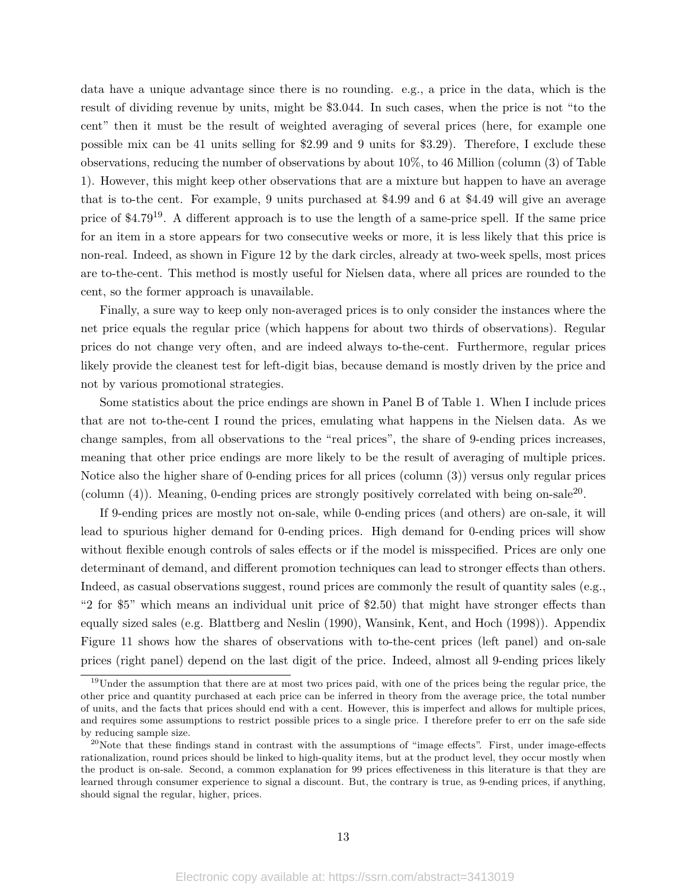data have a unique advantage since there is no rounding. e.g., a price in the data, which is the result of dividing revenue by units, might be \$3.044. In such cases, when the price is not "to the cent" then it must be the result of weighted averaging of several prices (here, for example one possible mix can be 41 units selling for \$2.99 and 9 units for \$3.29). Therefore, I exclude these observations, reducing the number of observations by about 10%, to 46 Million (column (3) of Table 1). However, this might keep other observations that are a mixture but happen to have an average that is to-the cent. For example, 9 units purchased at \$4.99 and 6 at \$4.49 will give an average price of  $$4.79^{19}$ . A different approach is to use the length of a same-price spell. If the same price for an item in a store appears for two consecutive weeks or more, it is less likely that this price is non-real. Indeed, as shown in Figure 12 by the dark circles, already at two-week spells, most prices are to-the-cent. This method is mostly useful for Nielsen data, where all prices are rounded to the cent, so the former approach is unavailable.

Finally, a sure way to keep only non-averaged prices is to only consider the instances where the net price equals the regular price (which happens for about two thirds of observations). Regular prices do not change very often, and are indeed always to-the-cent. Furthermore, regular prices likely provide the cleanest test for left-digit bias, because demand is mostly driven by the price and not by various promotional strategies.

Some statistics about the price endings are shown in Panel B of Table 1. When I include prices that are not to-the-cent I round the prices, emulating what happens in the Nielsen data. As we change samples, from all observations to the "real prices", the share of 9-ending prices increases, meaning that other price endings are more likely to be the result of averaging of multiple prices. Notice also the higher share of 0-ending prices for all prices (column (3)) versus only regular prices (column  $(4)$ ). Meaning, 0-ending prices are strongly positively correlated with being on-sale<sup>20</sup>.

If 9-ending prices are mostly not on-sale, while 0-ending prices (and others) are on-sale, it will lead to spurious higher demand for 0-ending prices. High demand for 0-ending prices will show without flexible enough controls of sales effects or if the model is misspecified. Prices are only one determinant of demand, and different promotion techniques can lead to stronger effects than others. Indeed, as casual observations suggest, round prices are commonly the result of quantity sales (e.g., "2 for \$5" which means an individual unit price of \$2.50) that might have stronger effects than equally sized sales (e.g. Blattberg and Neslin (1990), Wansink, Kent, and Hoch (1998)). Appendix Figure 11 shows how the shares of observations with to-the-cent prices (left panel) and on-sale prices (right panel) depend on the last digit of the price. Indeed, almost all 9-ending prices likely

<sup>&</sup>lt;sup>19</sup>Under the assumption that there are at most two prices paid, with one of the prices being the regular price, the other price and quantity purchased at each price can be inferred in theory from the average price, the total number of units, and the facts that prices should end with a cent. However, this is imperfect and allows for multiple prices, and requires some assumptions to restrict possible prices to a single price. I therefore prefer to err on the safe side by reducing sample size.

 $20$ Note that these findings stand in contrast with the assumptions of "image effects". First, under image-effects rationalization, round prices should be linked to high-quality items, but at the product level, they occur mostly when the product is on-sale. Second, a common explanation for 99 prices effectiveness in this literature is that they are learned through consumer experience to signal a discount. But, the contrary is true, as 9-ending prices, if anything, should signal the regular, higher, prices.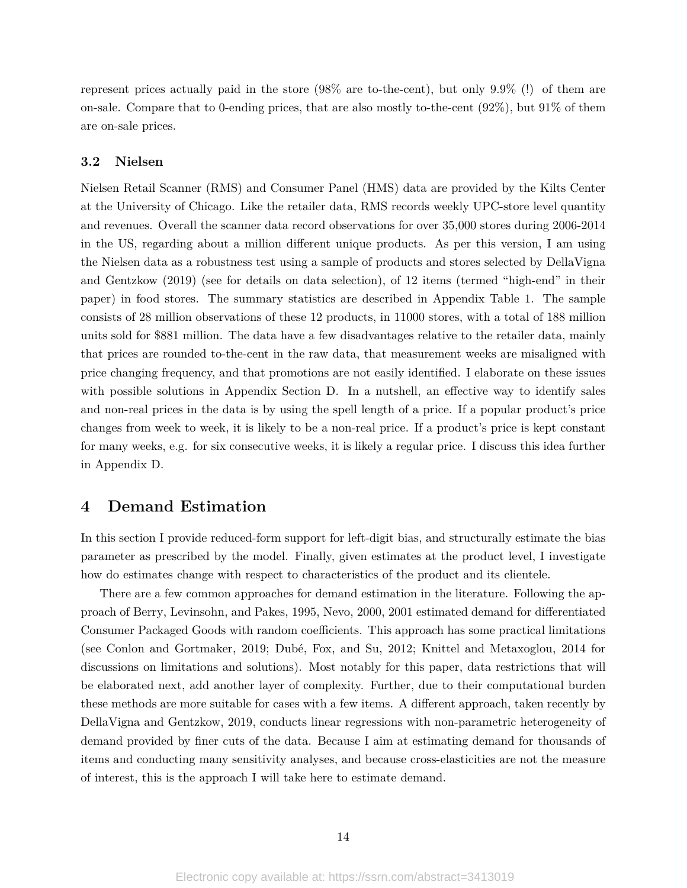represent prices actually paid in the store (98% are to-the-cent), but only 9.9% (!) of them are on-sale. Compare that to 0-ending prices, that are also mostly to-the-cent  $(92\%)$ , but  $91\%$  of them are on-sale prices.

#### **3.2 Nielsen**

Nielsen Retail Scanner (RMS) and Consumer Panel (HMS) data are provided by the Kilts Center at the University of Chicago. Like the retailer data, RMS records weekly UPC-store level quantity and revenues. Overall the scanner data record observations for over 35,000 stores during 2006-2014 in the US, regarding about a million different unique products. As per this version, I am using the Nielsen data as a robustness test using a sample of products and stores selected by DellaVigna and Gentzkow (2019) (see for details on data selection), of 12 items (termed "high-end" in their paper) in food stores. The summary statistics are described in Appendix Table 1. The sample consists of 28 million observations of these 12 products, in 11000 stores, with a total of 188 million units sold for \$881 million. The data have a few disadvantages relative to the retailer data, mainly that prices are rounded to-the-cent in the raw data, that measurement weeks are misaligned with price changing frequency, and that promotions are not easily identified. I elaborate on these issues with possible solutions in Appendix Section D. In a nutshell, an effective way to identify sales and non-real prices in the data is by using the spell length of a price. If a popular product's price changes from week to week, it is likely to be a non-real price. If a product's price is kept constant for many weeks, e.g. for six consecutive weeks, it is likely a regular price. I discuss this idea further in Appendix D.

## **4 Demand Estimation**

In this section I provide reduced-form support for left-digit bias, and structurally estimate the bias parameter as prescribed by the model. Finally, given estimates at the product level, I investigate how do estimates change with respect to characteristics of the product and its clientele.

There are a few common approaches for demand estimation in the literature. Following the approach of Berry, Levinsohn, and Pakes, 1995, Nevo, 2000, 2001 estimated demand for differentiated Consumer Packaged Goods with random coefficients. This approach has some practical limitations (see Conlon and Gortmaker, 2019; Dubé, Fox, and Su, 2012; Knittel and Metaxoglou, 2014 for discussions on limitations and solutions). Most notably for this paper, data restrictions that will be elaborated next, add another layer of complexity. Further, due to their computational burden these methods are more suitable for cases with a few items. A different approach, taken recently by DellaVigna and Gentzkow, 2019, conducts linear regressions with non-parametric heterogeneity of demand provided by finer cuts of the data. Because I aim at estimating demand for thousands of items and conducting many sensitivity analyses, and because cross-elasticities are not the measure of interest, this is the approach I will take here to estimate demand.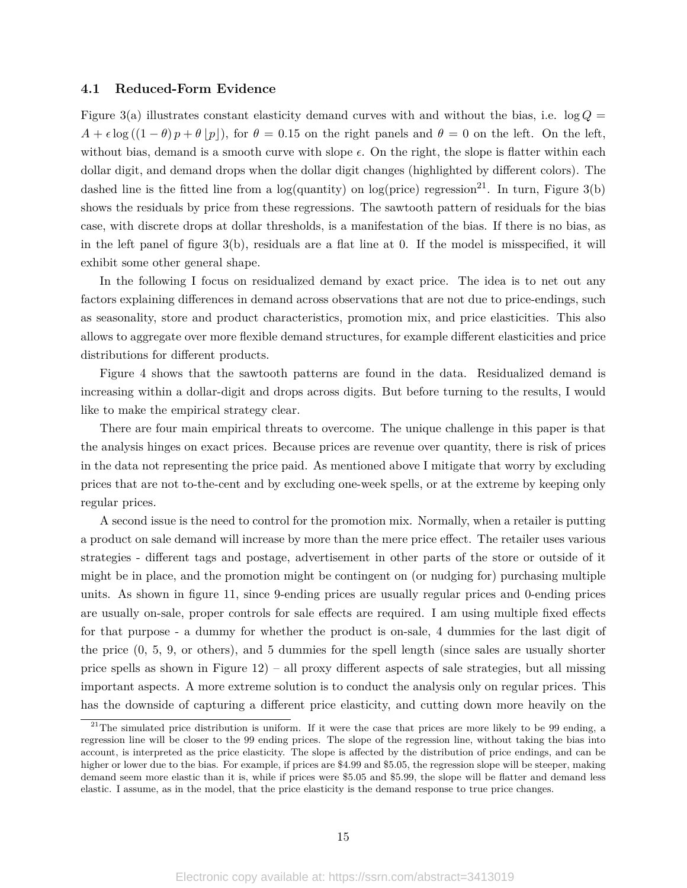#### **4.1 Reduced-Form Evidence**

Figure 3(a) illustrates constant elasticity demand curves with and without the bias, i.e.  $\log Q =$  $A + \epsilon \log((1 - \theta)p + \theta |p|)$ , for  $\theta = 0.15$  on the right panels and  $\theta = 0$  on the left. On the left, without bias, demand is a smooth curve with slope  $\epsilon$ . On the right, the slope is flatter within each dollar digit, and demand drops when the dollar digit changes (highlighted by different colors). The dashed line is the fitted line from a log(quantity) on log(price) regression<sup>21</sup>. In turn, Figure 3(b) shows the residuals by price from these regressions. The sawtooth pattern of residuals for the bias case, with discrete drops at dollar thresholds, is a manifestation of the bias. If there is no bias, as in the left panel of figure 3(b), residuals are a flat line at 0. If the model is misspecified, it will exhibit some other general shape.

In the following I focus on residualized demand by exact price. The idea is to net out any factors explaining differences in demand across observations that are not due to price-endings, such as seasonality, store and product characteristics, promotion mix, and price elasticities. This also allows to aggregate over more flexible demand structures, for example different elasticities and price distributions for different products.

Figure 4 shows that the sawtooth patterns are found in the data. Residualized demand is increasing within a dollar-digit and drops across digits. But before turning to the results, I would like to make the empirical strategy clear.

There are four main empirical threats to overcome. The unique challenge in this paper is that the analysis hinges on exact prices. Because prices are revenue over quantity, there is risk of prices in the data not representing the price paid. As mentioned above I mitigate that worry by excluding prices that are not to-the-cent and by excluding one-week spells, or at the extreme by keeping only regular prices.

A second issue is the need to control for the promotion mix. Normally, when a retailer is putting a product on sale demand will increase by more than the mere price effect. The retailer uses various strategies - different tags and postage, advertisement in other parts of the store or outside of it might be in place, and the promotion might be contingent on (or nudging for) purchasing multiple units. As shown in figure 11, since 9-ending prices are usually regular prices and 0-ending prices are usually on-sale, proper controls for sale effects are required. I am using multiple fixed effects for that purpose - a dummy for whether the product is on-sale, 4 dummies for the last digit of the price (0, 5, 9, or others), and 5 dummies for the spell length (since sales are usually shorter price spells as shown in Figure 12) – all proxy different aspects of sale strategies, but all missing important aspects. A more extreme solution is to conduct the analysis only on regular prices. This has the downside of capturing a different price elasticity, and cutting down more heavily on the

 $21$ The simulated price distribution is uniform. If it were the case that prices are more likely to be 99 ending, a regression line will be closer to the 99 ending prices. The slope of the regression line, without taking the bias into account, is interpreted as the price elasticity. The slope is affected by the distribution of price endings, and can be higher or lower due to the bias. For example, if prices are \$4.99 and \$5.05, the regression slope will be steeper, making demand seem more elastic than it is, while if prices were \$5.05 and \$5.99, the slope will be flatter and demand less elastic. I assume, as in the model, that the price elasticity is the demand response to true price changes.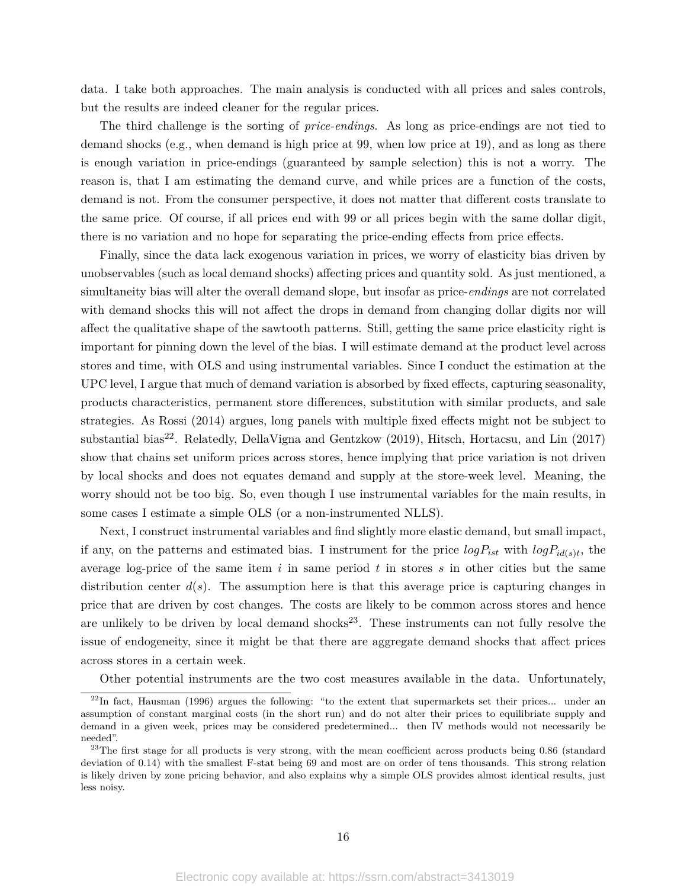data. I take both approaches. The main analysis is conducted with all prices and sales controls, but the results are indeed cleaner for the regular prices.

The third challenge is the sorting of *price-endings*. As long as price-endings are not tied to demand shocks (e.g., when demand is high price at 99, when low price at 19), and as long as there is enough variation in price-endings (guaranteed by sample selection) this is not a worry. The reason is, that I am estimating the demand curve, and while prices are a function of the costs, demand is not. From the consumer perspective, it does not matter that different costs translate to the same price. Of course, if all prices end with 99 or all prices begin with the same dollar digit, there is no variation and no hope for separating the price-ending effects from price effects.

Finally, since the data lack exogenous variation in prices, we worry of elasticity bias driven by unobservables (such as local demand shocks) affecting prices and quantity sold. As just mentioned, a simultaneity bias will alter the overall demand slope, but insofar as price-*endings* are not correlated with demand shocks this will not affect the drops in demand from changing dollar digits nor will affect the qualitative shape of the sawtooth patterns. Still, getting the same price elasticity right is important for pinning down the level of the bias. I will estimate demand at the product level across stores and time, with OLS and using instrumental variables. Since I conduct the estimation at the UPC level, I argue that much of demand variation is absorbed by fixed effects, capturing seasonality, products characteristics, permanent store differences, substitution with similar products, and sale strategies. As Rossi (2014) argues, long panels with multiple fixed effects might not be subject to substantial bias<sup>22</sup>. Relatedly, DellaVigna and Gentzkow (2019), Hitsch, Hortacsu, and Lin (2017) show that chains set uniform prices across stores, hence implying that price variation is not driven by local shocks and does not equates demand and supply at the store-week level. Meaning, the worry should not be too big. So, even though I use instrumental variables for the main results, in some cases I estimate a simple OLS (or a non-instrumented NLLS).

Next, I construct instrumental variables and find slightly more elastic demand, but small impact, if any, on the patterns and estimated bias. I instrument for the price  $logP_{ist}$  with  $logP_{id(s)t}$ , the average log-price of the same item  $i$  in same period  $t$  in stores  $s$  in other cities but the same distribution center  $d(s)$ . The assumption here is that this average price is capturing changes in price that are driven by cost changes. The costs are likely to be common across stores and hence are unlikely to be driven by local demand shocks<sup>23</sup>. These instruments can not fully resolve the issue of endogeneity, since it might be that there are aggregate demand shocks that affect prices across stores in a certain week.

Other potential instruments are the two cost measures available in the data. Unfortunately,

<sup>&</sup>lt;sup>22</sup>In fact, Hausman (1996) argues the following: "to the extent that supermarkets set their prices... under an assumption of constant marginal costs (in the short run) and do not alter their prices to equilibriate supply and demand in a given week, prices may be considered predetermined... then IV methods would not necessarily be needed".

 $^{23}$ The first stage for all products is very strong, with the mean coefficient across products being 0.86 (standard deviation of 0.14) with the smallest F-stat being 69 and most are on order of tens thousands. This strong relation is likely driven by zone pricing behavior, and also explains why a simple OLS provides almost identical results, just less noisy.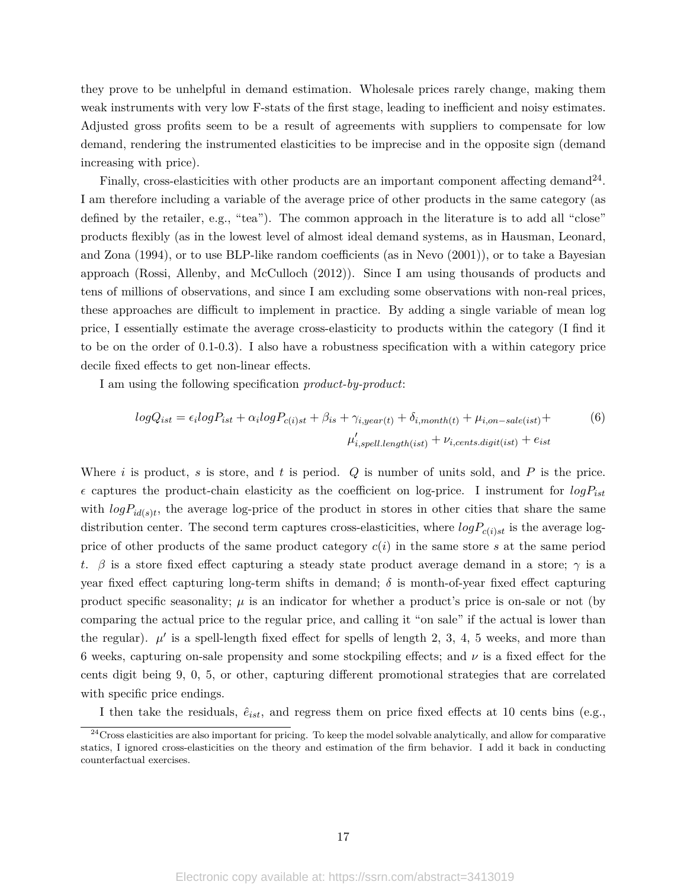they prove to be unhelpful in demand estimation. Wholesale prices rarely change, making them weak instruments with very low F-stats of the first stage, leading to inefficient and noisy estimates. Adjusted gross profits seem to be a result of agreements with suppliers to compensate for low demand, rendering the instrumented elasticities to be imprecise and in the opposite sign (demand increasing with price).

Finally, cross-elasticities with other products are an important component affecting demand<sup>24</sup>. I am therefore including a variable of the average price of other products in the same category (as defined by the retailer, e.g., "tea"). The common approach in the literature is to add all "close" products flexibly (as in the lowest level of almost ideal demand systems, as in Hausman, Leonard, and Zona (1994), or to use BLP-like random coefficients (as in Nevo (2001)), or to take a Bayesian approach (Rossi, Allenby, and McCulloch (2012)). Since I am using thousands of products and tens of millions of observations, and since I am excluding some observations with non-real prices, these approaches are difficult to implement in practice. By adding a single variable of mean log price, I essentially estimate the average cross-elasticity to products within the category (I find it to be on the order of 0.1-0.3). I also have a robustness specification with a within category price decile fixed effects to get non-linear effects.

I am using the following specification *product-by-product*:

$$
logQ_{ist} = \epsilon_i logP_{ist} + \alpha_i logP_{c(i)st} + \beta_{is} + \gamma_{i, year(t)} + \delta_{i, month(t)} + \mu_{i, on-sale(ist)} +
$$
  

$$
\mu'_{i, spell.length(ist)} + \nu_{i, cents.digit(ist)} + e_{ist}
$$
 (6)

Where *i* is product, *s* is store, and *t* is period. *Q* is number of units sold, and *P* is the price.  $\epsilon$  captures the product-chain elasticity as the coefficient on log-price. I instrument for  $logP_{ist}$ with  $logP_{id(s)t}$ , the average log-price of the product in stores in other cities that share the same distribution center. The second term captures cross-elasticities, where  $logP_{c(i)st}$  is the average logprice of other products of the same product category *c*(*i*) in the same store *s* at the same period *t*. *β* is a store fixed effect capturing a steady state product average demand in a store; *γ* is a year fixed effect capturing long-term shifts in demand; *δ* is month-of-year fixed effect capturing product specific seasonality;  $\mu$  is an indicator for whether a product's price is on-sale or not (by comparing the actual price to the regular price, and calling it "on sale" if the actual is lower than the regular).  $\mu'$  is a spell-length fixed effect for spells of length 2, 3, 4, 5 weeks, and more than 6 weeks, capturing on-sale propensity and some stockpiling effects; and *ν* is a fixed effect for the cents digit being 9, 0, 5, or other, capturing different promotional strategies that are correlated with specific price endings.

I then take the residuals,  $\hat{e}_{ist}$ , and regress them on price fixed effects at 10 cents bins (e.g.,

 $24$ Cross elasticities are also important for pricing. To keep the model solvable analytically, and allow for comparative statics, I ignored cross-elasticities on the theory and estimation of the firm behavior. I add it back in conducting counterfactual exercises.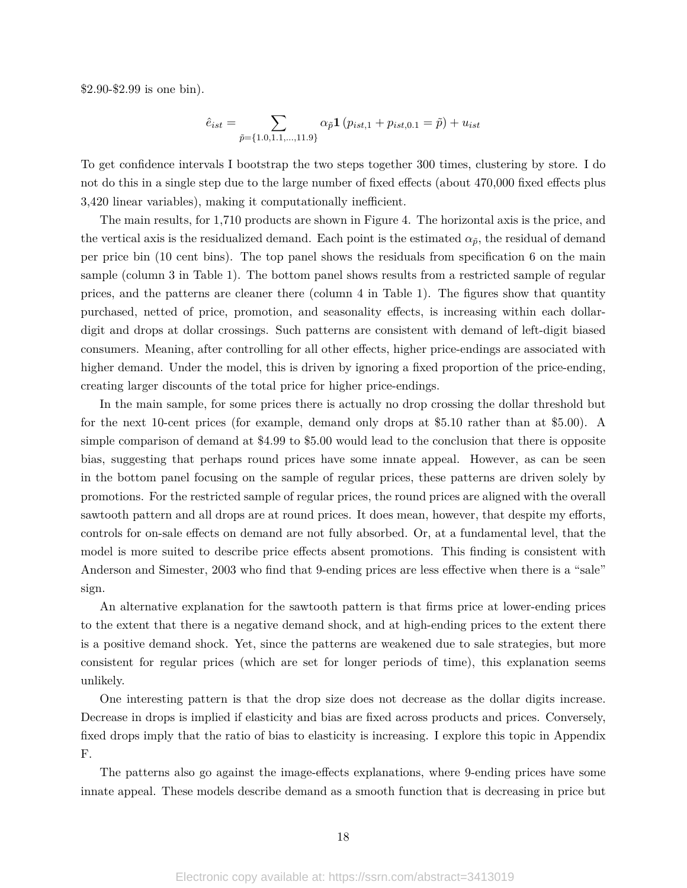\$2.90-\$2.99 is one bin).

$$
\hat{e}_{ist} = \sum_{\tilde{p} = \{1.0, 1.1, ..., 11.9\}} \alpha_{\tilde{p}} \mathbf{1} \left( p_{ist,1} + p_{ist,0.1} = \tilde{p} \right) + u_{ist}
$$

To get confidence intervals I bootstrap the two steps together 300 times, clustering by store. I do not do this in a single step due to the large number of fixed effects (about 470,000 fixed effects plus 3,420 linear variables), making it computationally inefficient.

The main results, for 1,710 products are shown in Figure 4. The horizontal axis is the price, and the vertical axis is the residualized demand. Each point is the estimated  $\alpha_{\tilde{p}}$ , the residual of demand per price bin (10 cent bins). The top panel shows the residuals from specification 6 on the main sample (column 3 in Table 1). The bottom panel shows results from a restricted sample of regular prices, and the patterns are cleaner there (column 4 in Table 1). The figures show that quantity purchased, netted of price, promotion, and seasonality effects, is increasing within each dollardigit and drops at dollar crossings. Such patterns are consistent with demand of left-digit biased consumers. Meaning, after controlling for all other effects, higher price-endings are associated with higher demand. Under the model, this is driven by ignoring a fixed proportion of the price-ending, creating larger discounts of the total price for higher price-endings.

In the main sample, for some prices there is actually no drop crossing the dollar threshold but for the next 10-cent prices (for example, demand only drops at \$5.10 rather than at \$5.00). A simple comparison of demand at \$4.99 to \$5.00 would lead to the conclusion that there is opposite bias, suggesting that perhaps round prices have some innate appeal. However, as can be seen in the bottom panel focusing on the sample of regular prices, these patterns are driven solely by promotions. For the restricted sample of regular prices, the round prices are aligned with the overall sawtooth pattern and all drops are at round prices. It does mean, however, that despite my efforts, controls for on-sale effects on demand are not fully absorbed. Or, at a fundamental level, that the model is more suited to describe price effects absent promotions. This finding is consistent with Anderson and Simester, 2003 who find that 9-ending prices are less effective when there is a "sale" sign.

An alternative explanation for the sawtooth pattern is that firms price at lower-ending prices to the extent that there is a negative demand shock, and at high-ending prices to the extent there is a positive demand shock. Yet, since the patterns are weakened due to sale strategies, but more consistent for regular prices (which are set for longer periods of time), this explanation seems unlikely.

One interesting pattern is that the drop size does not decrease as the dollar digits increase. Decrease in drops is implied if elasticity and bias are fixed across products and prices. Conversely, fixed drops imply that the ratio of bias to elasticity is increasing. I explore this topic in Appendix F.

The patterns also go against the image-effects explanations, where 9-ending prices have some innate appeal. These models describe demand as a smooth function that is decreasing in price but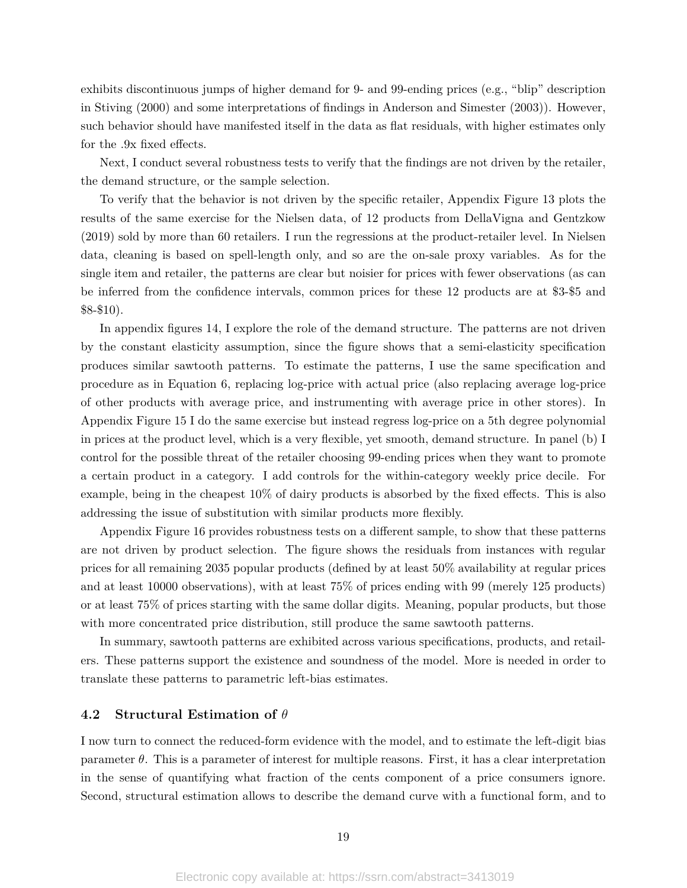exhibits discontinuous jumps of higher demand for 9- and 99-ending prices (e.g., "blip" description in Stiving (2000) and some interpretations of findings in Anderson and Simester (2003)). However, such behavior should have manifested itself in the data as flat residuals, with higher estimates only for the .9x fixed effects.

Next, I conduct several robustness tests to verify that the findings are not driven by the retailer, the demand structure, or the sample selection.

To verify that the behavior is not driven by the specific retailer, Appendix Figure 13 plots the results of the same exercise for the Nielsen data, of 12 products from DellaVigna and Gentzkow (2019) sold by more than 60 retailers. I run the regressions at the product-retailer level. In Nielsen data, cleaning is based on spell-length only, and so are the on-sale proxy variables. As for the single item and retailer, the patterns are clear but noisier for prices with fewer observations (as can be inferred from the confidence intervals, common prices for these 12 products are at \$3-\$5 and \$8-\$10).

In appendix figures 14, I explore the role of the demand structure. The patterns are not driven by the constant elasticity assumption, since the figure shows that a semi-elasticity specification produces similar sawtooth patterns. To estimate the patterns, I use the same specification and procedure as in Equation 6, replacing log-price with actual price (also replacing average log-price of other products with average price, and instrumenting with average price in other stores). In Appendix Figure 15 I do the same exercise but instead regress log-price on a 5th degree polynomial in prices at the product level, which is a very flexible, yet smooth, demand structure. In panel (b) I control for the possible threat of the retailer choosing 99-ending prices when they want to promote a certain product in a category. I add controls for the within-category weekly price decile. For example, being in the cheapest 10% of dairy products is absorbed by the fixed effects. This is also addressing the issue of substitution with similar products more flexibly.

Appendix Figure 16 provides robustness tests on a different sample, to show that these patterns are not driven by product selection. The figure shows the residuals from instances with regular prices for all remaining 2035 popular products (defined by at least 50% availability at regular prices and at least 10000 observations), with at least 75% of prices ending with 99 (merely 125 products) or at least 75% of prices starting with the same dollar digits. Meaning, popular products, but those with more concentrated price distribution, still produce the same sawtooth patterns.

In summary, sawtooth patterns are exhibited across various specifications, products, and retailers. These patterns support the existence and soundness of the model. More is needed in order to translate these patterns to parametric left-bias estimates.

#### **4.2 Structural Estimation of** *θ*

I now turn to connect the reduced-form evidence with the model, and to estimate the left-digit bias parameter  $\theta$ . This is a parameter of interest for multiple reasons. First, it has a clear interpretation in the sense of quantifying what fraction of the cents component of a price consumers ignore. Second, structural estimation allows to describe the demand curve with a functional form, and to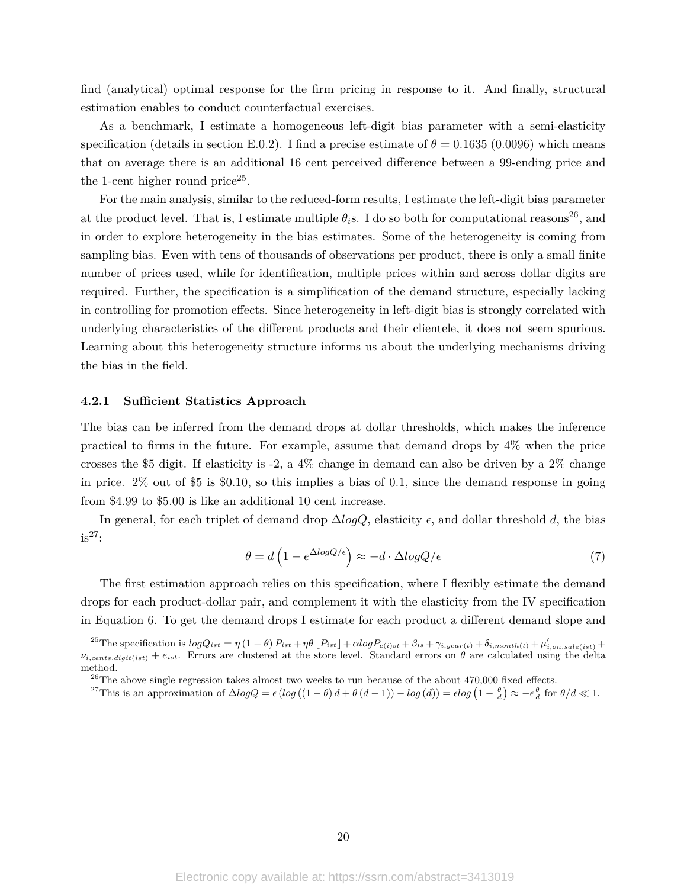find (analytical) optimal response for the firm pricing in response to it. And finally, structural estimation enables to conduct counterfactual exercises.

As a benchmark, I estimate a homogeneous left-digit bias parameter with a semi-elasticity specification (details in section E.0.2). I find a precise estimate of  $\theta = 0.1635$  (0.0096) which means that on average there is an additional 16 cent perceived difference between a 99-ending price and the 1-cent higher round price<sup>25</sup>.

For the main analysis, similar to the reduced-form results, I estimate the left-digit bias parameter at the product level. That is, I estimate multiple  $\theta_i$ s. I do so both for computational reasons<sup>26</sup>, and in order to explore heterogeneity in the bias estimates. Some of the heterogeneity is coming from sampling bias. Even with tens of thousands of observations per product, there is only a small finite number of prices used, while for identification, multiple prices within and across dollar digits are required. Further, the specification is a simplification of the demand structure, especially lacking in controlling for promotion effects. Since heterogeneity in left-digit bias is strongly correlated with underlying characteristics of the different products and their clientele, it does not seem spurious. Learning about this heterogeneity structure informs us about the underlying mechanisms driving the bias in the field.

#### **4.2.1 Sufficient Statistics Approach**

The bias can be inferred from the demand drops at dollar thresholds, which makes the inference practical to firms in the future. For example, assume that demand drops by 4% when the price crosses the \$5 digit. If elasticity is -2, a 4% change in demand can also be driven by a 2% change in price. 2% out of \$5 is \$0.10, so this implies a bias of 0.1, since the demand response in going from \$4.99 to \$5.00 is like an additional 10 cent increase.

In general, for each triplet of demand drop  $\Delta log Q$ , elasticity  $\epsilon$ , and dollar threshold *d*, the bias  $is^{27}$ :

$$
\theta = d \left( 1 - e^{\Delta \log Q/\epsilon} \right) \approx -d \cdot \Delta \log Q/\epsilon \tag{7}
$$

The first estimation approach relies on this specification, where I flexibly estimate the demand drops for each product-dollar pair, and complement it with the elasticity from the IV specification in Equation 6. To get the demand drops I estimate for each product a different demand slope and

<sup>&</sup>lt;sup>25</sup>The specification is  $logQ_{ist} = \eta (1 - \theta) P_{ist} + \eta \theta \left[ P_{ist} \right] + \alpha logP_{c(i)st} + \beta_{is} + \gamma_{i, year(t)} + \delta_{i, month(t)} + \mu'_{i, on. sale (ist)} +$  $\nu_{i,cents,digit(it)} + e_{ist}$ . Errors are clustered at the store level. Standard errors on *θ* are calculated using the delta method.

 $^{26}$ The above single regression takes almost two weeks to run because of the about 470,000 fixed effects.

<sup>&</sup>lt;sup>27</sup>This is an approximation of  $\triangle log Q = \epsilon (log ((1 - \theta) d + \theta (d - 1)) - log (d)) = \epsilon log (1 - \frac{\theta}{d}) \approx -\epsilon \frac{\theta}{d}$  for  $\theta/d \ll 1$ .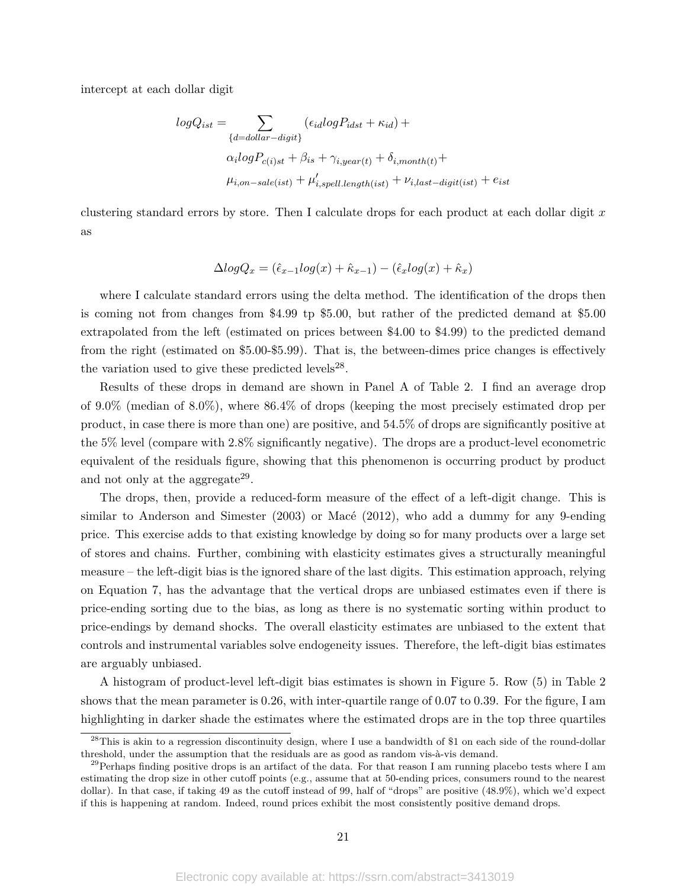intercept at each dollar digit

$$
logQ_{ist} = \sum_{\{d = dollar-digit\}} (\epsilon_{id} logP_{idst} + \kappa_{id}) +
$$

$$
\alpha_i logP_{c(i)st} + \beta_{is} + \gamma_{i, year(t)} + \delta_{i, month(t)} +
$$

$$
\mu_{i, on-sale(ist)} + \mu'_{i, spell.length(ist)} + \nu_{i, last-digit(ist)} + e_{ist}
$$

clustering standard errors by store. Then I calculate drops for each product at each dollar digit *x* as

$$
\Delta log Q_x = (\hat{\epsilon}_{x-1} log(x) + \hat{\kappa}_{x-1}) - (\hat{\epsilon}_x log(x) + \hat{\kappa}_x)
$$

where I calculate standard errors using the delta method. The identification of the drops then is coming not from changes from \$4.99 tp \$5.00, but rather of the predicted demand at \$5.00 extrapolated from the left (estimated on prices between \$4.00 to \$4.99) to the predicted demand from the right (estimated on \$5.00-\$5.99). That is, the between-dimes price changes is effectively the variation used to give these predicted levels $^{28}$ .

Results of these drops in demand are shown in Panel A of Table 2. I find an average drop of 9.0% (median of 8.0%), where 86.4% of drops (keeping the most precisely estimated drop per product, in case there is more than one) are positive, and 54.5% of drops are significantly positive at the 5% level (compare with 2.8% significantly negative). The drops are a product-level econometric equivalent of the residuals figure, showing that this phenomenon is occurring product by product and not only at the aggregate<sup>29</sup>.

The drops, then, provide a reduced-form measure of the effect of a left-digit change. This is similar to Anderson and Simester (2003) or Macé (2012), who add a dummy for any 9-ending price. This exercise adds to that existing knowledge by doing so for many products over a large set of stores and chains. Further, combining with elasticity estimates gives a structurally meaningful measure – the left-digit bias is the ignored share of the last digits. This estimation approach, relying on Equation 7, has the advantage that the vertical drops are unbiased estimates even if there is price-ending sorting due to the bias, as long as there is no systematic sorting within product to price-endings by demand shocks. The overall elasticity estimates are unbiased to the extent that controls and instrumental variables solve endogeneity issues. Therefore, the left-digit bias estimates are arguably unbiased.

A histogram of product-level left-digit bias estimates is shown in Figure 5. Row (5) in Table 2 shows that the mean parameter is 0.26, with inter-quartile range of 0.07 to 0.39. For the figure, I am highlighting in darker shade the estimates where the estimated drops are in the top three quartiles

<sup>&</sup>lt;sup>28</sup>This is akin to a regression discontinuity design, where I use a bandwidth of \$1 on each side of the round-dollar threshold, under the assumption that the residuals are as good as random vis-à-vis demand.

<sup>&</sup>lt;sup>29</sup>Perhaps finding positive drops is an artifact of the data. For that reason I am running placebo tests where I am estimating the drop size in other cutoff points (e.g., assume that at 50-ending prices, consumers round to the nearest dollar). In that case, if taking 49 as the cutoff instead of 99, half of "drops" are positive (48.9%), which we'd expect if this is happening at random. Indeed, round prices exhibit the most consistently positive demand drops.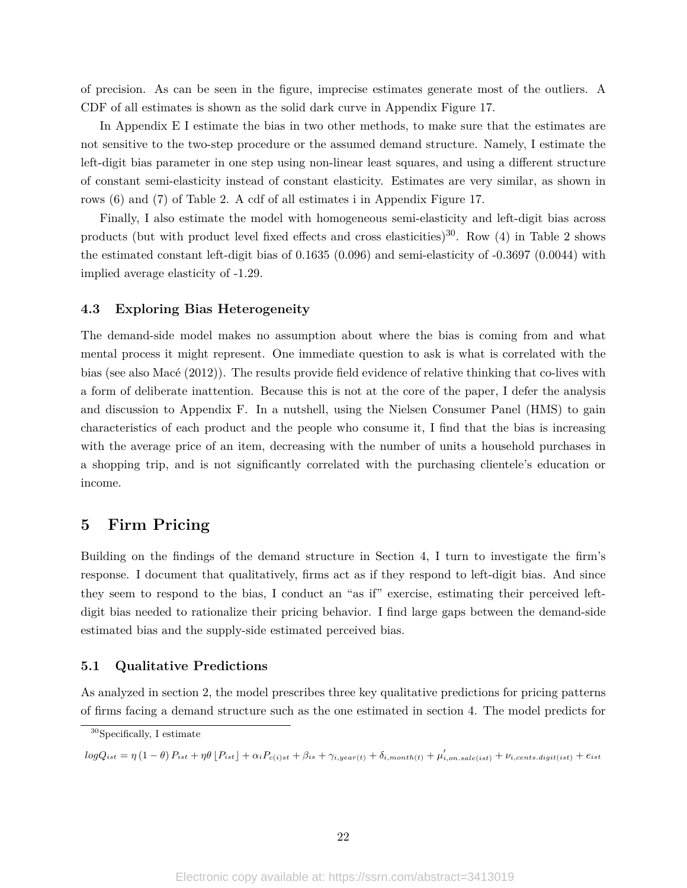of precision. As can be seen in the figure, imprecise estimates generate most of the outliers. A CDF of all estimates is shown as the solid dark curve in Appendix Figure 17.

In Appendix E I estimate the bias in two other methods, to make sure that the estimates are not sensitive to the two-step procedure or the assumed demand structure. Namely, I estimate the left-digit bias parameter in one step using non-linear least squares, and using a different structure of constant semi-elasticity instead of constant elasticity. Estimates are very similar, as shown in rows (6) and (7) of Table 2. A cdf of all estimates i in Appendix Figure 17.

Finally, I also estimate the model with homogeneous semi-elasticity and left-digit bias across products (but with product level fixed effects and cross elasticities)<sup>30</sup>. Row (4) in Table 2 shows the estimated constant left-digit bias of 0.1635 (0.096) and semi-elasticity of -0.3697 (0.0044) with implied average elasticity of -1.29.

#### **4.3 Exploring Bias Heterogeneity**

The demand-side model makes no assumption about where the bias is coming from and what mental process it might represent. One immediate question to ask is what is correlated with the bias (see also Macé (2012)). The results provide field evidence of relative thinking that co-lives with a form of deliberate inattention. Because this is not at the core of the paper, I defer the analysis and discussion to Appendix F. In a nutshell, using the Nielsen Consumer Panel (HMS) to gain characteristics of each product and the people who consume it, I find that the bias is increasing with the average price of an item, decreasing with the number of units a household purchases in a shopping trip, and is not significantly correlated with the purchasing clientele's education or income.

## **5 Firm Pricing**

Building on the findings of the demand structure in Section 4, I turn to investigate the firm's response. I document that qualitatively, firms act as if they respond to left-digit bias. And since they seem to respond to the bias, I conduct an "as if" exercise, estimating their perceived leftdigit bias needed to rationalize their pricing behavior. I find large gaps between the demand-side estimated bias and the supply-side estimated perceived bias.

#### **5.1 Qualitative Predictions**

As analyzed in section 2, the model prescribes three key qualitative predictions for pricing patterns of firms facing a demand structure such as the one estimated in section 4. The model predicts for

 $logQ_{ist} = \eta (1-\theta) P_{ist} + \eta \theta \left[ P_{ist} \right] + \alpha_i P_{c(i)st} + \beta_{is} + \gamma_{i, year(t)} + \delta_{i, month(t)} + \mu'_{i, on. sale (ist)} + \nu_{i, cents. digit (ist)} + e_{ist}$ 

<sup>30</sup>Specifically, I estimate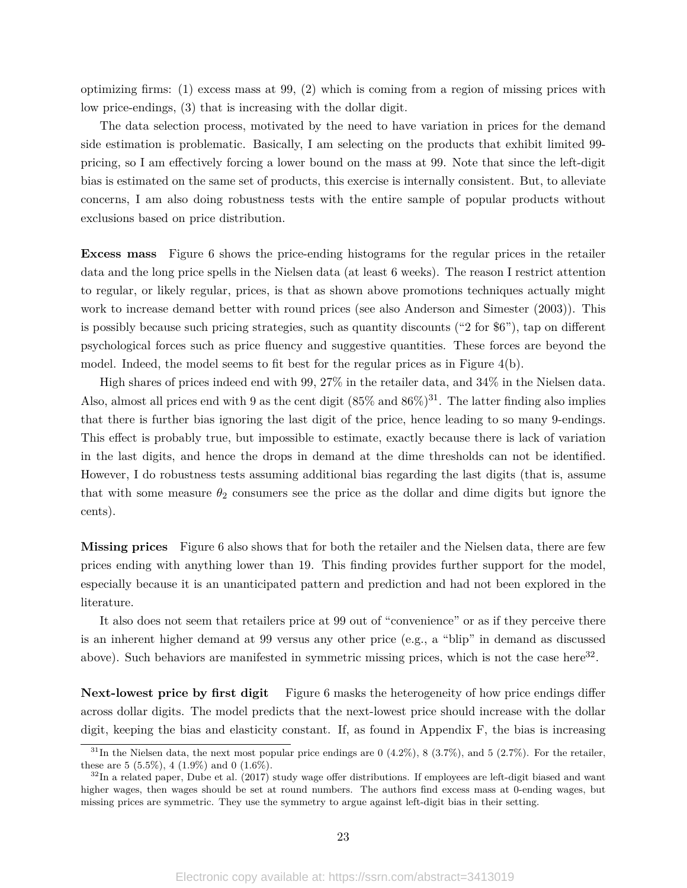optimizing firms: (1) excess mass at 99, (2) which is coming from a region of missing prices with low price-endings, (3) that is increasing with the dollar digit.

The data selection process, motivated by the need to have variation in prices for the demand side estimation is problematic. Basically, I am selecting on the products that exhibit limited 99 pricing, so I am effectively forcing a lower bound on the mass at 99. Note that since the left-digit bias is estimated on the same set of products, this exercise is internally consistent. But, to alleviate concerns, I am also doing robustness tests with the entire sample of popular products without exclusions based on price distribution.

**Excess mass** Figure 6 shows the price-ending histograms for the regular prices in the retailer data and the long price spells in the Nielsen data (at least 6 weeks). The reason I restrict attention to regular, or likely regular, prices, is that as shown above promotions techniques actually might work to increase demand better with round prices (see also Anderson and Simester (2003)). This is possibly because such pricing strategies, such as quantity discounts ("2 for \$6"), tap on different psychological forces such as price fluency and suggestive quantities. These forces are beyond the model. Indeed, the model seems to fit best for the regular prices as in Figure  $4(b)$ .

High shares of prices indeed end with 99, 27% in the retailer data, and 34% in the Nielsen data. Also, almost all prices end with 9 as the cent digit  $(85\% \text{ and } 86\%)^{31}$ . The latter finding also implies that there is further bias ignoring the last digit of the price, hence leading to so many 9-endings. This effect is probably true, but impossible to estimate, exactly because there is lack of variation in the last digits, and hence the drops in demand at the dime thresholds can not be identified. However, I do robustness tests assuming additional bias regarding the last digits (that is, assume that with some measure  $\theta_2$  consumers see the price as the dollar and dime digits but ignore the cents).

**Missing prices** Figure 6 also shows that for both the retailer and the Nielsen data, there are few prices ending with anything lower than 19. This finding provides further support for the model, especially because it is an unanticipated pattern and prediction and had not been explored in the literature.

It also does not seem that retailers price at 99 out of "convenience" or as if they perceive there is an inherent higher demand at 99 versus any other price (e.g., a "blip" in demand as discussed above). Such behaviors are manifested in symmetric missing prices, which is not the case here<sup>32</sup>.

**Next-lowest price by first digit** Figure 6 masks the heterogeneity of how price endings differ across dollar digits. The model predicts that the next-lowest price should increase with the dollar digit, keeping the bias and elasticity constant. If, as found in Appendix F, the bias is increasing

 $31$ In the Nielsen data, the next most popular price endings are 0 (4.2%), 8 (3.7%), and 5 (2.7%). For the retailer, these are 5  $(5.5\%, 4 (1.9\%)$  and 0  $(1.6\%).$ 

 $32$ In a related paper, Dube et al. (2017) study wage offer distributions. If employees are left-digit biased and want higher wages, then wages should be set at round numbers. The authors find excess mass at 0-ending wages, but missing prices are symmetric. They use the symmetry to argue against left-digit bias in their setting.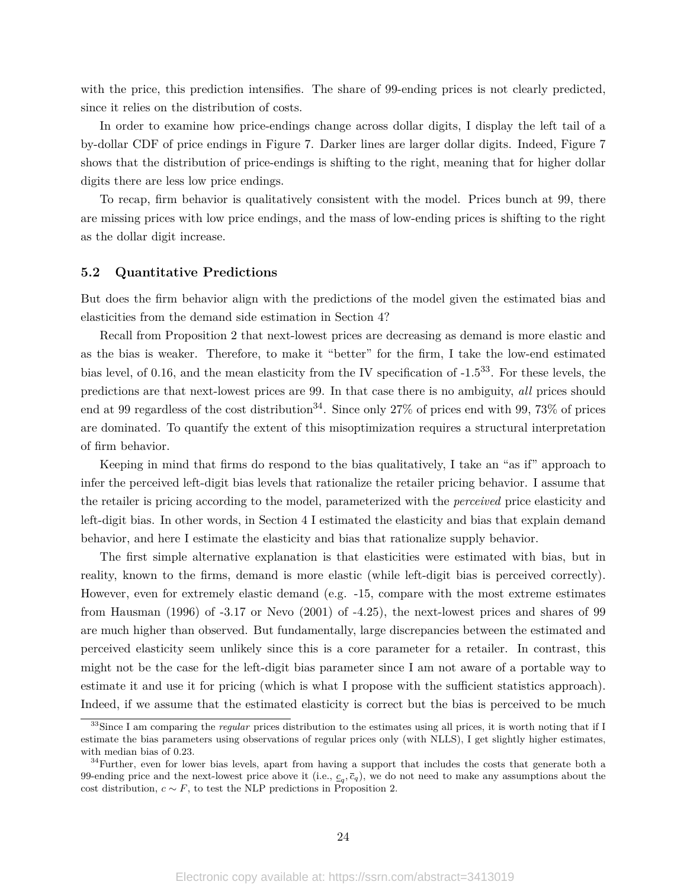with the price, this prediction intensifies. The share of 99-ending prices is not clearly predicted, since it relies on the distribution of costs.

In order to examine how price-endings change across dollar digits, I display the left tail of a by-dollar CDF of price endings in Figure 7. Darker lines are larger dollar digits. Indeed, Figure 7 shows that the distribution of price-endings is shifting to the right, meaning that for higher dollar digits there are less low price endings.

To recap, firm behavior is qualitatively consistent with the model. Prices bunch at 99, there are missing prices with low price endings, and the mass of low-ending prices is shifting to the right as the dollar digit increase.

#### **5.2 Quantitative Predictions**

But does the firm behavior align with the predictions of the model given the estimated bias and elasticities from the demand side estimation in Section 4?

Recall from Proposition 2 that next-lowest prices are decreasing as demand is more elastic and as the bias is weaker. Therefore, to make it "better" for the firm, I take the low-end estimated bias level, of 0.16, and the mean elasticity from the IV specification of -1.533. For these levels, the predictions are that next-lowest prices are 99. In that case there is no ambiguity, *all* prices should end at 99 regardless of the cost distribution<sup>34</sup>. Since only 27% of prices end with 99, 73% of prices are dominated. To quantify the extent of this misoptimization requires a structural interpretation of firm behavior.

Keeping in mind that firms do respond to the bias qualitatively, I take an "as if" approach to infer the perceived left-digit bias levels that rationalize the retailer pricing behavior. I assume that the retailer is pricing according to the model, parameterized with the *perceived* price elasticity and left-digit bias. In other words, in Section 4 I estimated the elasticity and bias that explain demand behavior, and here I estimate the elasticity and bias that rationalize supply behavior.

The first simple alternative explanation is that elasticities were estimated with bias, but in reality, known to the firms, demand is more elastic (while left-digit bias is perceived correctly). However, even for extremely elastic demand (e.g. -15, compare with the most extreme estimates from Hausman (1996) of -3.17 or Nevo (2001) of -4.25), the next-lowest prices and shares of 99 are much higher than observed. But fundamentally, large discrepancies between the estimated and perceived elasticity seem unlikely since this is a core parameter for a retailer. In contrast, this might not be the case for the left-digit bias parameter since I am not aware of a portable way to estimate it and use it for pricing (which is what I propose with the sufficient statistics approach). Indeed, if we assume that the estimated elasticity is correct but the bias is perceived to be much

<sup>&</sup>lt;sup>33</sup>Since I am comparing the *regular* prices distribution to the estimates using all prices, it is worth noting that if I estimate the bias parameters using observations of regular prices only (with NLLS), I get slightly higher estimates, with median bias of 0.23.

 $34$ Further, even for lower bias levels, apart from having a support that includes the costs that generate both a 99-ending price and the next-lowest price above it (i.e.,  $c_q$ ,  $\bar{c}_q$ ), we do not need to make any assumptions about the cost distribution,  $c \sim F$ , to test the NLP predictions in Proposition 2.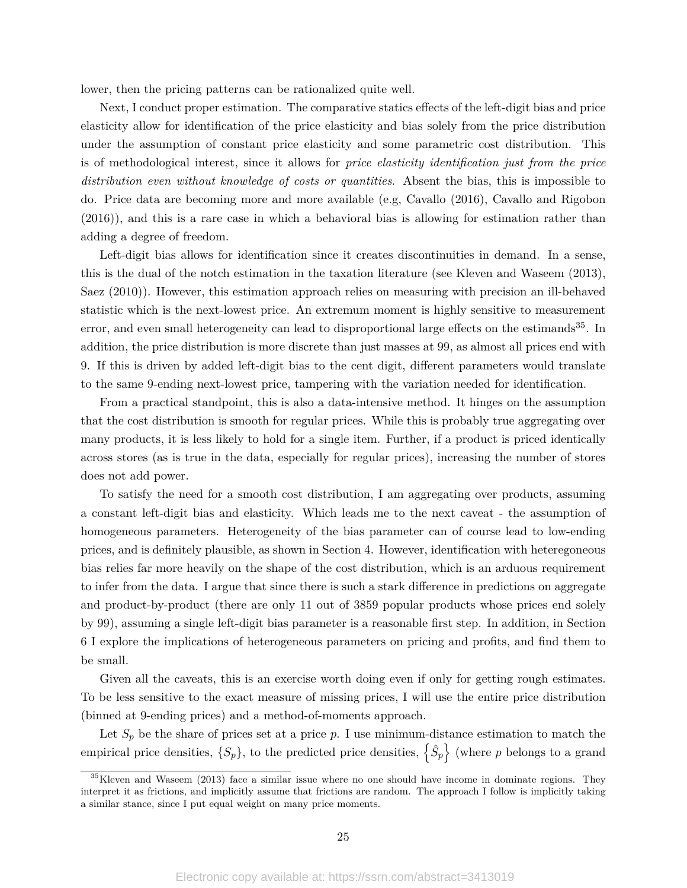lower, then the pricing patterns can be rationalized quite well.

Next, I conduct proper estimation. The comparative statics effects of the left-digit bias and price elasticity allow for identification of the price elasticity and bias solely from the price distribution under the assumption of constant price elasticity and some parametric cost distribution. This is of methodological interest, since it allows for *price elasticity identification just from the price distribution even without knowledge of costs or quantities*. Absent the bias, this is impossible to do. Price data are becoming more and more available (e.g, Cavallo (2016), Cavallo and Rigobon (2016)), and this is a rare case in which a behavioral bias is allowing for estimation rather than adding a degree of freedom.

Left-digit bias allows for identification since it creates discontinuities in demand. In a sense, this is the dual of the notch estimation in the taxation literature (see Kleven and Waseem (2013), Saez (2010)). However, this estimation approach relies on measuring with precision an ill-behaved statistic which is the next-lowest price. An extremum moment is highly sensitive to measurement error, and even small heterogeneity can lead to disproportional large effects on the estimands<sup>35</sup>. In addition, the price distribution is more discrete than just masses at 99, as almost all prices end with 9. If this is driven by added left-digit bias to the cent digit, different parameters would translate to the same 9-ending next-lowest price, tampering with the variation needed for identification.

From a practical standpoint, this is also a data-intensive method. It hinges on the assumption that the cost distribution is smooth for regular prices. While this is probably true aggregating over many products, it is less likely to hold for a single item. Further, if a product is priced identically across stores (as is true in the data, especially for regular prices), increasing the number of stores does not add power.

To satisfy the need for a smooth cost distribution, I am aggregating over products, assuming a constant left-digit bias and elasticity. Which leads me to the next caveat - the assumption of homogeneous parameters. Heterogeneity of the bias parameter can of course lead to low-ending prices, and is definitely plausible, as shown in Section 4. However, identification with heteregoneous bias relies far more heavily on the shape of the cost distribution, which is an arduous requirement to infer from the data. I argue that since there is such a stark difference in predictions on aggregate and product-by-product (there are only 11 out of 3859 popular products whose prices end solely by 99), assuming a single left-digit bias parameter is a reasonable first step. In addition, in Section 6 I explore the implications of heterogeneous parameters on pricing and profits, and find them to be small.

Given all the caveats, this is an exercise worth doing even if only for getting rough estimates. To be less sensitive to the exact measure of missing prices, I will use the entire price distribution (binned at 9-ending prices) and a method-of-moments approach.

Let  $S_p$  be the share of prices set at a price p. I use minimum-distance estimation to match the empirical price densities,  $\{S_p\}$ , to the predicted price densities,  $\{\hat{S}_p\}$  (where *p* belongs to a grand

<sup>&</sup>lt;sup>35</sup>Kleven and Waseem (2013) face a similar issue where no one should have income in dominate regions. They interpret it as frictions, and implicitly assume that frictions are random. The approach I follow is implicitly taking a similar stance, since I put equal weight on many price moments.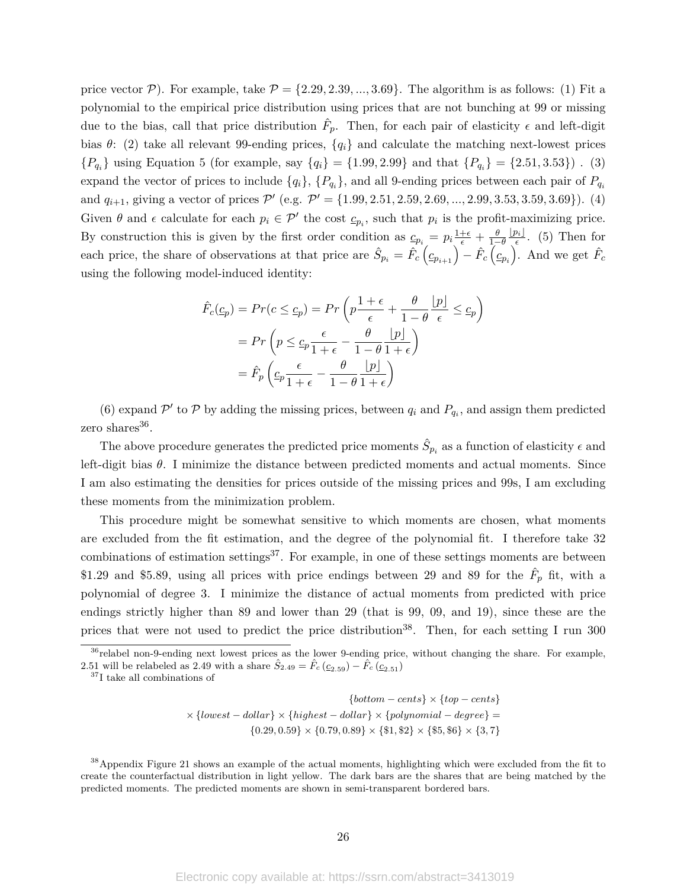price vector  $P$ ). For example, take  $P = \{2.29, 2.39, ..., 3.69\}$ . The algorithm is as follows: (1) Fit a polynomial to the empirical price distribution using prices that are not bunching at 99 or missing due to the bias, call that price distribution  $\hat{F}_p$ . Then, for each pair of elasticity  $\epsilon$  and left-digit bias  $\theta$ : (2) take all relevant 99-ending prices,  $\{q_i\}$  and calculate the matching next-lowest prices  ${P_{q_i}}$  using Equation 5 (for example, say  ${q_i} = {1.99, 2.99}$  and that  ${P_{q_i}} = {2.51, 3.53}$ ). (3) expand the vector of prices to include  $\{q_i\}$ ,  $\{P_{q_i}\}$ , and all 9-ending prices between each pair of  $P_{q_i}$ and  $q_{i+1}$ , giving a vector of prices  $\mathcal{P}'$  (e.g.  $\mathcal{P}' = \{1.99, 2.51, 2.59, 2.69, ..., 2.99, 3.53, 3.59, 3.69\}$ ). (4) Given  $\theta$  and  $\epsilon$  calculate for each  $p_i \in \mathcal{P}'$  the cost  $\underline{c}_{p_i}$ , such that  $p_i$  is the profit-maximizing price. By construction this is given by the first order condition as  $\underline{c}_{p_i} = p_i \frac{1+\epsilon}{\epsilon} + \frac{\theta}{1-\theta}$  $\lfloor p_i \rfloor$  $\frac{\partial i}{\epsilon}$ . (5) Then for each price, the share of observations at that price are  $\hat{S}_{p_i} = \hat{F}_c \left( c_{p_{i+1}} \right) - \hat{F}_c \left( c_{p_i} \right)$ . And we get  $\hat{F}_c$ using the following model-induced identity:

$$
\hat{F}_c(\underline{c}_p) = Pr(c \le \underline{c}_p) = Pr\left(p\frac{1+\epsilon}{\epsilon} + \frac{\theta}{1-\theta}\frac{p}{\epsilon}\right) \le \underline{c}_p\right)
$$

$$
= Pr\left(p \le \underline{c}_p \frac{\epsilon}{1+\epsilon} - \frac{\theta}{1-\theta}\frac{p}{1+\epsilon}\right)
$$

$$
= \hat{F}_p\left(\underline{c}_p \frac{\epsilon}{1+\epsilon} - \frac{\theta}{1-\theta}\frac{p}{1+\epsilon}\right)
$$

(6) expand  $\mathcal{P}'$  to  $\mathcal{P}$  by adding the missing prices, between  $q_i$  and  $P_{q_i}$ , and assign them predicted zero shares<sup>36</sup>.

The above procedure generates the predicted price moments  $\hat{S}_{p_i}$  as a function of elasticity  $\epsilon$  and left-digit bias *θ*. I minimize the distance between predicted moments and actual moments. Since I am also estimating the densities for prices outside of the missing prices and 99s, I am excluding these moments from the minimization problem.

This procedure might be somewhat sensitive to which moments are chosen, what moments are excluded from the fit estimation, and the degree of the polynomial fit. I therefore take 32 combinations of estimation settings $37$ . For example, in one of these settings moments are between \$1.29 and \$5.89, using all prices with price endings between 29 and 89 for the  $\hat{F}_p$  fit, with a polynomial of degree 3. I minimize the distance of actual moments from predicted with price endings strictly higher than 89 and lower than 29 (that is 99, 09, and 19), since these are the prices that were not used to predict the price distribution<sup>38</sup>. Then, for each setting I run 300

$$
\{bottom-cents\} \times \{top-cents\}
$$

$$
\times \{lowest-dollar\} \times \{highest-dollar\} \times \{polynomial-degree\} = \{0.29, 0.59\} \times \{0.79, 0.89\} \times \{\$1, \$2\} \times \{\$5, \$6\} \times \{3, 7\}
$$

<sup>38</sup>Appendix Figure 21 shows an example of the actual moments, highlighting which were excluded from the fit to create the counterfactual distribution in light yellow. The dark bars are the shares that are being matched by the predicted moments. The predicted moments are shown in semi-transparent bordered bars.

<sup>&</sup>lt;sup>36</sup>relabel non-9-ending next lowest prices as the lower 9-ending price, without changing the share. For example, 2.51 will be relabeled as 2.49 with a share  $\hat{S}_{2.49} = \hat{F}_c (c_{2.59}) - \hat{F}_c (c_{2.51})$ 

<sup>37</sup>I take all combinations of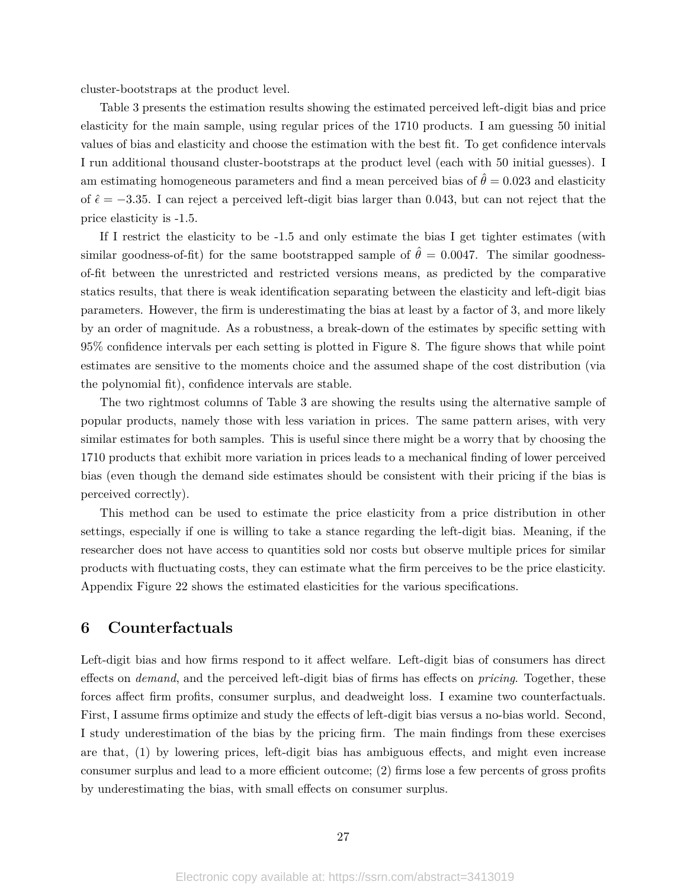cluster-bootstraps at the product level.

Table 3 presents the estimation results showing the estimated perceived left-digit bias and price elasticity for the main sample, using regular prices of the 1710 products. I am guessing 50 initial values of bias and elasticity and choose the estimation with the best fit. To get confidence intervals I run additional thousand cluster-bootstraps at the product level (each with 50 initial guesses). I am estimating homogeneous parameters and find a mean perceived bias of  $\hat{\theta} = 0.023$  and elasticity of  $\hat{\epsilon} = -3.35$ . I can reject a perceived left-digit bias larger than 0.043, but can not reject that the price elasticity is -1.5.

If I restrict the elasticity to be -1.5 and only estimate the bias I get tighter estimates (with similar goodness-of-fit) for the same bootstrapped sample of  $\hat{\theta} = 0.0047$ . The similar goodnessof-fit between the unrestricted and restricted versions means, as predicted by the comparative statics results, that there is weak identification separating between the elasticity and left-digit bias parameters. However, the firm is underestimating the bias at least by a factor of 3, and more likely by an order of magnitude. As a robustness, a break-down of the estimates by specific setting with 95% confidence intervals per each setting is plotted in Figure 8. The figure shows that while point estimates are sensitive to the moments choice and the assumed shape of the cost distribution (via the polynomial fit), confidence intervals are stable.

The two rightmost columns of Table 3 are showing the results using the alternative sample of popular products, namely those with less variation in prices. The same pattern arises, with very similar estimates for both samples. This is useful since there might be a worry that by choosing the 1710 products that exhibit more variation in prices leads to a mechanical finding of lower perceived bias (even though the demand side estimates should be consistent with their pricing if the bias is perceived correctly).

This method can be used to estimate the price elasticity from a price distribution in other settings, especially if one is willing to take a stance regarding the left-digit bias. Meaning, if the researcher does not have access to quantities sold nor costs but observe multiple prices for similar products with fluctuating costs, they can estimate what the firm perceives to be the price elasticity. Appendix Figure 22 shows the estimated elasticities for the various specifications.

## **6 Counterfactuals**

Left-digit bias and how firms respond to it affect welfare. Left-digit bias of consumers has direct effects on *demand*, and the perceived left-digit bias of firms has effects on *pricing*. Together, these forces affect firm profits, consumer surplus, and deadweight loss. I examine two counterfactuals. First, I assume firms optimize and study the effects of left-digit bias versus a no-bias world. Second, I study underestimation of the bias by the pricing firm. The main findings from these exercises are that, (1) by lowering prices, left-digit bias has ambiguous effects, and might even increase consumer surplus and lead to a more efficient outcome; (2) firms lose a few percents of gross profits by underestimating the bias, with small effects on consumer surplus.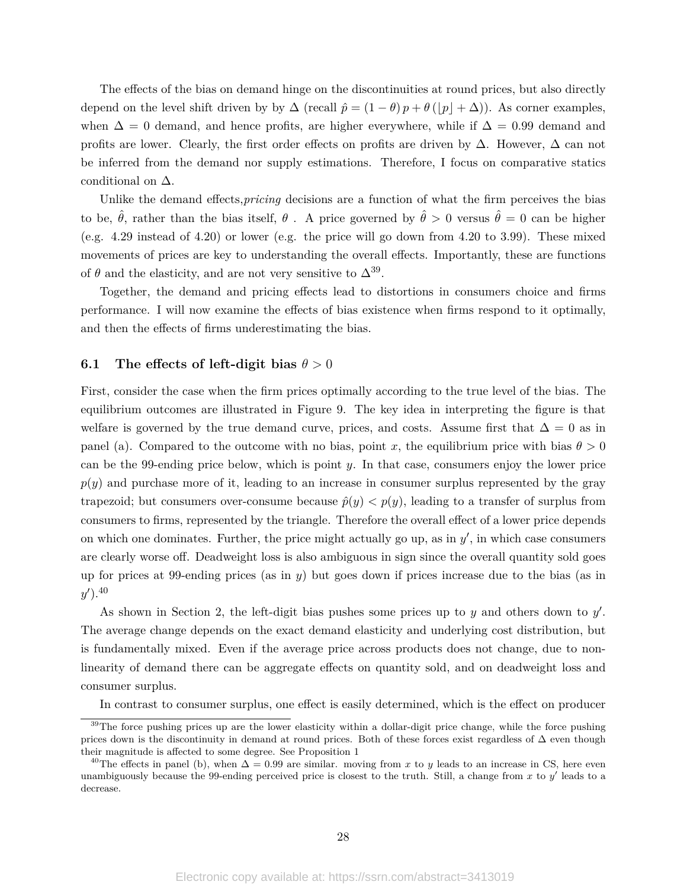The effects of the bias on demand hinge on the discontinuities at round prices, but also directly depend on the level shift driven by by  $\Delta$  (recall  $\hat{p} = (1 - \theta)p + \theta(|p| + \Delta)$ ). As corner examples, when  $\Delta = 0$  demand, and hence profits, are higher everywhere, while if  $\Delta = 0.99$  demand and profits are lower. Clearly, the first order effects on profits are driven by  $\Delta$ . However,  $\Delta$  can not be inferred from the demand nor supply estimations. Therefore, I focus on comparative statics conditional on  $\Delta$ .

Unlike the demand effects,*pricing* decisions are a function of what the firm perceives the bias to be,  $\hat{\theta}$ , rather than the bias itself,  $\theta$ . A price governed by  $\hat{\theta} > 0$  versus  $\hat{\theta} = 0$  can be higher (e.g. 4.29 instead of 4.20) or lower (e.g. the price will go down from 4.20 to 3.99). These mixed movements of prices are key to understanding the overall effects. Importantly, these are functions of  $\theta$  and the elasticity, and are not very sensitive to  $\Delta^{39}$ .

Together, the demand and pricing effects lead to distortions in consumers choice and firms performance. I will now examine the effects of bias existence when firms respond to it optimally, and then the effects of firms underestimating the bias.

#### **6.1** The effects of left-digit bias  $\theta > 0$

First, consider the case when the firm prices optimally according to the true level of the bias. The equilibrium outcomes are illustrated in Figure 9. The key idea in interpreting the figure is that welfare is governed by the true demand curve, prices, and costs. Assume first that  $\Delta = 0$  as in panel (a). Compared to the outcome with no bias, point *x*, the equilibrium price with bias  $\theta > 0$ can be the 99-ending price below, which is point *y*. In that case, consumers enjoy the lower price  $p(y)$  and purchase more of it, leading to an increase in consumer surplus represented by the gray trapezoid; but consumers over-consume because  $\hat{p}(y) < p(y)$ , leading to a transfer of surplus from consumers to firms, represented by the triangle. Therefore the overall effect of a lower price depends on which one dominates. Further, the price might actually go up, as in  $y'$ , in which case consumers are clearly worse off. Deadweight loss is also ambiguous in sign since the overall quantity sold goes up for prices at 99-ending prices (as in *y*) but goes down if prices increase due to the bias (as in  $(y')$ .<sup>40</sup>

As shown in Section 2, the left-digit bias pushes some prices up to *y* and others down to *y'*. The average change depends on the exact demand elasticity and underlying cost distribution, but is fundamentally mixed. Even if the average price across products does not change, due to nonlinearity of demand there can be aggregate effects on quantity sold, and on deadweight loss and consumer surplus.

In contrast to consumer surplus, one effect is easily determined, which is the effect on producer

<sup>&</sup>lt;sup>39</sup>The force pushing prices up are the lower elasticity within a dollar-digit price change, while the force pushing prices down is the discontinuity in demand at round prices. Both of these forces exist regardless of  $\Delta$  even though their magnitude is affected to some degree. See Proposition 1

<sup>&</sup>lt;sup>40</sup>The effects in panel (b), when  $\Delta = 0.99$  are similar. moving from x to y leads to an increase in CS, here even unambiguously because the 99-ending perceived price is closest to the truth. Still, a change from  $x$  to  $y'$  leads to a decrease.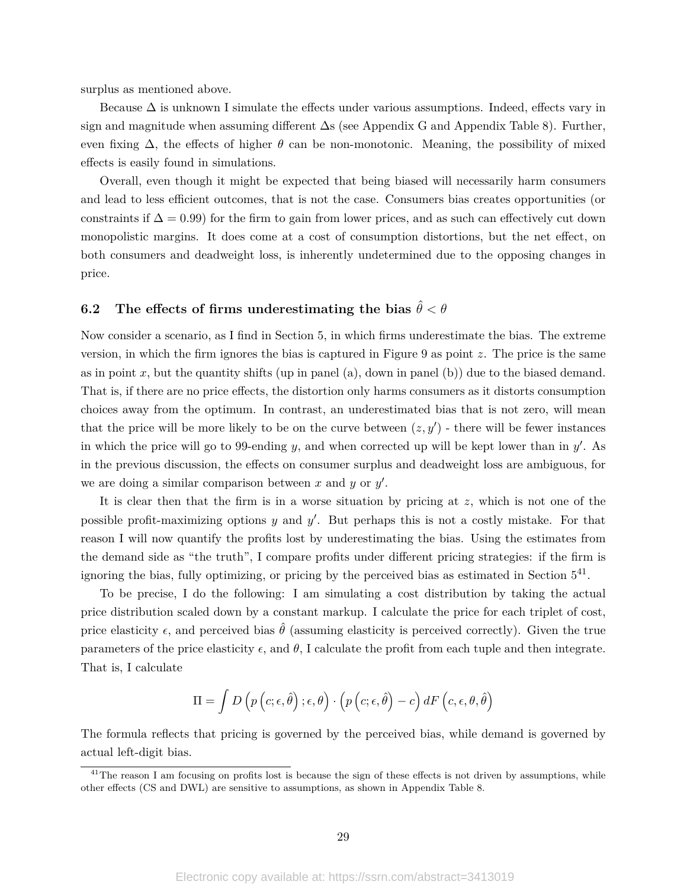surplus as mentioned above.

Because  $\Delta$  is unknown I simulate the effects under various assumptions. Indeed, effects vary in sign and magnitude when assuming different ∆s (see Appendix G and Appendix Table 8). Further, even fixing  $\Delta$ , the effects of higher  $\theta$  can be non-monotonic. Meaning, the possibility of mixed effects is easily found in simulations.

Overall, even though it might be expected that being biased will necessarily harm consumers and lead to less efficient outcomes, that is not the case. Consumers bias creates opportunities (or constraints if  $\Delta = 0.99$  for the firm to gain from lower prices, and as such can effectively cut down monopolistic margins. It does come at a cost of consumption distortions, but the net effect, on both consumers and deadweight loss, is inherently undetermined due to the opposing changes in price.

# **6.2** The effects of firms underestimating the bias  $\hat{\theta} < \theta$

Now consider a scenario, as I find in Section 5, in which firms underestimate the bias. The extreme version, in which the firm ignores the bias is captured in Figure 9 as point *z*. The price is the same as in point  $x$ , but the quantity shifts (up in panel (a), down in panel (b)) due to the biased demand. That is, if there are no price effects, the distortion only harms consumers as it distorts consumption choices away from the optimum. In contrast, an underestimated bias that is not zero, will mean that the price will be more likely to be on the curve between  $(z, y')$  - there will be fewer instances in which the price will go to 99-ending  $y$ , and when corrected up will be kept lower than in  $y'$ . As in the previous discussion, the effects on consumer surplus and deadweight loss are ambiguous, for we are doing a similar comparison between  $x$  and  $y$  or  $y'$ .

It is clear then that the firm is in a worse situation by pricing at *z*, which is not one of the possible profit-maximizing options *y* and *y*'. But perhaps this is not a costly mistake. For that reason I will now quantify the profits lost by underestimating the bias. Using the estimates from the demand side as "the truth", I compare profits under different pricing strategies: if the firm is ignoring the bias, fully optimizing, or pricing by the perceived bias as estimated in Section  $5^{41}$ .

To be precise, I do the following: I am simulating a cost distribution by taking the actual price distribution scaled down by a constant markup. I calculate the price for each triplet of cost, price elasticity  $\epsilon$ , and perceived bias  $\hat{\theta}$  (assuming elasticity is perceived correctly). Given the true parameters of the price elasticity  $\epsilon$ , and  $\theta$ , I calculate the profit from each tuple and then integrate. That is, I calculate

$$
\Pi = \int D\left(p\left(c;\epsilon,\hat{\theta}\right);\epsilon,\theta\right) \cdot \left(p\left(c;\epsilon,\hat{\theta}\right) - c\right) dF\left(c,\epsilon,\theta,\hat{\theta}\right)
$$

The formula reflects that pricing is governed by the perceived bias, while demand is governed by actual left-digit bias.

<sup>&</sup>lt;sup>41</sup>The reason I am focusing on profits lost is because the sign of these effects is not driven by assumptions, while other effects (CS and DWL) are sensitive to assumptions, as shown in Appendix Table 8.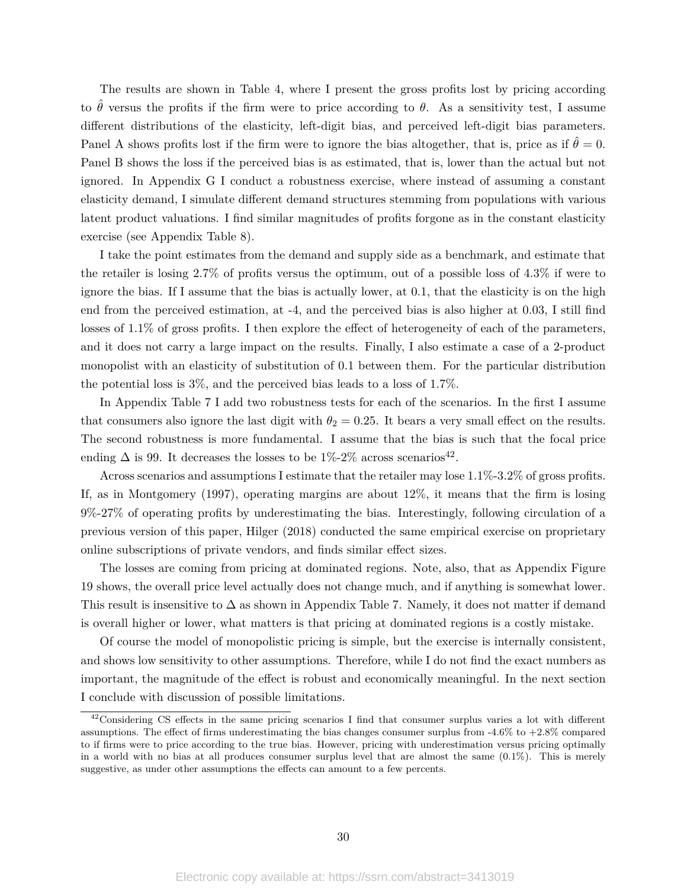The results are shown in Table 4, where I present the gross profits lost by pricing according to  $\theta$  versus the profits if the firm were to price according to  $\theta$ . As a sensitivity test, I assume different distributions of the elasticity, left-digit bias, and perceived left-digit bias parameters. Panel A shows profits lost if the firm were to ignore the bias altogether, that is, price as if  $\theta = 0$ . Panel B shows the loss if the perceived bias is as estimated, that is, lower than the actual but not ignored. In Appendix G I conduct a robustness exercise, where instead of assuming a constant elasticity demand, I simulate different demand structures stemming from populations with various latent product valuations. I find similar magnitudes of profits forgone as in the constant elasticity exercise (see Appendix Table 8).

I take the point estimates from the demand and supply side as a benchmark, and estimate that the retailer is losing 2.7% of profits versus the optimum, out of a possible loss of 4.3% if were to ignore the bias. If I assume that the bias is actually lower, at 0.1, that the elasticity is on the high end from the perceived estimation, at -4, and the perceived bias is also higher at 0.03, I still find losses of 1.1% of gross profits. I then explore the effect of heterogeneity of each of the parameters, and it does not carry a large impact on the results. Finally, I also estimate a case of a 2-product monopolist with an elasticity of substitution of 0.1 between them. For the particular distribution the potential loss is 3%, and the perceived bias leads to a loss of 1.7%.

In Appendix Table 7 I add two robustness tests for each of the scenarios. In the first I assume that consumers also ignore the last digit with  $\theta_2 = 0.25$ . It bears a very small effect on the results. The second robustness is more fundamental. I assume that the bias is such that the focal price ending  $\Delta$  is 99. It decreases the losses to be 1%-2% across scenarios<sup>42</sup>.

Across scenarios and assumptions I estimate that the retailer may lose 1.1%-3.2% of gross profits. If, as in Montgomery (1997), operating margins are about 12%, it means that the firm is losing 9%-27% of operating profits by underestimating the bias. Interestingly, following circulation of a previous version of this paper, Hilger (2018) conducted the same empirical exercise on proprietary online subscriptions of private vendors, and finds similar effect sizes.

The losses are coming from pricing at dominated regions. Note, also, that as Appendix Figure 19 shows, the overall price level actually does not change much, and if anything is somewhat lower. This result is insensitive to  $\Delta$  as shown in Appendix Table 7. Namely, it does not matter if demand is overall higher or lower, what matters is that pricing at dominated regions is a costly mistake.

Of course the model of monopolistic pricing is simple, but the exercise is internally consistent, and shows low sensitivity to other assumptions. Therefore, while I do not find the exact numbers as important, the magnitude of the effect is robust and economically meaningful. In the next section I conclude with discussion of possible limitations.

 $42$ Considering CS effects in the same pricing scenarios I find that consumer surplus varies a lot with different assumptions. The effect of firms underestimating the bias changes consumer surplus from -4.6% to +2.8% compared to if firms were to price according to the true bias. However, pricing with underestimation versus pricing optimally in a world with no bias at all produces consumer surplus level that are almost the same (0*.*1%). This is merely suggestive, as under other assumptions the effects can amount to a few percents.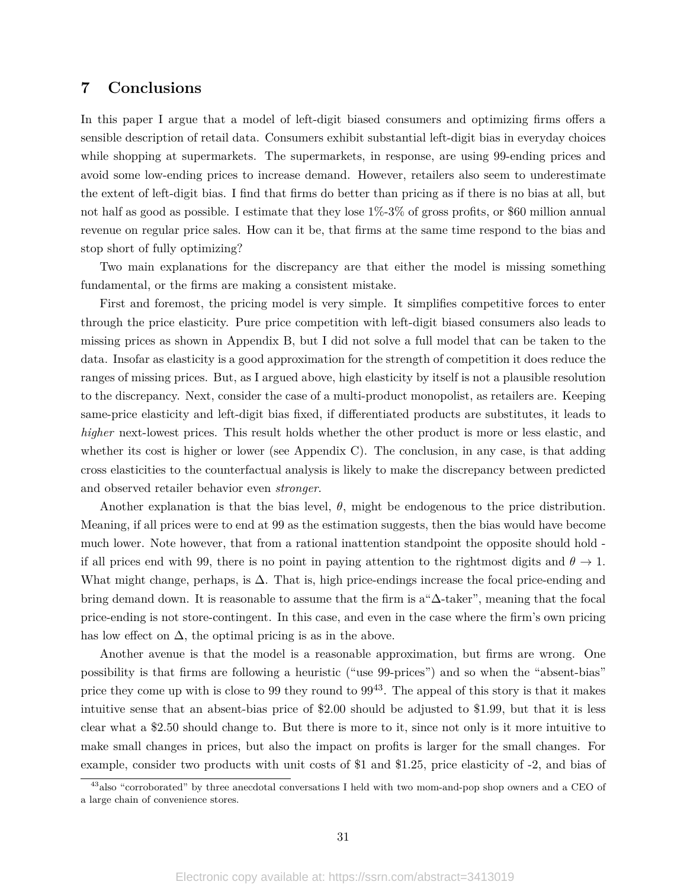## **7 Conclusions**

In this paper I argue that a model of left-digit biased consumers and optimizing firms offers a sensible description of retail data. Consumers exhibit substantial left-digit bias in everyday choices while shopping at supermarkets. The supermarkets, in response, are using 99-ending prices and avoid some low-ending prices to increase demand. However, retailers also seem to underestimate the extent of left-digit bias. I find that firms do better than pricing as if there is no bias at all, but not half as good as possible. I estimate that they lose 1%-3% of gross profits, or \$60 million annual revenue on regular price sales. How can it be, that firms at the same time respond to the bias and stop short of fully optimizing?

Two main explanations for the discrepancy are that either the model is missing something fundamental, or the firms are making a consistent mistake.

First and foremost, the pricing model is very simple. It simplifies competitive forces to enter through the price elasticity. Pure price competition with left-digit biased consumers also leads to missing prices as shown in Appendix B, but I did not solve a full model that can be taken to the data. Insofar as elasticity is a good approximation for the strength of competition it does reduce the ranges of missing prices. But, as I argued above, high elasticity by itself is not a plausible resolution to the discrepancy. Next, consider the case of a multi-product monopolist, as retailers are. Keeping same-price elasticity and left-digit bias fixed, if differentiated products are substitutes, it leads to *higher* next-lowest prices. This result holds whether the other product is more or less elastic, and whether its cost is higher or lower (see Appendix C). The conclusion, in any case, is that adding cross elasticities to the counterfactual analysis is likely to make the discrepancy between predicted and observed retailer behavior even *stronger*.

Another explanation is that the bias level,  $\theta$ , might be endogenous to the price distribution. Meaning, if all prices were to end at 99 as the estimation suggests, then the bias would have become much lower. Note however, that from a rational inattention standpoint the opposite should hold if all prices end with 99, there is no point in paying attention to the rightmost digits and  $\theta \to 1$ . What might change, perhaps, is  $\Delta$ . That is, high price-endings increase the focal price-ending and bring demand down. It is reasonable to assume that the firm is a"∆-taker", meaning that the focal price-ending is not store-contingent. In this case, and even in the case where the firm's own pricing has low effect on  $\Delta$ , the optimal pricing is as in the above.

Another avenue is that the model is a reasonable approximation, but firms are wrong. One possibility is that firms are following a heuristic ("use 99-prices") and so when the "absent-bias" price they come up with is close to 99 they round to  $99^{43}$ . The appeal of this story is that it makes intuitive sense that an absent-bias price of \$2.00 should be adjusted to \$1.99, but that it is less clear what a \$2.50 should change to. But there is more to it, since not only is it more intuitive to make small changes in prices, but also the impact on profits is larger for the small changes. For example, consider two products with unit costs of \$1 and \$1.25, price elasticity of -2, and bias of

<sup>&</sup>lt;sup>43</sup>also "corroborated" by three anecdotal conversations I held with two mom-and-pop shop owners and a CEO of a large chain of convenience stores.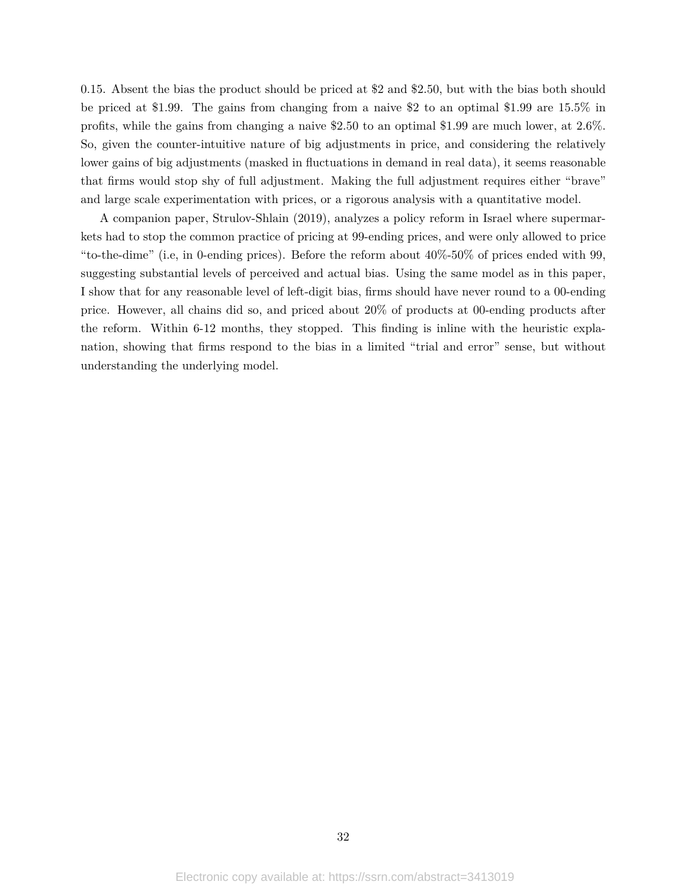0.15. Absent the bias the product should be priced at \$2 and \$2.50, but with the bias both should be priced at \$1.99. The gains from changing from a naive \$2 to an optimal \$1.99 are 15.5% in profits, while the gains from changing a naive \$2.50 to an optimal \$1.99 are much lower, at 2.6%. So, given the counter-intuitive nature of big adjustments in price, and considering the relatively lower gains of big adjustments (masked in fluctuations in demand in real data), it seems reasonable that firms would stop shy of full adjustment. Making the full adjustment requires either "brave" and large scale experimentation with prices, or a rigorous analysis with a quantitative model.

A companion paper, Strulov-Shlain (2019), analyzes a policy reform in Israel where supermarkets had to stop the common practice of pricing at 99-ending prices, and were only allowed to price "to-the-dime" (i.e, in 0-ending prices). Before the reform about 40%-50% of prices ended with 99, suggesting substantial levels of perceived and actual bias. Using the same model as in this paper, I show that for any reasonable level of left-digit bias, firms should have never round to a 00-ending price. However, all chains did so, and priced about 20% of products at 00-ending products after the reform. Within 6-12 months, they stopped. This finding is inline with the heuristic explanation, showing that firms respond to the bias in a limited "trial and error" sense, but without understanding the underlying model.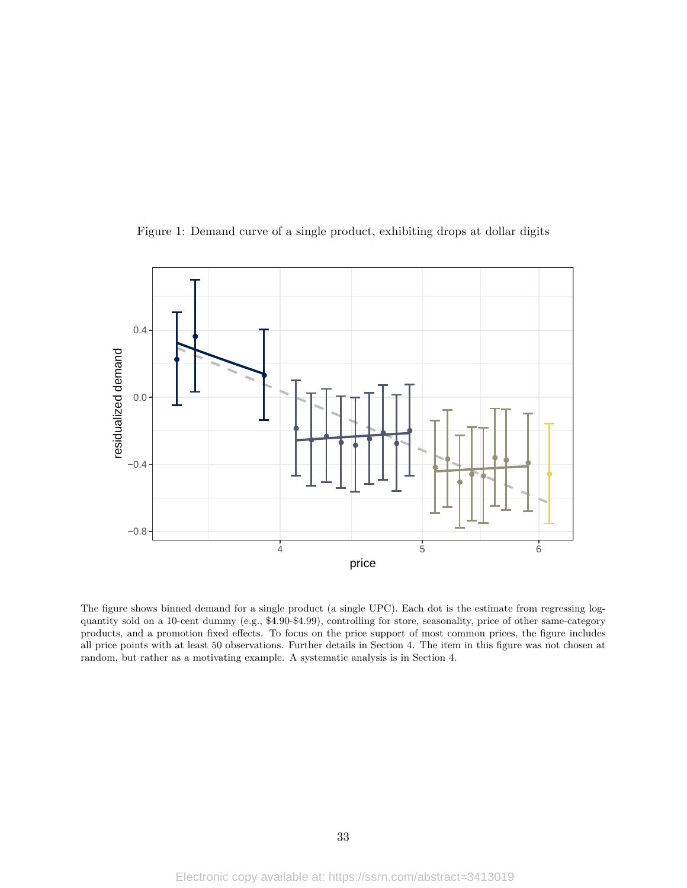

Figure 1: Demand curve of a single product, exhibiting drops at dollar digits

The figure shows binned demand for a single product (a single UPC). Each dot is the estimate from regressing logquantity sold on a 10-cent dummy (e.g., \$4.90-\$4.99), controlling for store, seasonality, price of other same-category products, and a promotion fixed effects. To focus on the price support of most common prices, the figure includes all price points with at least 50 observations. Further details in Section 4. The item in this figure was not chosen at random, but rather as a motivating example. A systematic analysis is in Section 4.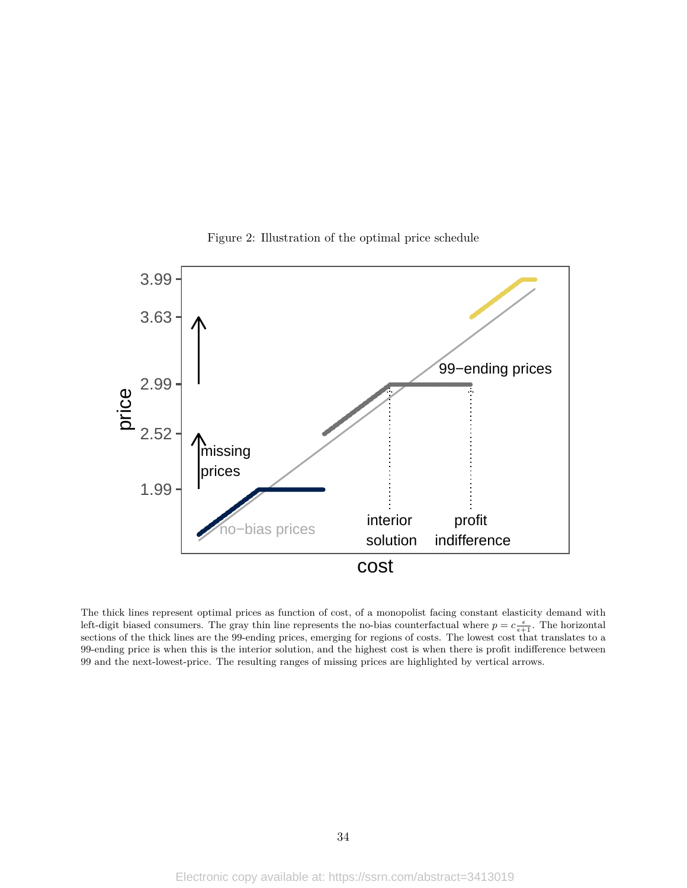

Figure 2: Illustration of the optimal price schedule

The thick lines represent optimal prices as function of cost, of a monopolist facing constant elasticity demand with left-digit biased consumers. The gray thin line represents the no-bias counterfactual where  $p = c \frac{\epsilon}{\epsilon + 1}$ . The horizontal sections of the thick lines are the 99-ending prices, emerging for regions of costs. The lowest cost that translates to a 99-ending price is when this is the interior solution, and the highest cost is when there is profit indifference between 99 and the next-lowest-price. The resulting ranges of missing prices are highlighted by vertical arrows.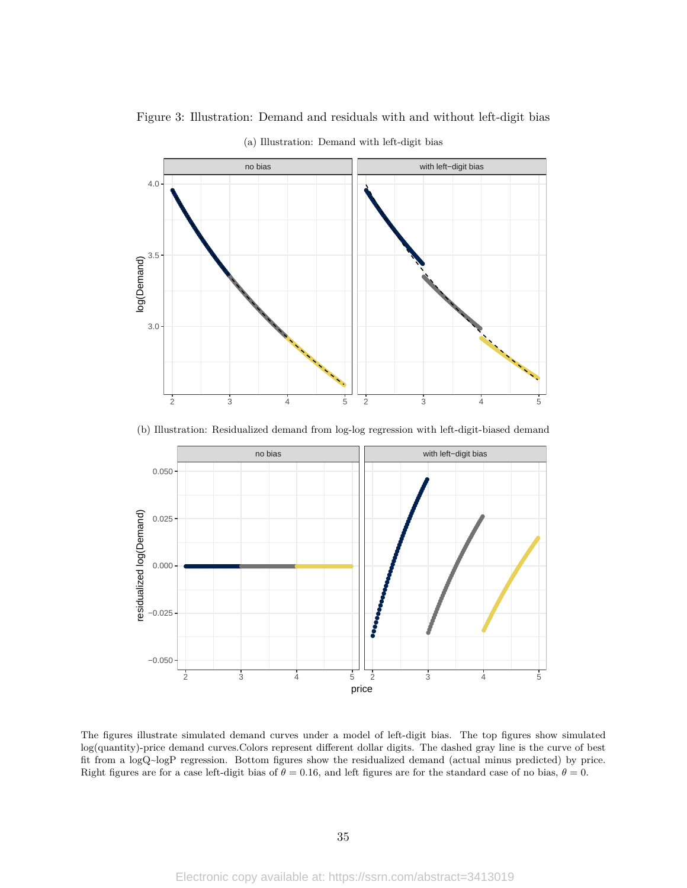

Figure 3: Illustration: Demand and residuals with and without left-digit bias (a) Illustration: Demand with left-digit bias

(b) Illustration: Residualized demand from log-log regression with left-digit-biased demand



The figures illustrate simulated demand curves under a model of left-digit bias. The top figures show simulated log(quantity)-price demand curves.Colors represent different dollar digits. The dashed gray line is the curve of best fit from a logQ~logP regression. Bottom figures show the residualized demand (actual minus predicted) by price. Right figures are for a case left-digit bias of  $\theta = 0.16$ , and left figures are for the standard case of no bias,  $\theta = 0$ .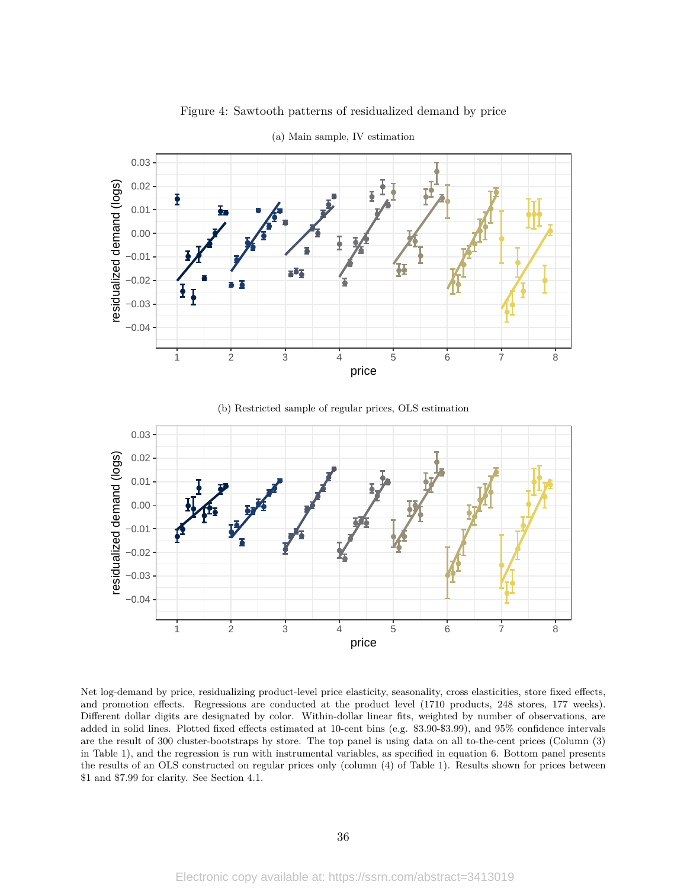

Figure 4: Sawtooth patterns of residualized demand by price





Net log-demand by price, residualizing product-level price elasticity, seasonality, cross elasticities, store fixed effects, and promotion effects. Regressions are conducted at the product level (1710 products, 248 stores, 177 weeks). Different dollar digits are designated by color. Within-dollar linear fits, weighted by number of observations, are added in solid lines. Plotted fixed effects estimated at 10-cent bins (e.g. \$3.90-\$3.99), and 95% confidence intervals are the result of 300 cluster-bootstraps by store. The top panel is using data on all to-the-cent prices (Column (3) in Table 1), and the regression is run with instrumental variables, as specified in equation 6. Bottom panel presents the results of an OLS constructed on regular prices only (column (4) of Table 1). Results shown for prices between \$1 and \$7.99 for clarity. See Section 4.1.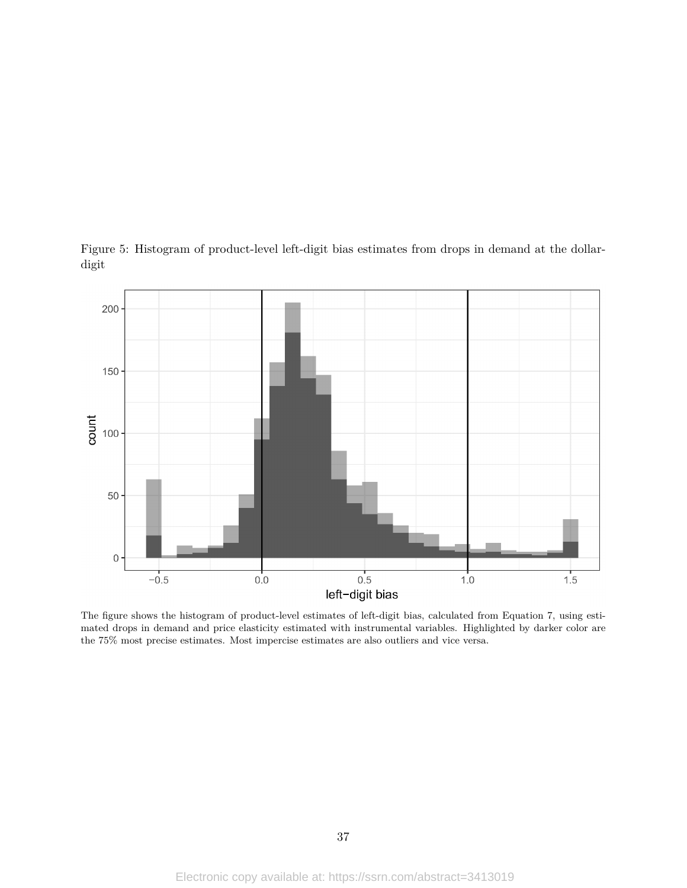

Figure 5: Histogram of product-level left-digit bias estimates from drops in demand at the dollardigit

The figure shows the histogram of product-level estimates of left-digit bias, calculated from Equation 7, using estimated drops in demand and price elasticity estimated with instrumental variables. Highlighted by darker color are the 75% most precise estimates. Most impercise estimates are also outliers and vice versa.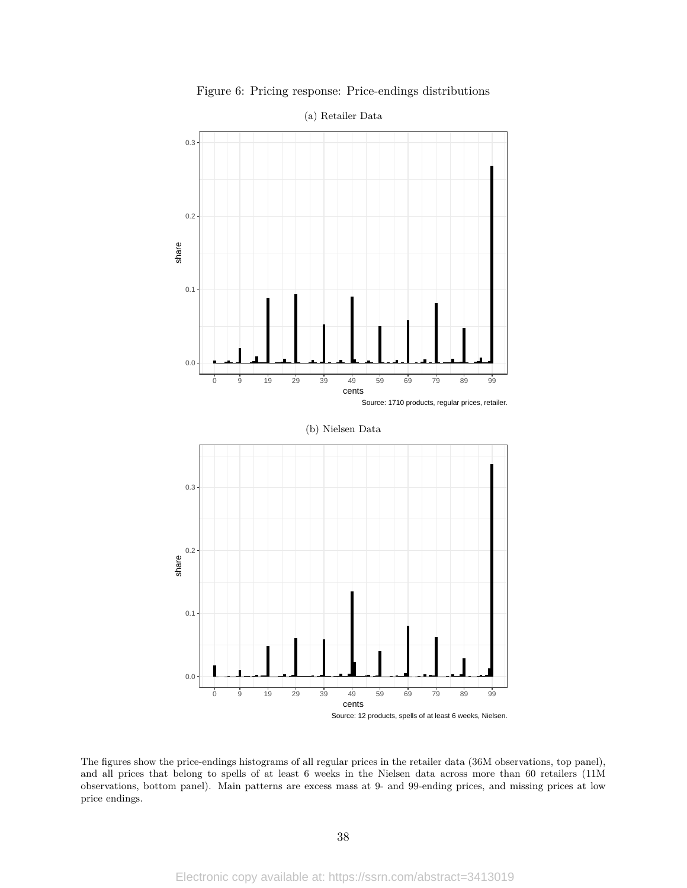

Figure 6: Pricing response: Price-endings distributions

The figures show the price-endings histograms of all regular prices in the retailer data (36M observations, top panel), and all prices that belong to spells of at least 6 weeks in the Nielsen data across more than 60 retailers (11M observations, bottom panel). Main patterns are excess mass at 9- and 99-ending prices, and missing prices at low price endings.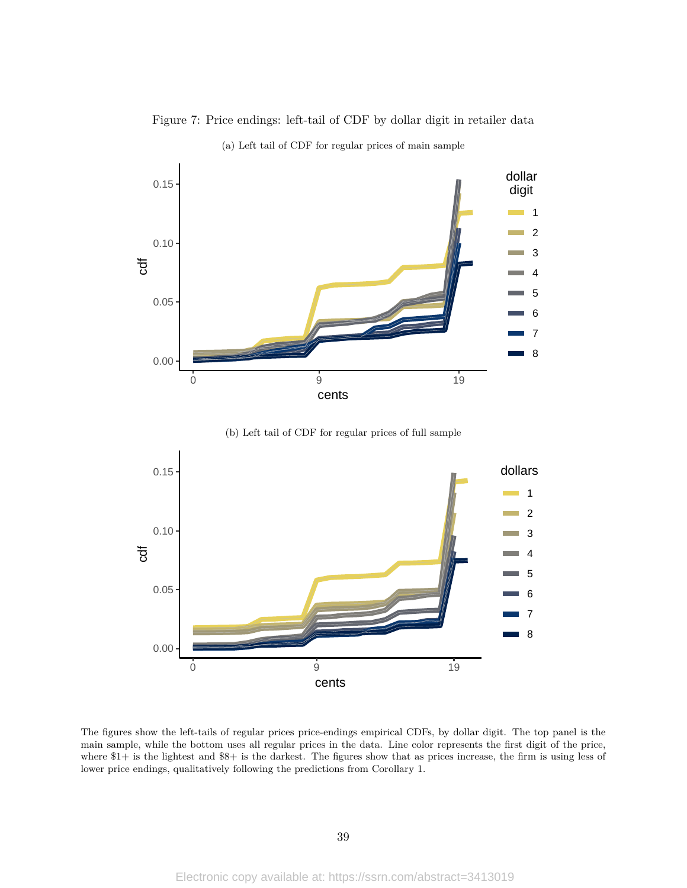

Figure 7: Price endings: left-tail of CDF by dollar digit in retailer data (a) Left tail of CDF for regular prices of main sample

(b) Left tail of CDF for regular prices of full sample



The figures show the left-tails of regular prices price-endings empirical CDFs, by dollar digit. The top panel is the main sample, while the bottom uses all regular prices in the data. Line color represents the first digit of the price, where \$1+ is the lightest and \$8+ is the darkest. The figures show that as prices increase, the firm is using less of lower price endings, qualitatively following the predictions from Corollary 1.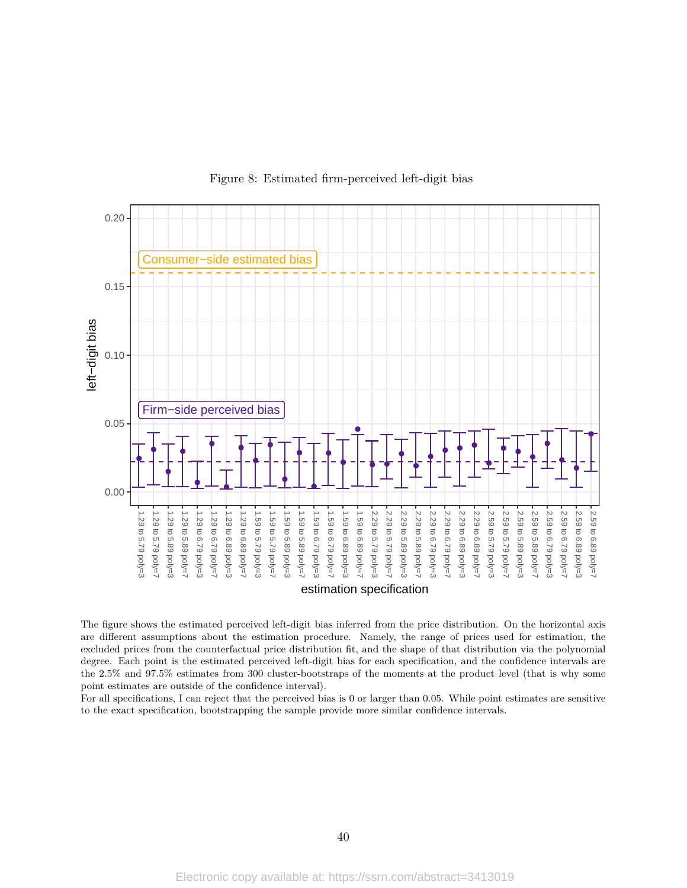

### Figure 8: Estimated firm-perceived left-digit bias

The figure shows the estimated perceived left-digit bias inferred from the price distribution. On the horizontal axis are different assumptions about the estimation procedure. Namely, the range of prices used for estimation, the excluded prices from the counterfactual price distribution fit, and the shape of that distribution via the polynomial degree. Each point is the estimated perceived left-digit bias for each specification, and the confidence intervals are the 2.5% and 97.5% estimates from 300 cluster-bootstraps of the moments at the product level (that is why some point estimates are outside of the confidence interval).

For all specifications, I can reject that the perceived bias is 0 or larger than 0.05. While point estimates are sensitive to the exact specification, bootstrapping the sample provide more similar confidence intervals.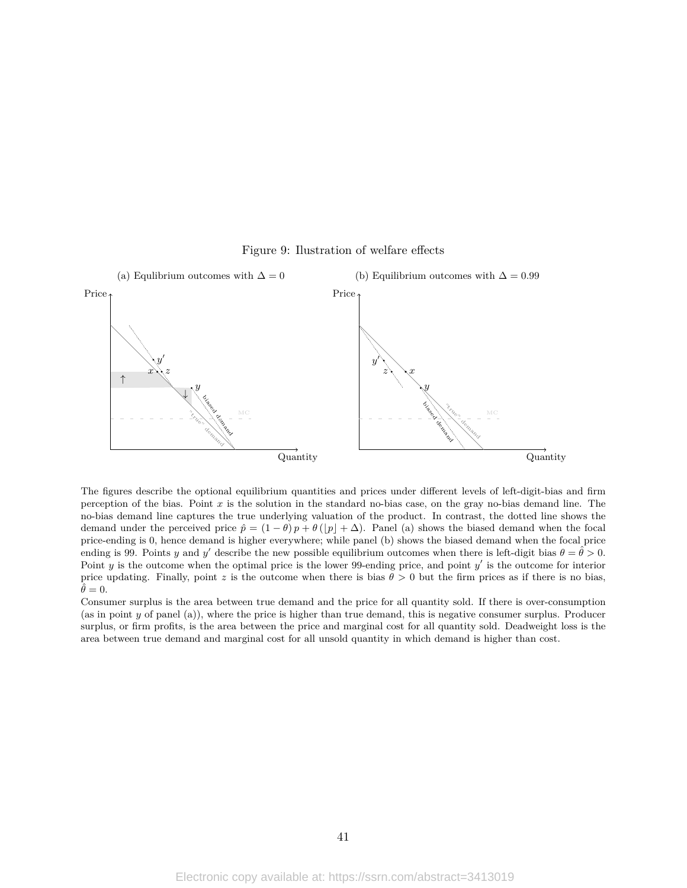

Figure 9: Ilustration of welfare effects

The figures describe the optional equilibrium quantities and prices under different levels of left-digit-bias and firm perception of the bias. Point *x* is the solution in the standard no-bias case, on the gray no-bias demand line. The no-bias demand line captures the true underlying valuation of the product. In contrast, the dotted line shows the demand under the perceived price  $\hat{p} = (1 - \theta)p + \theta(|p| + \Delta)$ . Panel (a) shows the biased demand when the focal price-ending is 0, hence demand is higher everywhere; while panel (b) shows the biased demand when the focal price ending is 99. Points *y* and *y'* describe the new possible equilibrium outcomes when there is left-digit bias  $\theta = \hat{\theta} > 0$ . Point *y* is the outcome when the optimal price is the lower 99-ending price, and point *y'* is the outcome for interior price updating. Finally, point *z* is the outcome when there is bias  $\theta > 0$  but the firm prices as if there is no bias,  $\ddot{\theta} = 0.$ 

Consumer surplus is the area between true demand and the price for all quantity sold. If there is over-consumption (as in point *y* of panel (a)), where the price is higher than true demand, this is negative consumer surplus. Producer surplus, or firm profits, is the area between the price and marginal cost for all quantity sold. Deadweight loss is the area between true demand and marginal cost for all unsold quantity in which demand is higher than cost.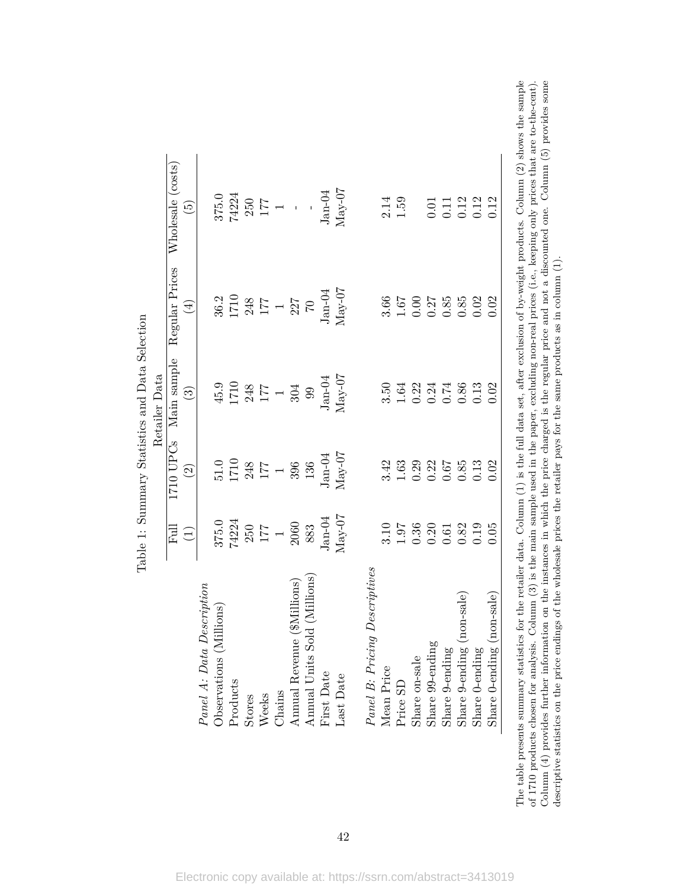|                                 |                                                                                     | 1710 UPCs                                                                                      | Main sample                                                                                                                                                                                | Regular Prices                                           | Wholesale (costs)                                                                                                     |
|---------------------------------|-------------------------------------------------------------------------------------|------------------------------------------------------------------------------------------------|--------------------------------------------------------------------------------------------------------------------------------------------------------------------------------------------|----------------------------------------------------------|-----------------------------------------------------------------------------------------------------------------------|
|                                 | $\frac{Full}{(1)}$                                                                  | $\odot$                                                                                        | $\bigodot$                                                                                                                                                                                 | $\bigoplus$                                              | $\widetilde{\mathbf{E}}$                                                                                              |
| Panel A: Data Description       |                                                                                     |                                                                                                |                                                                                                                                                                                            |                                                          |                                                                                                                       |
| Observations (Millions)         |                                                                                     |                                                                                                |                                                                                                                                                                                            |                                                          |                                                                                                                       |
| Products                        |                                                                                     |                                                                                                |                                                                                                                                                                                            |                                                          |                                                                                                                       |
| Stores                          |                                                                                     |                                                                                                |                                                                                                                                                                                            |                                                          |                                                                                                                       |
| Weeks                           |                                                                                     |                                                                                                |                                                                                                                                                                                            |                                                          |                                                                                                                       |
| Chains                          |                                                                                     |                                                                                                |                                                                                                                                                                                            |                                                          |                                                                                                                       |
| Annual Revenue (\$Millions)     |                                                                                     |                                                                                                |                                                                                                                                                                                            |                                                          |                                                                                                                       |
| (Millions<br>Annual Units Sold  | $\begin{array}{c} 375.0 \\ 74224 \\ 250 \\ 177 \\ 170 \\ 3060 \\ 83 \\ \end{array}$ | $\begin{array}{c} 51.0 \\ 1710 \\ 248 \\ 177 \\ 396 \\ 136 \end{array}$                        |                                                                                                                                                                                            |                                                          |                                                                                                                       |
| First Date                      |                                                                                     |                                                                                                |                                                                                                                                                                                            |                                                          |                                                                                                                       |
| Last Date                       | $Jan-04$ $\rm{May-07}$                                                              | $Jan-04$ $Max-07$                                                                              | $\begin{array}{c} 45.9 \\ 1710 \\ 248 \\ 177 \\ 171 \\ 177 \\ 188 \\ 99 \\ 99 \\ 1 \mathrm{an}\text{-}04 \\ \mathrm{J} \\ 99 \\ \mathrm{J} \\ 04 \\ \mathrm{May}\text{-}07 \\ \end{array}$ |                                                          | $\begin{array}{c} 375.0 \\ 74224 \\ 250 \\ 177 \\ 177 \\ 1 \\ 1 \\ \mathrm{Jan-04} \\ \mathrm{Jan-04} \\ \end{array}$ |
| Panel B: Pricing Descriptives   |                                                                                     |                                                                                                |                                                                                                                                                                                            |                                                          |                                                                                                                       |
| Mean Price                      |                                                                                     |                                                                                                |                                                                                                                                                                                            |                                                          |                                                                                                                       |
| Price SD                        |                                                                                     |                                                                                                |                                                                                                                                                                                            |                                                          | $\begin{array}{c} 2.14 \\ 1.59 \end{array}$                                                                           |
| Share on-sale                   |                                                                                     |                                                                                                |                                                                                                                                                                                            |                                                          |                                                                                                                       |
| Share 99-ending                 | $3.19$<br>$1.9$<br>$0.36$<br>$0.58$<br>$0.58$<br>$0.52$<br>$0.59$                   | $\begin{array}{c} 4.42 \\ 1.63 \\ 1.63 \\ 0.28 \\ 0.05 \\ 0.05 \\ 0.03 \\ 0.03 \\ \end{array}$ | 5.54<br>1.612174<br>0.000000                                                                                                                                                               | $3.66$<br>$1.67$<br>$0.27$<br>$0.85$<br>$0.85$<br>$0.02$ |                                                                                                                       |
| Share 9-ending                  |                                                                                     |                                                                                                |                                                                                                                                                                                            |                                                          | $\begin{array}{c} 0.01 \\ 0.11 \\ 0.12 \\ 0.12 \\ 0.13 \\ 0.12 \end{array}$                                           |
| Share 9-ending (non-sale)       |                                                                                     |                                                                                                |                                                                                                                                                                                            |                                                          |                                                                                                                       |
| Share 0-ending                  |                                                                                     |                                                                                                |                                                                                                                                                                                            |                                                          |                                                                                                                       |
| $Share 0$ -ending $(non-scale)$ | 0.05                                                                                | 0.02                                                                                           | 0.02                                                                                                                                                                                       | 0.02                                                     |                                                                                                                       |

Table 1: Summary Statistics and Data Selection Table 1: Summary Statistics and Data Selection The table presents summary statistics for the retailer data. Column (1) is the full data set, after exclusion of by-weight products. Column (2) shows the sample of 1710 products chosen for analysis. Column (3) is the main Column  $(4)$  provides further information on the instances in which the price charged is the regular price and not a discounted one. Column  $(5)$  provides some The table presents summary statistics for the retailer data. Column (1) is the full data set, after exclusion of by-weight products. Column (2) shows the sample Column (4) provides further information on the instances in which the price charged is the regular price and not a discounted one. Column (5) provides some of 1710 products chosen for analysis. Column (3) is the main sample used in the paper, excluding non-real prices (i.e., keeping only prices that are to-the-cent). descriptive statistics on the price endings of the wholesale prices the retailer pays for the same products as in column (1). descriptive statistics on the price endings of the wholesale prices the retailer pays for the same products as in column (1).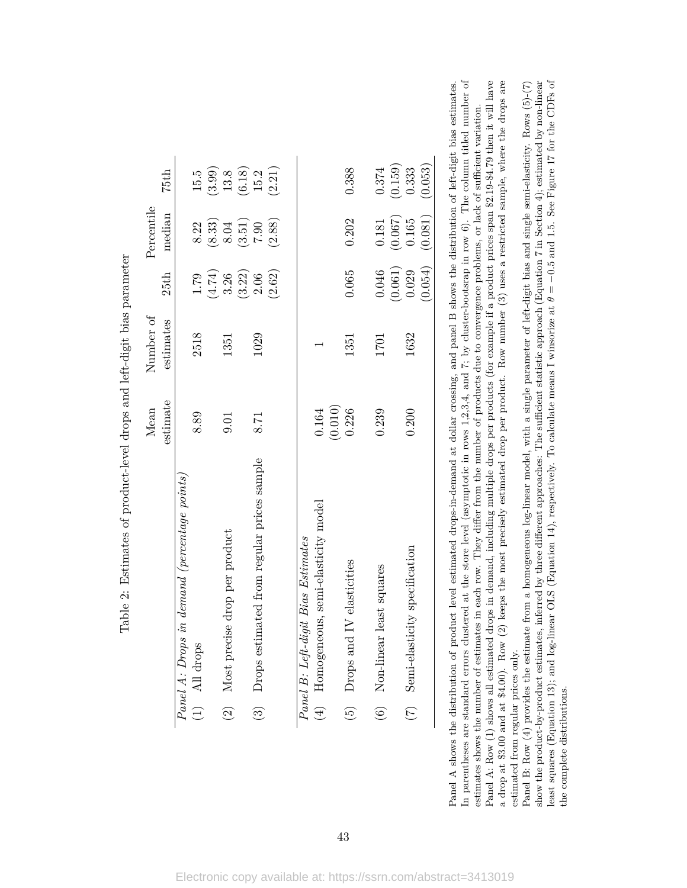|                                                          | Mean     | Number of |         | Percentile                   |                                                                 |
|----------------------------------------------------------|----------|-----------|---------|------------------------------|-----------------------------------------------------------------|
|                                                          | estimate | estimates | 25th    | median                       | 75th                                                            |
| Panel A: Drops in demand (percentage points,             |          |           |         |                              |                                                                 |
| All drops<br>$\begin{pmatrix} 1 \end{pmatrix}$           | 8.89     | 2518      | 1.79    | 8.22                         | 15.5                                                            |
|                                                          |          |           | (4.74)  | $(8.33)$<br>$8.04$           |                                                                 |
| Most precise drop per product<br>$\widehat{\mathcal{O}}$ | 0.01     | 1351      | 3.26    |                              |                                                                 |
|                                                          |          |           | (3.22)  | $\left(3.51\right)$ $7.90$   | $\begin{array}{c} (3.99) \\ 13.8 \\ (6.18) \\ 15.2 \end{array}$ |
| Drops estimated from regular prices sample<br>$\odot$    | 8.71     | 1029      | 2.06    |                              |                                                                 |
|                                                          |          |           | (2.62)  | (2.88)                       | (2.21)                                                          |
|                                                          |          |           |         |                              |                                                                 |
| Panel B: Left-digit Bias Estimates                       |          |           |         |                              |                                                                 |
| (4) Homogeneous, semi-elasticity model                   | 0.164    |           |         |                              |                                                                 |
|                                                          | (0.010)  |           |         |                              |                                                                 |
| Drops and IV elasticities<br>$\widehat{\Theta}$          | 0.226    | 1351      | 0.065   | 0.202                        | 0.388                                                           |
|                                                          |          |           |         |                              |                                                                 |
| Non-linear least squares<br>$\widehat{\mathfrak{S}}$     | 0.239    | 1701      | 0.046   | 0.181                        | 0.374                                                           |
|                                                          |          |           | (0.061) | $\left(0.067\right)$ $0.165$ | $(0.159)$<br>$0.333$                                            |
| Semi-elasticity specification<br>$\widehat{C}$           | 0.200    | 1632      | 0.029   |                              |                                                                 |
|                                                          |          |           | (0.054) | (0.081)                      | (0.053)                                                         |

Table 2: Estimates of product-level drops and left-digit bias parameter Table 2: Estimates of product-level drops and left-digit bias parameter

Panel A: Row (1) shows all estimated drops in demand, including multiple drops per products (for example if a product prices span \$2.19-\$4.79 then it will have a drop at \$3.00 and at \$4.00). Row (2) keeps the most precisely estimated drop per product. Row number (3) uses a restricted sample, where the drops are show the product-by-product estimates, inferred by three different approaches: The sufficient statistic approach (Equation 7 in Section 4); estimated by non-linear least squares (Equation 13); and log-linear OLS (Equation 14), respectively. To calculate means I winsorize at  $\theta = -0.5$  and 1.5. See Figure 17 for the CDFs of least squares (Equation 13); and log-linear OLS (Equation 14), respectively. To calculate means I winsorize at *θ* = −0*.*5 and 1.5. See Figure 17 for the CDFs of Panel A: Row (1) shows all estimated drops in demand, including multiple drops per products (for example if a product prices span \$2.19-\$4.79 then it will have a drop at \$3.00 and at \$4.00). Row (2) keeps the most precisely estimated drop per product. Row number (3) uses a restricted sample, where the drops are Panel B: Row (4) provides the estimate from a homogeneous log-linear model, with a single parameter of left-digit bias and single semi-elasticity. Rows  $(5)-(7)$ show the product-by-product estimates, inferred by three different approaches: The sufficient statistic approach (Equation 7 in Section 4); estimated by non-linear Panel B: Row (4) provides the estimate from a homogeneous log-linear model, with a single parameter of left-digit bias and single semi-elasticity. Rows (5)-(7) estimates shows the number of estimates in each row. They differ from the number of products due to convergence problems, or lack of sufficient variation. estimates shows the number of estimates in each row. They differ from the number of products due to convergence problems, or lack of sufficient variation. estimated from regular prices only. estimated from regular prices only.

the complete distributions.

the complete distributions.

Panel A shows the distribution of product level estimated drops-in-demand at dollar crossing, and panel B shows the distribution of left-digit bias estimates. In parentheses are standard errors clustered at the store level (asymptotic in rows 1,2,3,4, and 7; by cluster-bootsrap in row 6). The column titled number of

Panel A shows the distribution of product level estimated drops-in-demand at dollar crossing, and panel B shows the distribution of left-digit bias estimates.

In parentheses are standard errors clustered at the store level (asymptotic in rows 1,2,3,4, and 7; by cluster-bootsrap in row 6). The column titled number of

43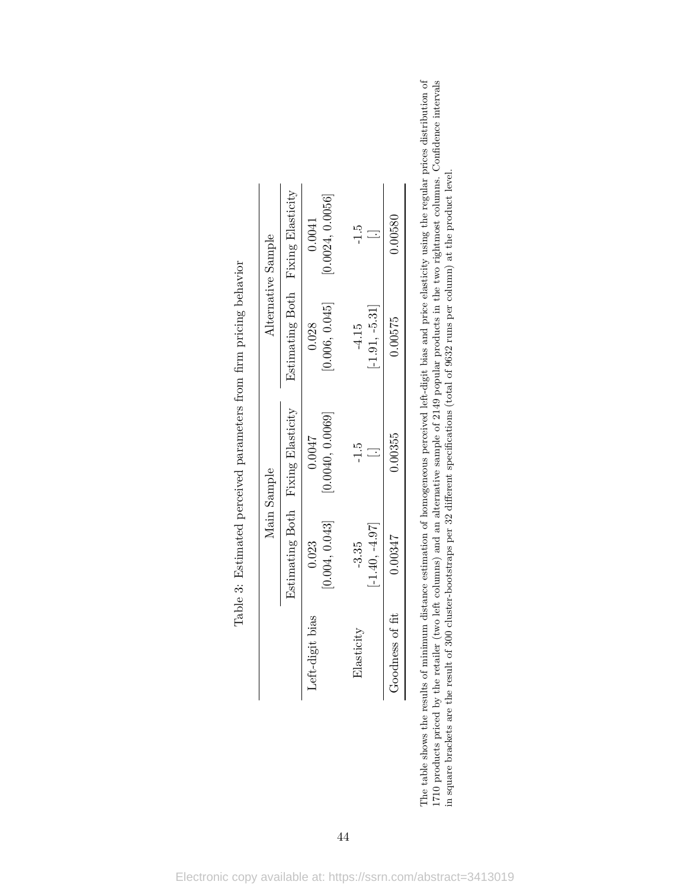|                 |                             | Main Sample                       |                             | Alternative Sample                |
|-----------------|-----------------------------|-----------------------------------|-----------------------------|-----------------------------------|
|                 |                             | Estimating Both Fixing Elasticity |                             | Estimating Both Fixing Elasticity |
| Left-digit bias | [0.004, 0.043]<br>0.023     | [0.0040, 0.0069]<br>0.0047        | [0.006, 0.045]<br>0.028     | [0.0024, 0.0056]<br>0.0041        |
| Elasticity      | $[-1.40, -4.97]$<br>$-3.35$ | $-1.5$                            | $[-1.91, -5.31]$<br>$-4.15$ | $-1.5$                            |
| Goodness of fit | 0.00347                     | 0.00355                           | 0.00575                     | 0.00580                           |

| i<br>֚֕֕֡<br>l<br>l                                                                                                                                                                                                                      |
|------------------------------------------------------------------------------------------------------------------------------------------------------------------------------------------------------------------------------------------|
| .<br> <br> <br> <br>)<br>ï<br>l<br>י                                                                                                                                                                                                     |
|                                                                                                                                                                                                                                          |
|                                                                                                                                                                                                                                          |
| concert work was a second to the concert was a concert of the second to the second to the second to the second to the second to the second to the second to the second to the second to the second to the second to the second<br>;<br>; |
| ;<br>)<br>Í                                                                                                                                                                                                                              |
| )<br>}<br>$\sim$<br>ĺ<br>֧֦֧֦֧֦֧֦֦֧֦֧֦֧֦֧֦֧֦֧ׅ֧֧֧֧ׅ֧֧֧ׅ֧֧ׅ֧֧֧֧֧֧֧֚֚֚֚֚֚֚֚֚֚֝֝֝֝֜֓֝֬֝֓֝֓֜֓֝֬֝֬֜֓֝֬֜֝֬֝֬֝֬֝֬֝֬֝֬                                                                                                                           |
| Ĩ<br>$\frac{1}{2}$<br>.<br> <br>                                                                                                                                                                                                         |

The table shows the results of minimum distance estimation of homogeneous perceived left-digit bias and price elasticity using the regular prices distribution of 1710 products priced by the retailer (two left columns) and The table shows the results of minimum distance estimation of homogeneous perceived left-digit bias and price elasticity using the regular prices distribution of 1710 products priced by the retailer (two left columns) and an alternative sample of 2149 popular products in the two rightmost columns. Confidence intervals in square brackets are the result of 300 cluster-bootstraps per 32 different specifications (total of 9632 runs per column) at the product level.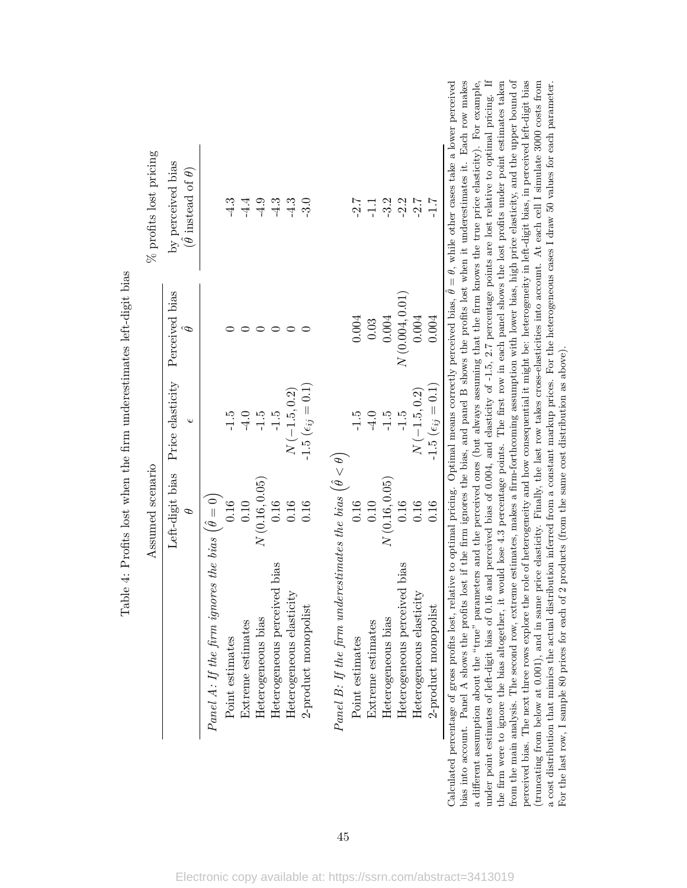|                                                                        | Assumed scenario            |                                                 |                             | $\%$ profits lost pricing                           |
|------------------------------------------------------------------------|-----------------------------|-------------------------------------------------|-----------------------------|-----------------------------------------------------|
|                                                                        | Left-digit bias<br>$\theta$ | Price elasticity Perceived bias<br>$\mathsf{C}$ | $\hat{\boldsymbol{\theta}}$ | by perceived bias<br>$(\theta$ instead of $\theta)$ |
| Panel A: If the firm ignores the bias $(\hat{\theta} = 0)$             |                             |                                                 |                             |                                                     |
| Point estimates                                                        | 0.16                        | $-1.5$                                          |                             | $-4.3$                                              |
| Extreme estimates                                                      | 0.10                        | $-4.0$                                          |                             | $-4.4$                                              |
| Heterogeneous bias                                                     | N(0.16, 0.05)               | $-1.5$                                          |                             | $-4.9$                                              |
| Heterogeneous perceived bias                                           | 0.16                        | $-1.5$                                          |                             | $-4.3$                                              |
| Heterogeneous elasticity                                               | 0.16                        | $N(-1.5, 0.2)$                                  |                             | $-4.3$                                              |
| 2-product monopolist                                                   | 0.16                        | $-1.5\,\,(\epsilon_{ij}=0.1)$                   |                             | $-3.0$                                              |
| Panel B: If the firm underestimates the bias $(\hat{\theta} < \theta)$ |                             |                                                 |                             |                                                     |
| Point estimates                                                        | 0.16                        | $-1.5$                                          | 0.004                       | $-2.7$                                              |
| Extreme estimates                                                      | 0.10                        | $-4.0$                                          | 0.03                        | $\overline{-1.1}$                                   |
| Heterogeneous bias                                                     | N(0.16, 0.05)               | $-1.5$                                          | 0.004                       | $-3.2$                                              |
| Heterogeneous perceived bias                                           | 0.16                        | $-1.5$                                          | $N\left(0.004,0.01\right)$  | $-2.2$                                              |
| Heterogeneous elasticity                                               | 0.16                        | $N\left(-1.5,0.2\right)$                        | 0.004                       | $-2.7$                                              |
| 2-product monopolist                                                   | 0.16                        | $-1.5\,\,(\epsilon_{ij}=0.1)$                   | 0.004                       | $-1.7$                                              |

| くりく<br>)<br>)<br>)<br>)        |
|--------------------------------|
| $\frac{1}{2}$<br>j<br>)        |
| $\frac{1}{2}$<br>l<br>j        |
| ひんしょう うちゅうしょう ちょう<br>ĺ         |
| $\sim$<br>i                    |
| I                              |
| $-1.0.04$<br>į                 |
| ;<br>$\frac{1}{\zeta}$         |
| $\frac{1}{1}$<br>$\frac{1}{2}$ |
| ĺ<br>)<br>i<br>.<br>           |

bias into account. Panel A shows the profits lost if the firm ignores the bias, and panel B shows the profits lost when it underestimates it. Each row makes under point estimates of left-digit bias of 0.16 and perceived bias of 0.004, and elasticity of -1.5, 2.7 percentage points are lost relative to optimal pricing. If the firm were to ignore the bias altogether, it would lose 4.3 percentage points. The first row in each panel shows the lost profits under point estimates taken from the main analysis. The second row, extreme estimates, makes a firm-forthcoming assumption with lower bias, high price elasticity, and the upper bound of perceived bias. The next three rows explore the role of heterogeneity and how consequential it might be: heterogeneity in left-digit bias, in perceived left-digit bias a different assumption about the "true" parameters and the perceived ones (but always assuming that the firm knows the true price elasticity). For example, under point estimates of left-digit bias of 0.16 and perceived bias of 0.004, and elasticity of -1.5, 2.7 percentage points are lost relative to optimal pricing. If (truncating from below at 0.001), and in same price elasticity. Finally, the last row takes cross-elasticities into account. At each cell I simulate 3000 costs from  $\theta = \theta$ , while other cases take a lower perceived bias into account. Panel A shows the profits lost if the firm ignores the bias, and panel B shows the profits lost when it underestimates it. Each row makes the firm were to ignore the bias altogether, it would lose 4.3 percentage points. The first row in each panel shows the lost profits under point estimates taken from the main analysis. The second row, extreme estimates, makes a firm-forthcoming assumption with lower bias, high price elasticity, and the upper bound of perceived bias. The next three rows explore the role of heterogeneity and how consequential it might be: heterogeneity in left-digit bias, in perceived left-digit bias (truncating from below at 0.001), and in same price elasticity. Finally, the last row takes cross-elasticities into account. At each cell I simulate 3000 costs from  $\ldots$  and in same price elasticity. Finally, the last ro a cost distribution that mimics the actual distribution inferred from a constant markup prices. For the heterogeneous cases I draw 50 values for each parameter. a different assumption about the "true" parameters and the perceived ones (but always assuming that the firm knows the true price elasticity). For example, a cost distribution that mimics the actual distribution inferred from a constant markup prices. For the heterogeneous cases I draw 50 values for each parameter. ˆ*θ*Calculated percentage of gross profits lost, relative to optimal pricing. Optimal means correctly perceived bias, For the last row, I sample 80 prices for each of 2 products (from the same cost distribution as above). For the last row, I sample 80 prices for each of 2 products (from the same cost distribution as above).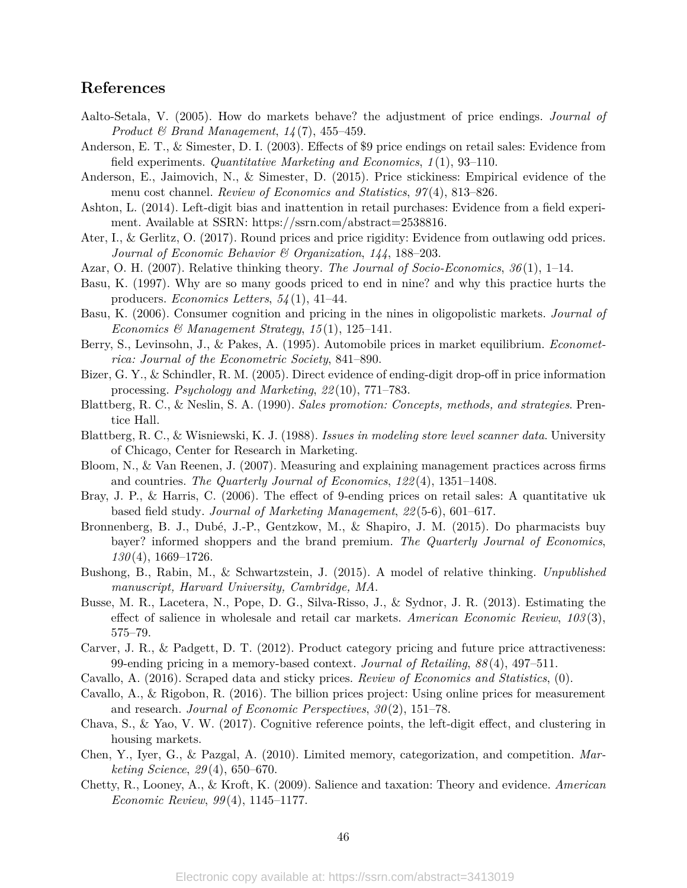## **References**

- Aalto-Setala, V. (2005). How do markets behave? the adjustment of price endings. *Journal of Product & Brand Management*, *14* (7), 455–459.
- Anderson, E. T., & Simester, D. I. (2003). Effects of \$9 price endings on retail sales: Evidence from field experiments. *Quantitative Marketing and Economics*, *1* (1), 93–110.
- Anderson, E., Jaimovich, N., & Simester, D. (2015). Price stickiness: Empirical evidence of the menu cost channel. *Review of Economics and Statistics*, *97* (4), 813–826.
- Ashton, L. (2014). Left-digit bias and inattention in retail purchases: Evidence from a field experiment. Available at SSRN: https://ssrn.com/abstract=2538816.
- Ater, I., & Gerlitz, O. (2017). Round prices and price rigidity: Evidence from outlawing odd prices. *Journal of Economic Behavior & Organization*, *144*, 188–203.
- Azar, O. H. (2007). Relative thinking theory. *The Journal of Socio-Economics*, *36* (1), 1–14.
- Basu, K. (1997). Why are so many goods priced to end in nine? and why this practice hurts the producers. *Economics Letters*, *54* (1), 41–44.
- Basu, K. (2006). Consumer cognition and pricing in the nines in oligopolistic markets. *Journal of Economics & Management Strategy*, *15* (1), 125–141.
- Berry, S., Levinsohn, J., & Pakes, A. (1995). Automobile prices in market equilibrium. *Econometrica: Journal of the Econometric Society*, 841–890.
- Bizer, G. Y., & Schindler, R. M. (2005). Direct evidence of ending-digit drop-off in price information processing. *Psychology and Marketing*, *22* (10), 771–783.
- Blattberg, R. C., & Neslin, S. A. (1990). *Sales promotion: Concepts, methods, and strategies*. Prentice Hall.
- Blattberg, R. C., & Wisniewski, K. J. (1988). *Issues in modeling store level scanner data*. University of Chicago, Center for Research in Marketing.
- Bloom, N., & Van Reenen, J. (2007). Measuring and explaining management practices across firms and countries. *The Quarterly Journal of Economics*, *122* (4), 1351–1408.
- Bray, J. P., & Harris, C. (2006). The effect of 9-ending prices on retail sales: A quantitative uk based field study. *Journal of Marketing Management*, *22* (5-6), 601–617.
- Bronnenberg, B. J., Dubé, J.-P., Gentzkow, M., & Shapiro, J. M. (2015). Do pharmacists buy bayer? informed shoppers and the brand premium. *The Quarterly Journal of Economics*, *130* (4), 1669–1726.
- Bushong, B., Rabin, M., & Schwartzstein, J. (2015). A model of relative thinking. *Unpublished manuscript, Harvard University, Cambridge, MA*.
- Busse, M. R., Lacetera, N., Pope, D. G., Silva-Risso, J., & Sydnor, J. R. (2013). Estimating the effect of salience in wholesale and retail car markets. *American Economic Review*, *103* (3), 575–79.
- Carver, J. R., & Padgett, D. T. (2012). Product category pricing and future price attractiveness: 99-ending pricing in a memory-based context. *Journal of Retailing*, *88* (4), 497–511.
- Cavallo, A. (2016). Scraped data and sticky prices. *Review of Economics and Statistics*, (0).
- Cavallo, A., & Rigobon, R. (2016). The billion prices project: Using online prices for measurement and research. *Journal of Economic Perspectives*, *30* (2), 151–78.
- Chava, S., & Yao, V. W. (2017). Cognitive reference points, the left-digit effect, and clustering in housing markets.
- Chen, Y., Iyer, G., & Pazgal, A. (2010). Limited memory, categorization, and competition. *Marketing Science*, *29* (4), 650–670.
- Chetty, R., Looney, A., & Kroft, K. (2009). Salience and taxation: Theory and evidence. *American Economic Review*, *99* (4), 1145–1177.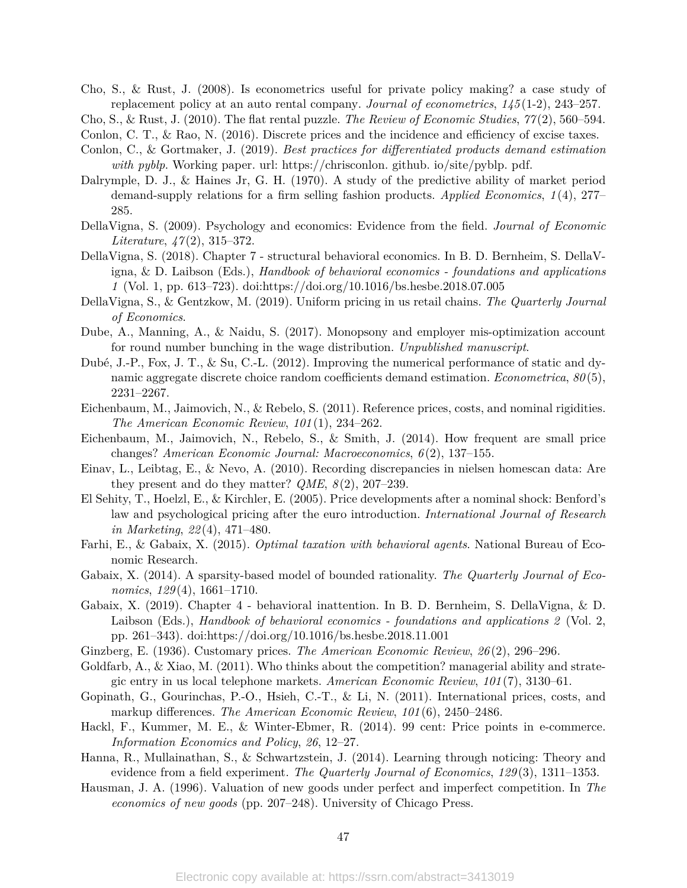- Cho, S., & Rust, J. (2008). Is econometrics useful for private policy making? a case study of replacement policy at an auto rental company. *Journal of econometrics*, *145* (1-2), 243–257.
- Cho, S., & Rust, J. (2010). The flat rental puzzle. *The Review of Economic Studies*, *77* (2), 560–594.

Conlon, C. T., & Rao, N. (2016). Discrete prices and the incidence and efficiency of excise taxes.

- Conlon, C., & Gortmaker, J. (2019). *Best practices for differentiated products demand estimation with pyblp*. Working paper. url: https://chrisconlon. github. io/site/pyblp. pdf.
- Dalrymple, D. J., & Haines Jr, G. H. (1970). A study of the predictive ability of market period demand-supply relations for a firm selling fashion products. *Applied Economics*, *1* (4), 277– 285.
- DellaVigna, S. (2009). Psychology and economics: Evidence from the field. *Journal of Economic Literature*, *47* (2), 315–372.
- DellaVigna, S. (2018). Chapter 7 structural behavioral economics. In B. D. Bernheim, S. DellaVigna, & D. Laibson (Eds.), *Handbook of behavioral economics - foundations and applications 1* (Vol. 1, pp. 613–723). doi:https://doi.org/10.1016/bs.hesbe.2018.07.005
- DellaVigna, S., & Gentzkow, M. (2019). Uniform pricing in us retail chains. *The Quarterly Journal of Economics*.
- Dube, A., Manning, A., & Naidu, S. (2017). Monopsony and employer mis-optimization account for round number bunching in the wage distribution. *Unpublished manuscript*.
- Dubé, J.-P., Fox, J. T., & Su, C.-L. (2012). Improving the numerical performance of static and dynamic aggregate discrete choice random coefficients demand estimation. *Econometrica*, *80* (5), 2231–2267.
- Eichenbaum, M., Jaimovich, N., & Rebelo, S. (2011). Reference prices, costs, and nominal rigidities. *The American Economic Review*, *101* (1), 234–262.
- Eichenbaum, M., Jaimovich, N., Rebelo, S., & Smith, J. (2014). How frequent are small price changes? *American Economic Journal: Macroeconomics*, *6* (2), 137–155.
- Einav, L., Leibtag, E., & Nevo, A. (2010). Recording discrepancies in nielsen homescan data: Are they present and do they matter? *QME*, *8* (2), 207–239.
- El Sehity, T., Hoelzl, E., & Kirchler, E. (2005). Price developments after a nominal shock: Benford's law and psychological pricing after the euro introduction. *International Journal of Research in Marketing*, *22* (4), 471–480.
- Farhi, E., & Gabaix, X. (2015). *Optimal taxation with behavioral agents*. National Bureau of Economic Research.
- Gabaix, X. (2014). A sparsity-based model of bounded rationality. *The Quarterly Journal of Economics*, *129* (4), 1661–1710.
- Gabaix, X. (2019). Chapter 4 behavioral inattention. In B. D. Bernheim, S. DellaVigna, & D. Laibson (Eds.), *Handbook of behavioral economics - foundations and applications 2* (Vol. 2, pp. 261–343). doi:https://doi.org/10.1016/bs.hesbe.2018.11.001
- Ginzberg, E. (1936). Customary prices. *The American Economic Review*, *26* (2), 296–296.
- Goldfarb, A., & Xiao, M. (2011). Who thinks about the competition? managerial ability and strategic entry in us local telephone markets. *American Economic Review*, *101* (7), 3130–61.
- Gopinath, G., Gourinchas, P.-O., Hsieh, C.-T., & Li, N. (2011). International prices, costs, and markup differences. *The American Economic Review*, *101* (6), 2450–2486.
- Hackl, F., Kummer, M. E., & Winter-Ebmer, R. (2014). 99 cent: Price points in e-commerce. *Information Economics and Policy*, *26*, 12–27.
- Hanna, R., Mullainathan, S., & Schwartzstein, J. (2014). Learning through noticing: Theory and evidence from a field experiment. *The Quarterly Journal of Economics*, *129* (3), 1311–1353.
- Hausman, J. A. (1996). Valuation of new goods under perfect and imperfect competition. In *The economics of new goods* (pp. 207–248). University of Chicago Press.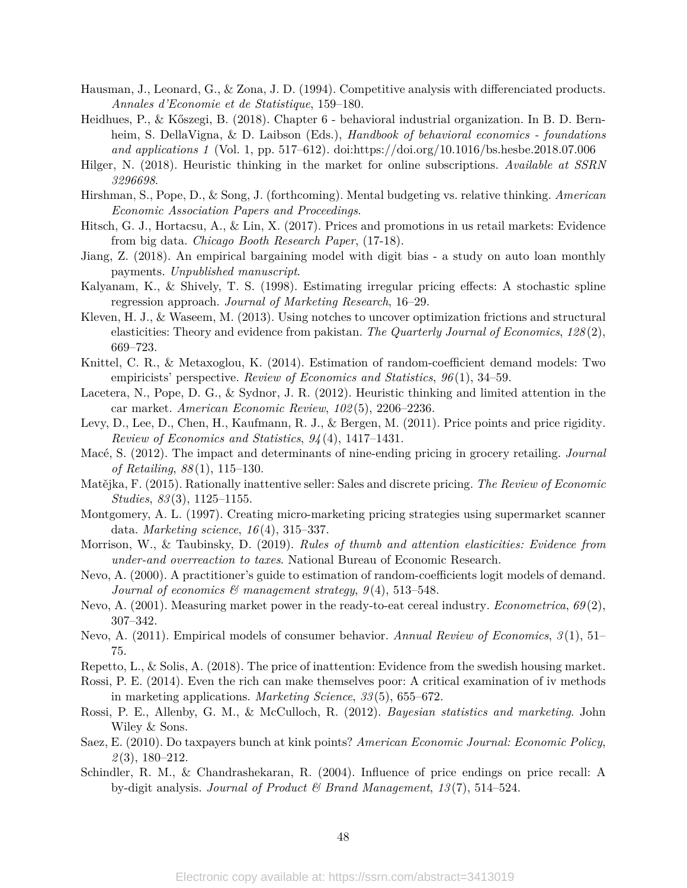- Hausman, J., Leonard, G., & Zona, J. D. (1994). Competitive analysis with differenciated products. *Annales d'Economie et de Statistique*, 159–180.
- Heidhues, P., & Kőszegi, B. (2018). Chapter 6 behavioral industrial organization. In B. D. Bernheim, S. DellaVigna, & D. Laibson (Eds.), *Handbook of behavioral economics - foundations and applications 1* (Vol. 1, pp. 517–612). doi:https://doi.org/10.1016/bs.hesbe.2018.07.006
- Hilger, N. (2018). Heuristic thinking in the market for online subscriptions. *Available at SSRN 3296698*.
- Hirshman, S., Pope, D., & Song, J. (forthcoming). Mental budgeting vs. relative thinking. *American Economic Association Papers and Proceedings*.
- Hitsch, G. J., Hortacsu, A., & Lin, X. (2017). Prices and promotions in us retail markets: Evidence from big data. *Chicago Booth Research Paper*, (17-18).
- Jiang, Z. (2018). An empirical bargaining model with digit bias a study on auto loan monthly payments. *Unpublished manuscript*.
- Kalyanam, K., & Shively, T. S. (1998). Estimating irregular pricing effects: A stochastic spline regression approach. *Journal of Marketing Research*, 16–29.
- Kleven, H. J., & Waseem, M. (2013). Using notches to uncover optimization frictions and structural elasticities: Theory and evidence from pakistan. *The Quarterly Journal of Economics*, *128* (2), 669–723.
- Knittel, C. R., & Metaxoglou, K. (2014). Estimation of random-coefficient demand models: Two empiricists' perspective. *Review of Economics and Statistics*, *96* (1), 34–59.
- Lacetera, N., Pope, D. G., & Sydnor, J. R. (2012). Heuristic thinking and limited attention in the car market. *American Economic Review*, *102* (5), 2206–2236.
- Levy, D., Lee, D., Chen, H., Kaufmann, R. J., & Bergen, M. (2011). Price points and price rigidity. *Review of Economics and Statistics*, *94* (4), 1417–1431.
- Macé, S. (2012). The impact and determinants of nine-ending pricing in grocery retailing. *Journal of Retailing*, *88* (1), 115–130.
- Matějka, F. (2015). Rationally inattentive seller: Sales and discrete pricing. *The Review of Economic Studies*, *83* (3), 1125–1155.
- Montgomery, A. L. (1997). Creating micro-marketing pricing strategies using supermarket scanner data. *Marketing science*, *16* (4), 315–337.
- Morrison, W., & Taubinsky, D. (2019). *Rules of thumb and attention elasticities: Evidence from under-and overreaction to taxes*. National Bureau of Economic Research.
- Nevo, A. (2000). A practitioner's guide to estimation of random-coefficients logit models of demand. *Journal of economics & management strategy*, *9* (4), 513–548.
- Nevo, A. (2001). Measuring market power in the ready-to-eat cereal industry. *Econometrica*, *69* (2), 307–342.
- Nevo, A. (2011). Empirical models of consumer behavior. *Annual Review of Economics*, *3* (1), 51– 75.
- Repetto, L., & Solis, A. (2018). The price of inattention: Evidence from the swedish housing market.
- Rossi, P. E. (2014). Even the rich can make themselves poor: A critical examination of iv methods in marketing applications. *Marketing Science*, *33* (5), 655–672.
- Rossi, P. E., Allenby, G. M., & McCulloch, R. (2012). *Bayesian statistics and marketing*. John Wiley & Sons.
- Saez, E. (2010). Do taxpayers bunch at kink points? *American Economic Journal: Economic Policy*, *2* (3), 180–212.
- Schindler, R. M., & Chandrashekaran, R. (2004). Influence of price endings on price recall: A by-digit analysis. *Journal of Product & Brand Management*, *13* (7), 514–524.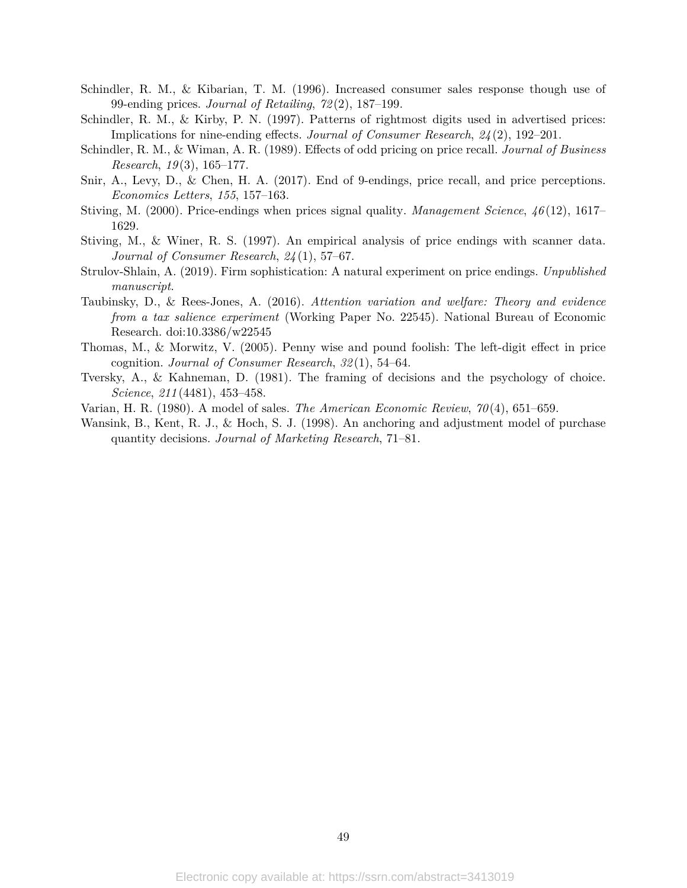- Schindler, R. M., & Kibarian, T. M. (1996). Increased consumer sales response though use of 99-ending prices. *Journal of Retailing*, *72* (2), 187–199.
- Schindler, R. M., & Kirby, P. N. (1997). Patterns of rightmost digits used in advertised prices: Implications for nine-ending effects. *Journal of Consumer Research*, *24* (2), 192–201.
- Schindler, R. M., & Wiman, A. R. (1989). Effects of odd pricing on price recall. *Journal of Business Research*, *19* (3), 165–177.
- Snir, A., Levy, D., & Chen, H. A. (2017). End of 9-endings, price recall, and price perceptions. *Economics Letters*, *155*, 157–163.
- Stiving, M. (2000). Price-endings when prices signal quality. *Management Science*, *46* (12), 1617– 1629.
- Stiving, M., & Winer, R. S. (1997). An empirical analysis of price endings with scanner data. *Journal of Consumer Research*, *24* (1), 57–67.
- Strulov-Shlain, A. (2019). Firm sophistication: A natural experiment on price endings. *Unpublished manuscript*.
- Taubinsky, D., & Rees-Jones, A. (2016). *Attention variation and welfare: Theory and evidence from a tax salience experiment* (Working Paper No. 22545). National Bureau of Economic Research. doi:10.3386/w22545
- Thomas, M., & Morwitz, V. (2005). Penny wise and pound foolish: The left-digit effect in price cognition. *Journal of Consumer Research*, *32* (1), 54–64.
- Tversky, A., & Kahneman, D. (1981). The framing of decisions and the psychology of choice. *Science*, *211* (4481), 453–458.
- Varian, H. R. (1980). A model of sales. *The American Economic Review*, *70* (4), 651–659.
- Wansink, B., Kent, R. J., & Hoch, S. J. (1998). An anchoring and adjustment model of purchase quantity decisions. *Journal of Marketing Research*, 71–81.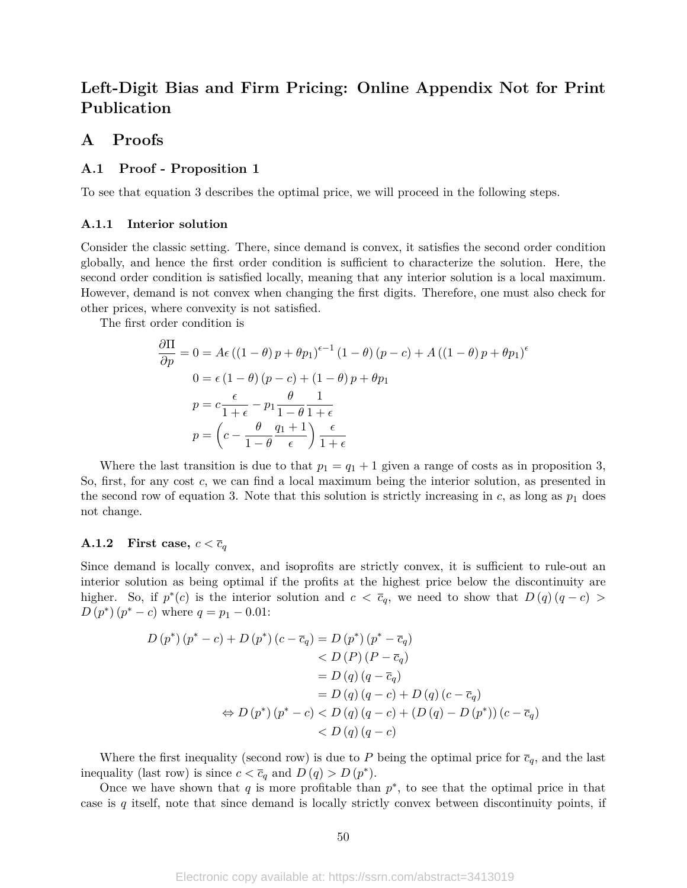# **Left-Digit Bias and Firm Pricing: Online Appendix Not for Print Publication**

## **A Proofs**

### **A.1 Proof - Proposition 1**

To see that equation 3 describes the optimal price, we will proceed in the following steps.

### **A.1.1 Interior solution**

Consider the classic setting. There, since demand is convex, it satisfies the second order condition globally, and hence the first order condition is sufficient to characterize the solution. Here, the second order condition is satisfied locally, meaning that any interior solution is a local maximum. However, demand is not convex when changing the first digits. Therefore, one must also check for other prices, where convexity is not satisfied.

The first order condition is

$$
\frac{\partial \Pi}{\partial p} = 0 = A\epsilon ((1 - \theta) p + \theta p_1)^{\epsilon - 1} (1 - \theta) (p - c) + A ((1 - \theta) p + \theta p_1)^{\epsilon}
$$
  
\n
$$
0 = \epsilon (1 - \theta) (p - c) + (1 - \theta) p + \theta p_1
$$
  
\n
$$
p = c \frac{\epsilon}{1 + \epsilon} - p_1 \frac{\theta}{1 - \theta} \frac{1}{1 + \epsilon}
$$
  
\n
$$
p = \left(c - \frac{\theta}{1 - \theta} \frac{q_1 + 1}{\epsilon}\right) \frac{\epsilon}{1 + \epsilon}
$$

Where the last transition is due to that  $p_1 = q_1 + 1$  given a range of costs as in proposition 3, So, first, for any cost *c*, we can find a local maximum being the interior solution, as presented in the second row of equation 3. Note that this solution is strictly increasing in  $c$ , as long as  $p_1$  does not change.

### **A.1.2** First case,  $c < \overline{c}_q$

Since demand is locally convex, and isoprofits are strictly convex, it is sufficient to rule-out an interior solution as being optimal if the profits at the highest price below the discontinuity are higher. So, if  $p^*(c)$  is the interior solution and  $c < \overline{c}_q$ , we need to show that  $D(q)(q-c)$  $D(p^*) (p^* - c)$  where  $q = p_1 - 0.01$ :

$$
D (p^*) (p^* - c) + D (p^*) (c - \overline{c}_q) = D (p^*) (p^* - \overline{c}_q)
$$
  

$$
< D (P) (P - \overline{c}_q)
$$
  

$$
= D (q) (q - \overline{c}_q)
$$
  

$$
= D (q) (q - c) + D (q) (c - \overline{c}_q)
$$
  

$$
\Leftrightarrow D (p^*) (p^* - c) < D (q) (q - c) + (D (q) - D (p^*)) (c - \overline{c}_q)
$$
  

$$
< D (q) (q - c)
$$

Where the first inequality (second row) is due to P being the optimal price for  $\bar{c}_q$ , and the last inequality (last row) is since  $c < \overline{c}_q$  and  $D(q) > D(p^*)$ .

Once we have shown that  $q$  is more profitable than  $p^*$ , to see that the optimal price in that case is *q* itself, note that since demand is locally strictly convex between discontinuity points, if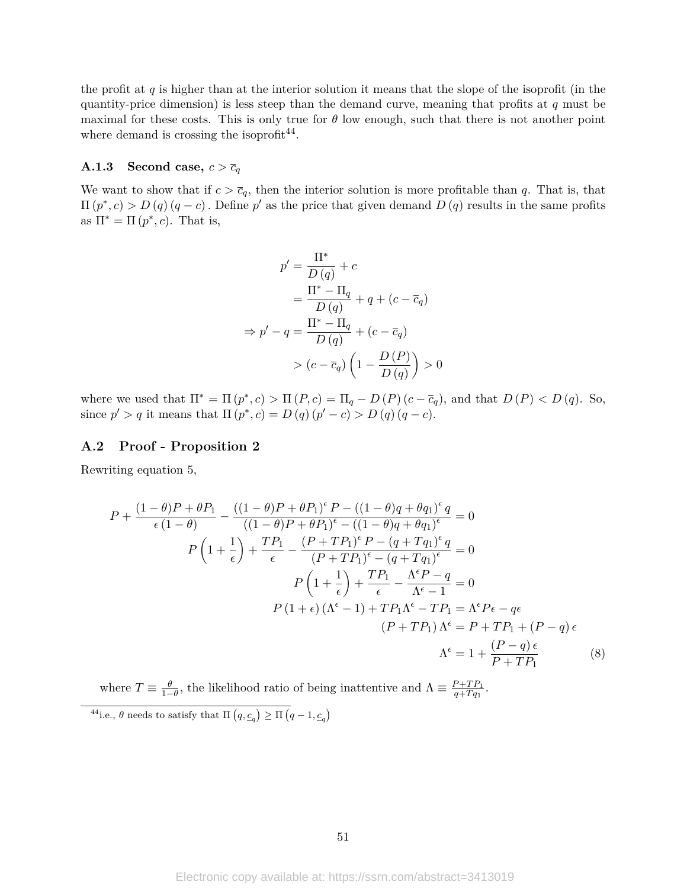the profit at *q* is higher than at the interior solution it means that the slope of the isoprofit (in the quantity-price dimension) is less steep than the demand curve, meaning that profits at *q* must be maximal for these costs. This is only true for  $\theta$  low enough, such that there is not another point where demand is crossing the isoprofit<sup>44</sup>.

### **A.1.3** Second case,  $c > \overline{c}_q$

We want to show that if  $c > \bar{c}_q$ , then the interior solution is more profitable than *q*. That is, that  $\Pi(p^*, c) > D(q)(q - c)$ . Define p' as the price that given demand  $D(q)$  results in the same profits as  $\Pi^* = \Pi(p^*, c)$ . That is,

$$
p' = \frac{\Pi^*}{D(q)} + c
$$
  

$$
= \frac{\Pi^* - \Pi_q}{D(q)} + q + (c - \overline{c}_q)
$$
  

$$
\Rightarrow p' - q = \frac{\Pi^* - \Pi_q}{D(q)} + (c - \overline{c}_q)
$$
  

$$
> (c - \overline{c}_q) \left(1 - \frac{D(P)}{D(q)}\right) > 0
$$

where we used that  $\Pi^* = \Pi(p^*, c) > \Pi(P, c) = \Pi_q - D(P)(c - \overline{c}_q)$ , and that  $D(P) < D(q)$ . So, since  $p' > q$  it means that  $\Pi(p^*, c) = D(q)(p' - c) > D(q)(q - c)$ .

### **A.2 Proof - Proposition 2**

Rewriting equation 5,

$$
P + \frac{(1 - \theta)P + \theta P_1}{\epsilon (1 - \theta)} - \frac{((1 - \theta)P + \theta P_1)^{\epsilon} P - ((1 - \theta)q + \theta q_1)^{\epsilon} q}{((1 - \theta)P + \theta P_1)^{\epsilon} - ((1 - \theta)q + \theta q_1)^{\epsilon}} = 0
$$
  
\n
$$
P\left(1 + \frac{1}{\epsilon}\right) + \frac{TP_1}{\epsilon} - \frac{(P + TP_1)^{\epsilon} P - (q + Tq_1)^{\epsilon} q}{(P + TP_1)^{\epsilon} - (q + Tq_1)^{\epsilon}} = 0
$$
  
\n
$$
P\left(1 + \frac{1}{\epsilon}\right) + \frac{TP_1}{\epsilon} - \frac{\Lambda^{\epsilon} P - q}{\Lambda^{\epsilon} - 1} = 0
$$
  
\n
$$
P(1 + \epsilon) (\Lambda^{\epsilon} - 1) + TP_1 \Lambda^{\epsilon} - TP_1 = \Lambda^{\epsilon} P \epsilon - q \epsilon
$$
  
\n
$$
(P + TP_1) \Lambda^{\epsilon} = P + TP_1 + (P - q) \epsilon
$$
  
\n
$$
\Lambda^{\epsilon} = 1 + \frac{(P - q) \epsilon}{P + TP_1}
$$
(8)

where  $T \equiv \frac{\theta}{1-\theta}$ , the likelihood ratio of being inattentive and  $\Lambda \equiv \frac{P+TP_1}{q+Tq_1}$  $\frac{P+TP_1}{q+Tq_1}$ . <sup>44</sup>i.e.,  $\theta$  needs to satisfy that  $\Pi(q, \underline{c}_q) \geq \Pi(q-1, \underline{c}_q)$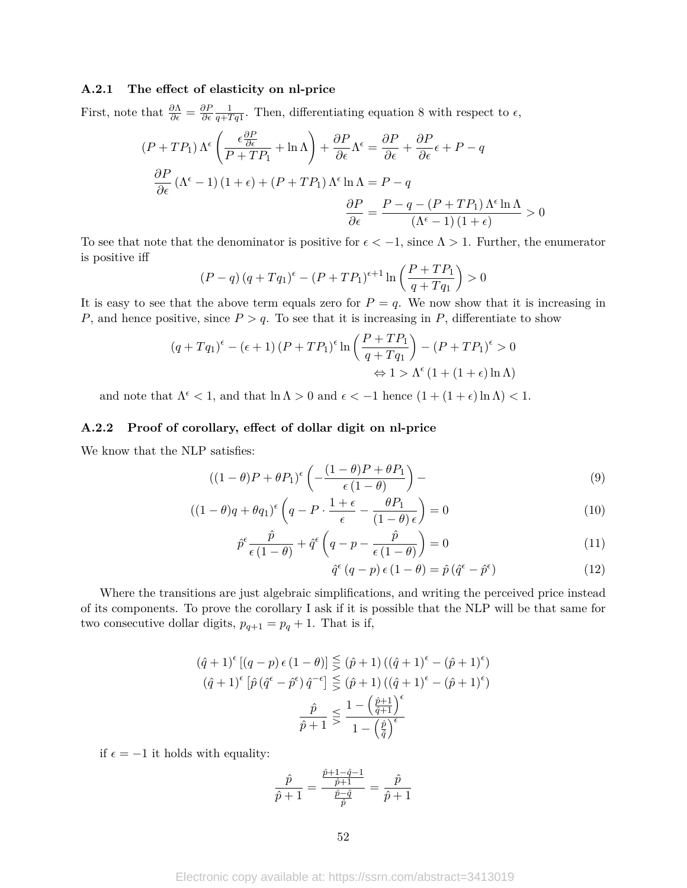### **A.2.1 The effect of elasticity on nl-price**

First, note that  $\frac{\partial \Lambda}{\partial \epsilon} = \frac{\partial F}{\partial \epsilon}$ *∂* 1  $\frac{1}{q+Tq1}$ . Then, differentiating equation 8 with respect to  $\epsilon$ ,

$$
(P + TP_1) \Lambda^{\epsilon} \left( \frac{\epsilon \frac{\partial P}{\partial \epsilon}}{P + TP_1} + \ln \Lambda \right) + \frac{\partial P}{\partial \epsilon} \Lambda^{\epsilon} = \frac{\partial P}{\partial \epsilon} + \frac{\partial P}{\partial \epsilon} \epsilon + P - q
$$

$$
\frac{\partial P}{\partial \epsilon} (\Lambda^{\epsilon} - 1) (1 + \epsilon) + (P + TP_1) \Lambda^{\epsilon} \ln \Lambda = P - q
$$

$$
\frac{\partial P}{\partial \epsilon} = \frac{P - q - (P + TP_1) \Lambda^{\epsilon} \ln \Lambda}{(\Lambda^{\epsilon} - 1) (1 + \epsilon)} > 0
$$

To see that note that the denominator is positive for  $\epsilon < -1$ , since  $\Lambda > 1$ . Further, the enumerator is positive iff

$$
(P - q) (q + Tq_1)^{\epsilon} - (P + TP_1)^{\epsilon+1} \ln \left( \frac{P + TP_1}{q + Tq_1} \right) > 0
$$

It is easy to see that the above term equals zero for  $P = q$ . We now show that it is increasing in *P*, and hence positive, since  $P > q$ . To see that it is increasing in *P*, differentiate to show

$$
(q+Tq_1)^{\epsilon} - (\epsilon+1)(P+TP_1)^{\epsilon} \ln \left(\frac{P+TP_1}{q+Tq_1}\right) - (P+TP_1)^{\epsilon} > 0
$$
  

$$
\Leftrightarrow 1 > \Lambda^{\epsilon} (1 + (1+\epsilon)\ln \Lambda)
$$

and note that  $\Lambda^{\epsilon} < 1$ , and that  $\ln \Lambda > 0$  and  $\epsilon < -1$  hence  $(1 + (1 + \epsilon) \ln \Lambda) < 1$ .

### **A.2.2 Proof of corollary, effect of dollar digit on nl-price**

We know that the NLP satisfies:

$$
((1 - \theta)P + \theta P_1)^{\epsilon} \left( -\frac{(1 - \theta)P + \theta P_1}{\epsilon (1 - \theta)} \right) -
$$
\n(9)

$$
((1 - \theta)q + \theta q_1)^{\epsilon} \left( q - P \cdot \frac{1 + \epsilon}{\epsilon} - \frac{\theta P_1}{(1 - \theta)\epsilon} \right) = 0 \tag{10}
$$

$$
\hat{p}^{\epsilon} \frac{\hat{p}}{\epsilon (1-\theta)} + \hat{q}^{\epsilon} \left( q - p - \frac{\hat{p}}{\epsilon (1-\theta)} \right) = 0 \tag{11}
$$

$$
\hat{q}^{\epsilon} (q - p) \epsilon (1 - \theta) = \hat{p} (\hat{q}^{\epsilon} - \hat{p}^{\epsilon}) \tag{12}
$$

Where the transitions are just algebraic simplifications, and writing the perceived price instead of its components. To prove the corollary I ask if it is possible that the NLP will be that same for two consecutive dollar digits,  $p_{q+1} = p_q + 1$ . That is if,

$$
(\hat{q}+1)^{\epsilon}[(q-p)\epsilon(1-\theta)] \leq (\hat{p}+1) ((\hat{q}+1)^{\epsilon} - (\hat{p}+1)^{\epsilon})
$$

$$
(\hat{q}+1)^{\epsilon}[\hat{p}(\hat{q}^{\epsilon} - \hat{p}^{\epsilon})\hat{q}^{-\epsilon}] \leq (\hat{p}+1) ((\hat{q}+1)^{\epsilon} - (\hat{p}+1)^{\epsilon})
$$

$$
\frac{\hat{p}}{\hat{p}+1} \leq \frac{1 - (\frac{\hat{p}+1}{\hat{q}+1})^{\epsilon}}{1 - (\frac{\hat{p}}{\hat{q}})^{\epsilon}}
$$

if  $\epsilon = -1$  it holds with equality:

$$
\frac{\hat{p}}{\hat{p}+1} = \frac{\frac{\hat{p}+1-\hat{q}-1}{\hat{p}+1}}{\frac{\hat{p}-\hat{q}}{\hat{p}}} = \frac{\hat{p}}{\hat{p}+1}
$$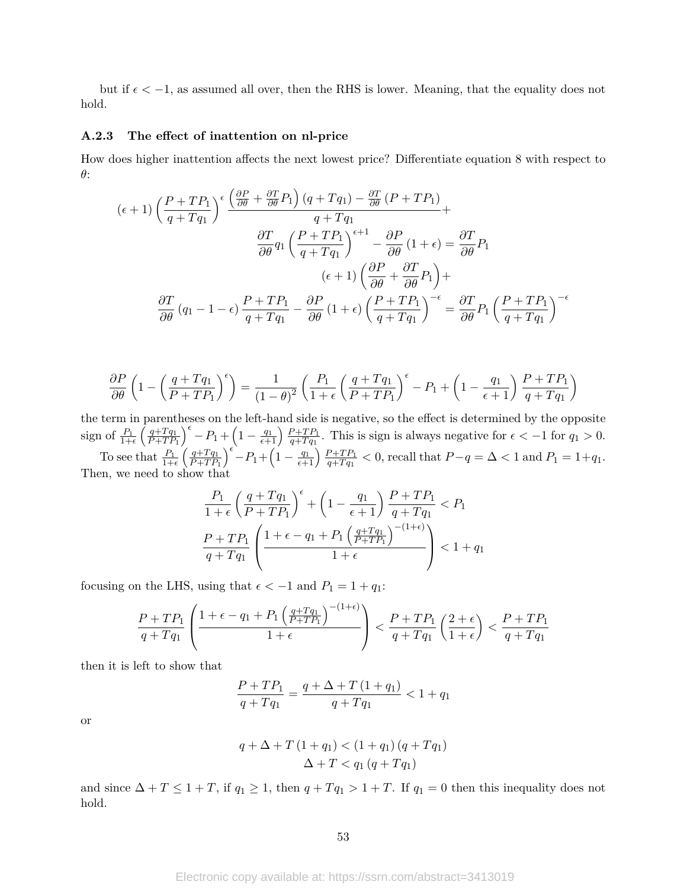but if  $\epsilon < -1$ , as assumed all over, then the RHS is lower. Meaning, that the equality does not hold.

### **A.2.3 The effect of inattention on nl-price**

How does higher inattention affects the next lowest price? Differentiate equation 8 with respect to *θ*:

$$
(\epsilon+1)\left(\frac{P+TP_1}{q+Tq_1}\right)^{\epsilon} \frac{\left(\frac{\partial P}{\partial \theta} + \frac{\partial T}{\partial \theta}P_1\right)(q+Tq_1) - \frac{\partial T}{\partial \theta}(P+TP_1)}{q+Tq_1} + \frac{\partial T}{\partial \theta}q_1\left(\frac{P+TP_1}{q+Tq_1}\right)^{\epsilon+1} - \frac{\partial P}{\partial \theta}(1+\epsilon) = \frac{\partial T}{\partial \theta}P_1
$$

$$
(\epsilon+1)\left(\frac{\partial P}{\partial \theta} + \frac{\partial T}{\partial \theta}P_1\right) + \frac{\partial T}{\partial \theta}(q_1-1-\epsilon)\frac{P+TP_1}{q+Tq_1} - \frac{\partial P}{\partial \theta}(1+\epsilon)\left(\frac{P+TP_1}{q+Tq_1}\right)^{-\epsilon} = \frac{\partial T}{\partial \theta}P_1\left(\frac{P+TP_1}{q+Tq_1}\right)^{-\epsilon}
$$

$$
\frac{\partial P}{\partial \theta} \left( 1 - \left( \frac{q + Tq_1}{P + TP_1} \right)^{\epsilon} \right) = \frac{1}{(1 - \theta)^2} \left( \frac{P_1}{1 + \epsilon} \left( \frac{q + Tq_1}{P + TP_1} \right)^{\epsilon} - P_1 + \left( 1 - \frac{q_1}{\epsilon + 1} \right) \frac{P + TP_1}{q + Tq_1} \right)
$$

the term in parentheses on the left-hand side is negative, so the effect is determined by the opposite sign of  $\frac{P_1}{1+\epsilon} \left( \frac{q+Tq_1}{P+TP} \right)$  $P + TP_1$  $\int^{\epsilon} -P_1 + \left(1 - \frac{q_1}{\epsilon+1}\right) \frac{P+TP_1}{q+Tq_1}$  $\frac{p+TP_1}{q+Tq_1}$ . This is sign is always negative for  $\epsilon < -1$  for  $q_1 > 0$ . To see that  $\frac{P_1}{1+\epsilon} \left( \frac{q+Tq_1}{P+TP} \right)$ *P* +*T P*<sup>1</sup>  $\int_{0}^{\epsilon} -P_1 + \left(1 - \frac{q_1}{\epsilon+1}\right) \frac{P + TP_1}{q + T q_1}$  $\frac{P+TP_1}{q+Tq_1} < 0$ , recall that  $P-q = \Delta < 1$  and  $P_1 = 1+q_1$ .

Then, we need to show that

$$
\frac{P_1}{1+\epsilon} \left(\frac{q+Tq_1}{P+TP_1}\right)^{\epsilon} + \left(1 - \frac{q_1}{\epsilon+1}\right) \frac{P+TP_1}{q+Tq_1} < P_1
$$
\n
$$
\frac{P+TP_1}{q+Tq_1} \left(\frac{1+\epsilon-q_1+P_1\left(\frac{q+Tq_1}{P+TP_1}\right)^{-(1+\epsilon)}}{1+\epsilon}\right) < 1+q_1
$$

focusing on the LHS, using that  $\epsilon < -1$  and  $P_1 = 1 + q_1$ :

$$
\frac{P + TP_1}{q + Tq_1} \left( \frac{1 + \epsilon - q_1 + P_1 \left( \frac{q + Tq_1}{P + TP_1} \right)^{-(1 + \epsilon)}}{1 + \epsilon} \right) < \frac{P + TP_1}{q + Tq_1} \left( \frac{2 + \epsilon}{1 + \epsilon} \right) < \frac{P + TP_1}{q + Tq_1}
$$

then it is left to show that

$$
\frac{P + TP_1}{q + Tq_1} = \frac{q + \Delta + T(1 + q_1)}{q + Tq_1} < 1 + q_1
$$

or

$$
q + \Delta + T(1 + q_1) < (1 + q_1)(q + Tq_1) \\
\Delta + T < q_1(q + Tq_1)
$$

and since  $\Delta + T \leq 1 + T$ , if  $q_1 \geq 1$ , then  $q + Tq_1 > 1 + T$ . If  $q_1 = 0$  then this inequality does not hold.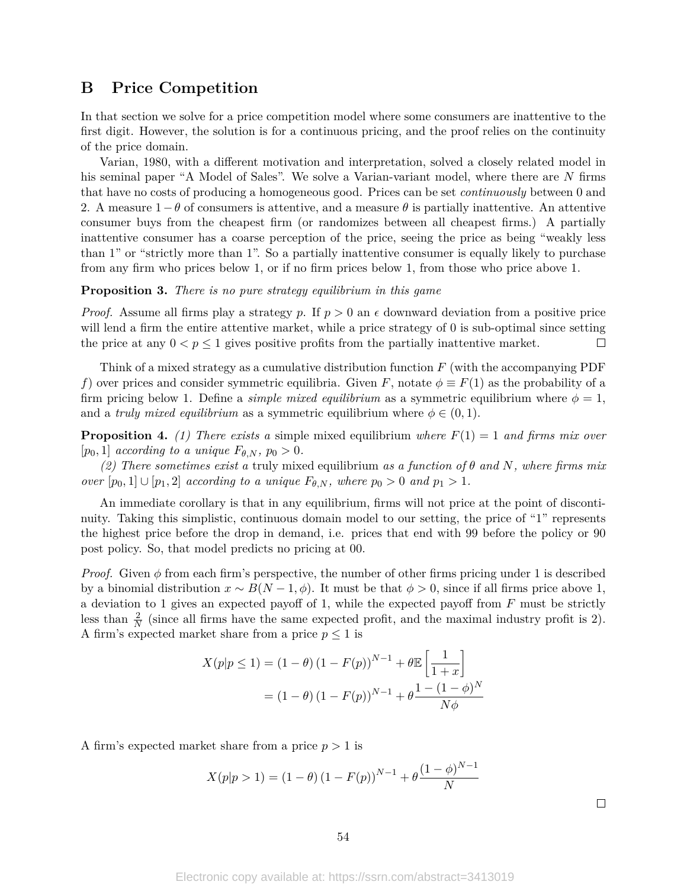## **B Price Competition**

In that section we solve for a price competition model where some consumers are inattentive to the first digit. However, the solution is for a continuous pricing, and the proof relies on the continuity of the price domain.

Varian, 1980, with a different motivation and interpretation, solved a closely related model in his seminal paper "A Model of Sales". We solve a Varian-variant model, where there are *N* firms that have no costs of producing a homogeneous good. Prices can be set *continuously* between 0 and 2. A measure 1−*θ* of consumers is attentive, and a measure *θ* is partially inattentive. An attentive consumer buys from the cheapest firm (or randomizes between all cheapest firms.) A partially inattentive consumer has a coarse perception of the price, seeing the price as being "weakly less than 1" or "strictly more than 1". So a partially inattentive consumer is equally likely to purchase from any firm who prices below 1, or if no firm prices below 1, from those who price above 1.

### **Proposition 3.** *There is no pure strategy equilibrium in this game*

*Proof.* Assume all firms play a strategy p. If  $p > 0$  an  $\epsilon$  downward deviation from a positive price will lend a firm the entire attentive market, while a price strategy of 0 is sub-optimal since setting the price at any  $0 < p \le 1$  gives positive profits from the partially inattentive market.  $\Box$ 

Think of a mixed strategy as a cumulative distribution function *F* (with the accompanying PDF *f*) over prices and consider symmetric equilibria. Given *F*, notate  $\phi \equiv F(1)$  as the probability of a firm pricing below 1. Define a *simple mixed equilibrium* as a symmetric equilibrium where  $\phi = 1$ , and a *truly mixed equilibrium* as a symmetric equilibrium where  $\phi \in (0,1)$ .

**Proposition 4.** (1) There exists a simple mixed equilibrium where  $F(1) = 1$  and firms mix over  $[p_0, 1]$  *according to a unique*  $F_{\theta,N}$ ,  $p_0 > 0$ .

*(2) There sometimes exist a* truly mixed equilibrium *as a function of θ and N, where firms mix over*  $[p_0, 1] \cup [p_1, 2]$  *according to a unique*  $F_{\theta, N}$ *, where*  $p_0 > 0$  *and*  $p_1 > 1$ *.* 

An immediate corollary is that in any equilibrium, firms will not price at the point of discontinuity. Taking this simplistic, continuous domain model to our setting, the price of "1" represents the highest price before the drop in demand, i.e. prices that end with 99 before the policy or 90 post policy. So, that model predicts no pricing at 00.

*Proof.* Given  $\phi$  from each firm's perspective, the number of other firms pricing under 1 is described by a binomial distribution  $x \sim B(N-1, \phi)$ . It must be that  $\phi > 0$ , since if all firms price above 1, a deviation to 1 gives an expected payoff of 1, while the expected payoff from *F* must be strictly less than  $\frac{2}{N}$  (since all firms have the same expected profit, and the maximal industry profit is 2). A firm's expected market share from a price  $p \leq 1$  is

$$
X(p|p \le 1) = (1 - \theta) (1 - F(p))^{N-1} + \theta \mathbb{E} \left[ \frac{1}{1+x} \right]
$$

$$
= (1 - \theta) (1 - F(p))^{N-1} + \theta \frac{1 - (1 - \phi)^N}{N\phi}
$$

A firm's expected market share from a price *p >* 1 is

$$
X(p|p>1) = (1 - \theta) (1 - F(p))^{N-1} + \theta \frac{(1 - \phi)^{N-1}}{N}
$$

 $\Box$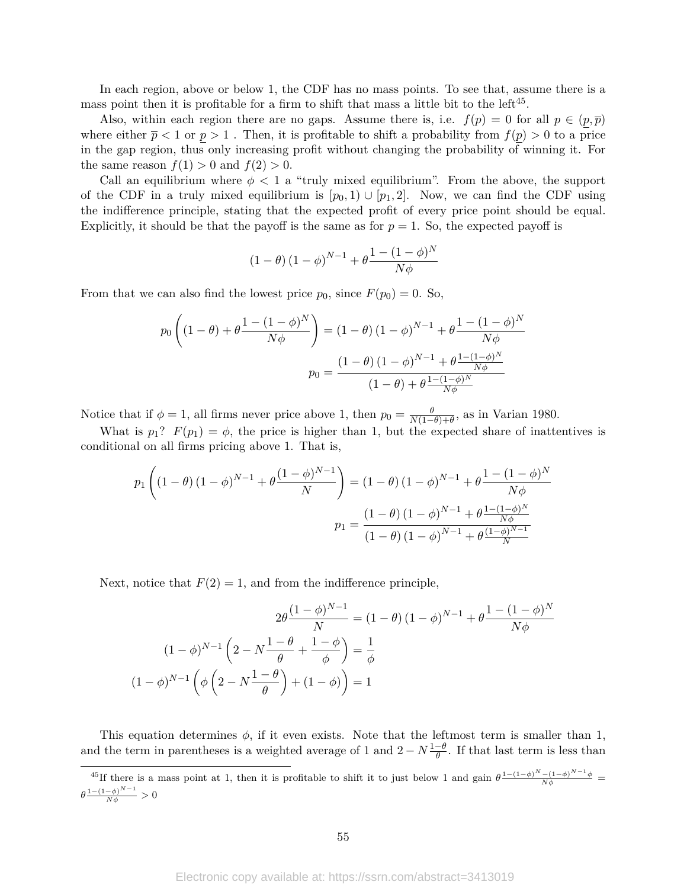In each region, above or below 1, the CDF has no mass points. To see that, assume there is a mass point then it is profitable for a firm to shift that mass a little bit to the left<sup>45</sup>.

Also, within each region there are no gaps. Assume there is, i.e.  $f(p) = 0$  for all  $p \in (p, \overline{p})$ where either  $\bar{p}$  < 1 or  $p > 1$ . Then, it is profitable to shift a probability from  $f(p) > 0$  to a price in the gap region, thus only increasing profit without changing the probability of winning it. For the same reason  $f(1) > 0$  and  $f(2) > 0$ .

Call an equilibrium where  $\phi < 1$  a "truly mixed equilibrium". From the above, the support of the CDF in a truly mixed equilibrium is  $[p_0, 1] \cup [p_1, 2]$ . Now, we can find the CDF using the indifference principle, stating that the expected profit of every price point should be equal. Explicitly, it should be that the payoff is the same as for  $p = 1$ . So, the expected payoff is

$$
(1 - \theta) (1 - \phi)^{N-1} + \theta \frac{1 - (1 - \phi)^N}{N\phi}
$$

From that we can also find the lowest price  $p_0$ , since  $F(p_0) = 0$ . So,

$$
p_0 \left( (1 - \theta) + \theta \frac{1 - (1 - \phi)^N}{N\phi} \right) = (1 - \theta) (1 - \phi)^{N - 1} + \theta \frac{1 - (1 - \phi)^N}{N\phi}
$$

$$
p_0 = \frac{(1 - \theta) (1 - \phi)^{N - 1} + \theta \frac{1 - (1 - \phi)^N}{N\phi}}{(1 - \theta) + \theta \frac{1 - (1 - \phi)^N}{N\phi}}
$$

Notice that if  $\phi = 1$ , all firms never price above 1, then  $p_0 = \frac{\theta}{N(1-\theta)}$  $\frac{\theta}{N(1-\theta)+\theta}$ , as in Varian 1980.

What is  $p_1$ ?  $F(p_1) = \phi$ , the price is higher than 1, but the expected share of inattentives is conditional on all firms pricing above 1. That is,

$$
p_1\left((1-\theta)(1-\phi)^{N-1} + \theta \frac{(1-\phi)^{N-1}}{N}\right) = (1-\theta)(1-\phi)^{N-1} + \theta \frac{1 - (1-\phi)^N}{N\phi}
$$

$$
p_1 = \frac{(1-\theta)(1-\phi)^{N-1} + \theta \frac{1 - (1-\phi)^N}{N\phi}}{(1-\theta)(1-\phi)^{N-1} + \theta \frac{(1-\phi)^{N-1}}{N}}
$$

Next, notice that  $F(2) = 1$ , and from the indifference principle,

(1 − *φ*)

$$
2\theta \frac{(1-\phi)^{N-1}}{N} = (1-\theta)(1-\phi)^{N-1} + \theta \frac{1-(1-\phi)^N}{N\phi}
$$

$$
(1-\phi)^{N-1} \left(2 - N\frac{1-\theta}{\theta} + \frac{1-\phi}{\phi}\right) = \frac{1}{\phi}
$$

$$
1-\phi)^{N-1} \left(\phi \left(2 - N\frac{1-\theta}{\theta}\right) + (1-\phi)\right) = 1
$$

This equation determines  $\phi$ , if it even exists. Note that the leftmost term is smaller than 1, and the term in parentheses is a weighted average of 1 and  $2 - N \frac{1-\theta}{\theta}$ . If that last term is less than

<sup>&</sup>lt;sup>45</sup>If there is a mass point at 1, then it is profitable to shift it to just below 1 and gain  $\theta^{\frac{1-(1-\phi)^N-(1-\phi)^{N-1}\phi}{N\phi}}$  $\theta \frac{1-(1-\phi)^{N-1}}{N\phi} > 0$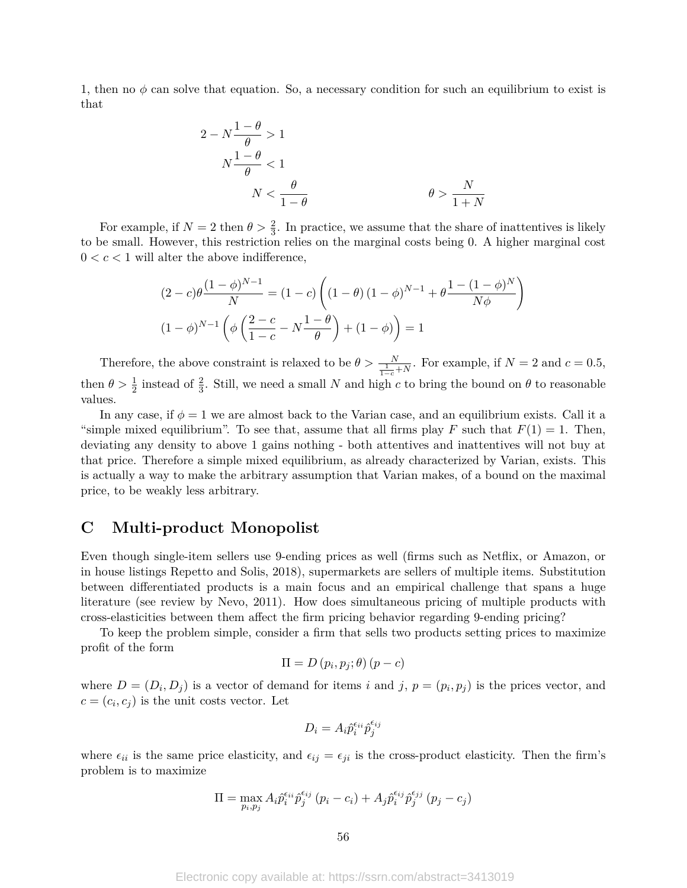1, then no  $\phi$  can solve that equation. So, a necessary condition for such an equilibrium to exist is that

$$
2 - N \frac{1 - \theta}{\theta} > 1
$$
\n
$$
N \frac{1 - \theta}{\theta} < 1
$$
\n
$$
N < \frac{\theta}{1 - \theta}
$$
\n
$$
\theta > \frac{N}{1 + N}
$$

For example, if  $N=2$  then  $\theta > \frac{2}{3}$ . In practice, we assume that the share of inattentives is likely to be small. However, this restriction relies on the marginal costs being 0. A higher marginal cost  $0 < c < 1$  will alter the above indifference,

$$
(2 - c)\theta \frac{(1 - \phi)^{N-1}}{N} = (1 - c) \left( (1 - \theta) (1 - \phi)^{N-1} + \theta \frac{1 - (1 - \phi)^N}{N\phi} \right)
$$

$$
(1 - \phi)^{N-1} \left( \phi \left( \frac{2 - c}{1 - c} - N \frac{1 - \theta}{\theta} \right) + (1 - \phi) \right) = 1
$$

Therefore, the above constraint is relaxed to be  $\theta > \frac{N}{\frac{1}{1-c}+N}$ . For example, if  $N=2$  and  $c=0.5$ , then  $\theta > \frac{1}{2}$  instead of  $\frac{2}{3}$ . Still, we need a small *N* and high *c* to bring the bound on  $\theta$  to reasonable values.

In any case, if  $\phi = 1$  we are almost back to the Varian case, and an equilibrium exists. Call it a "simple mixed equilibrium". To see that, assume that all firms play *F* such that  $F(1) = 1$ . Then, deviating any density to above 1 gains nothing - both attentives and inattentives will not buy at that price. Therefore a simple mixed equilibrium, as already characterized by Varian, exists. This is actually a way to make the arbitrary assumption that Varian makes, of a bound on the maximal price, to be weakly less arbitrary.

## **C Multi-product Monopolist**

Even though single-item sellers use 9-ending prices as well (firms such as Netflix, or Amazon, or in house listings Repetto and Solis, 2018), supermarkets are sellers of multiple items. Substitution between differentiated products is a main focus and an empirical challenge that spans a huge literature (see review by Nevo, 2011). How does simultaneous pricing of multiple products with cross-elasticities between them affect the firm pricing behavior regarding 9-ending pricing?

To keep the problem simple, consider a firm that sells two products setting prices to maximize profit of the form

$$
\Pi = D(p_i, p_j; \theta) (p - c)
$$

where  $D = (D_i, D_j)$  is a vector of demand for items *i* and *j*,  $p = (p_i, p_j)$  is the prices vector, and  $c = (c_i, c_j)$  is the unit costs vector. Let

$$
D_i = A_i \hat{p}_i^{\epsilon_{ii}} \hat{p}_j^{\epsilon_{ij}}
$$

where  $\epsilon_{ii}$  is the same price elasticity, and  $\epsilon_{ij} = \epsilon_{ji}$  is the cross-product elasticity. Then the firm's problem is to maximize

$$
\Pi = \max_{p_i, p_j} A_i \hat{p}_i^{\epsilon_{ij}} \hat{p}_j^{\epsilon_{ij}} (p_i - c_i) + A_j \hat{p}_i^{\epsilon_{ij}} \hat{p}_j^{\epsilon_{jj}} (p_j - c_j)
$$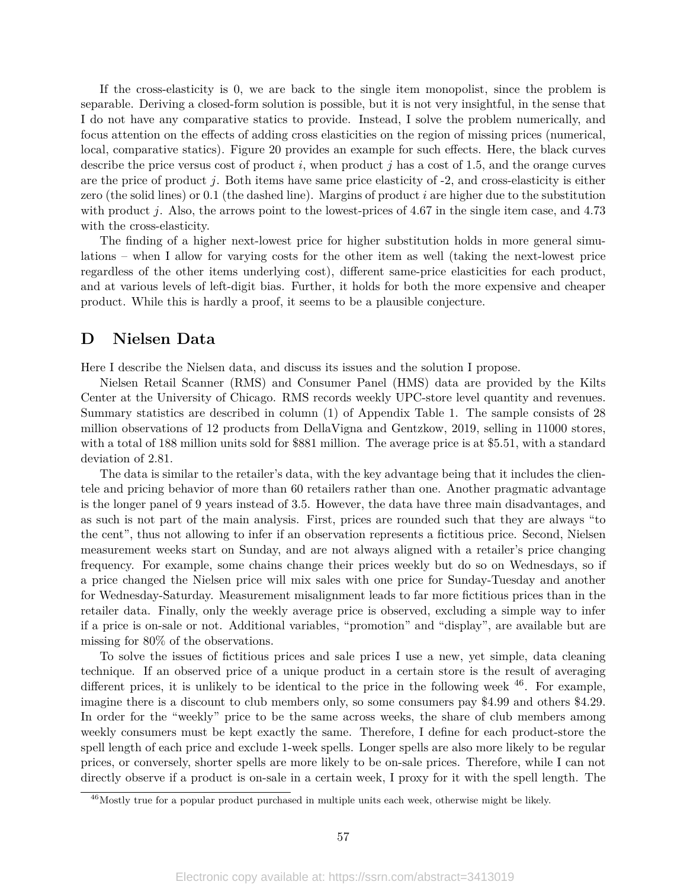If the cross-elasticity is 0, we are back to the single item monopolist, since the problem is separable. Deriving a closed-form solution is possible, but it is not very insightful, in the sense that I do not have any comparative statics to provide. Instead, I solve the problem numerically, and focus attention on the effects of adding cross elasticities on the region of missing prices (numerical, local, comparative statics). Figure 20 provides an example for such effects. Here, the black curves describe the price versus cost of product *i*, when product *j* has a cost of 1.5, and the orange curves are the price of product *j*. Both items have same price elasticity of -2, and cross-elasticity is either zero (the solid lines) or 0.1 (the dashed line). Margins of product *i* are higher due to the substitution with product *j*. Also, the arrows point to the lowest-prices of 4.67 in the single item case, and 4.73 with the cross-elasticity.

The finding of a higher next-lowest price for higher substitution holds in more general simulations – when I allow for varying costs for the other item as well (taking the next-lowest price regardless of the other items underlying cost), different same-price elasticities for each product, and at various levels of left-digit bias. Further, it holds for both the more expensive and cheaper product. While this is hardly a proof, it seems to be a plausible conjecture.

## **D Nielsen Data**

Here I describe the Nielsen data, and discuss its issues and the solution I propose.

Nielsen Retail Scanner (RMS) and Consumer Panel (HMS) data are provided by the Kilts Center at the University of Chicago. RMS records weekly UPC-store level quantity and revenues. Summary statistics are described in column (1) of Appendix Table 1. The sample consists of 28 million observations of 12 products from DellaVigna and Gentzkow, 2019, selling in 11000 stores, with a total of 188 million units sold for \$881 million. The average price is at \$5.51, with a standard deviation of 2.81.

The data is similar to the retailer's data, with the key advantage being that it includes the clientele and pricing behavior of more than 60 retailers rather than one. Another pragmatic advantage is the longer panel of 9 years instead of 3.5. However, the data have three main disadvantages, and as such is not part of the main analysis. First, prices are rounded such that they are always "to the cent", thus not allowing to infer if an observation represents a fictitious price. Second, Nielsen measurement weeks start on Sunday, and are not always aligned with a retailer's price changing frequency. For example, some chains change their prices weekly but do so on Wednesdays, so if a price changed the Nielsen price will mix sales with one price for Sunday-Tuesday and another for Wednesday-Saturday. Measurement misalignment leads to far more fictitious prices than in the retailer data. Finally, only the weekly average price is observed, excluding a simple way to infer if a price is on-sale or not. Additional variables, "promotion" and "display", are available but are missing for 80% of the observations.

To solve the issues of fictitious prices and sale prices I use a new, yet simple, data cleaning technique. If an observed price of a unique product in a certain store is the result of averaging different prices, it is unlikely to be identical to the price in the following week  $46$ . For example, imagine there is a discount to club members only, so some consumers pay \$4.99 and others \$4.29. In order for the "weekly" price to be the same across weeks, the share of club members among weekly consumers must be kept exactly the same. Therefore, I define for each product-store the spell length of each price and exclude 1-week spells. Longer spells are also more likely to be regular prices, or conversely, shorter spells are more likely to be on-sale prices. Therefore, while I can not directly observe if a product is on-sale in a certain week, I proxy for it with the spell length. The

 $^{46}$ Mostly true for a popular product purchased in multiple units each week, otherwise might be likely.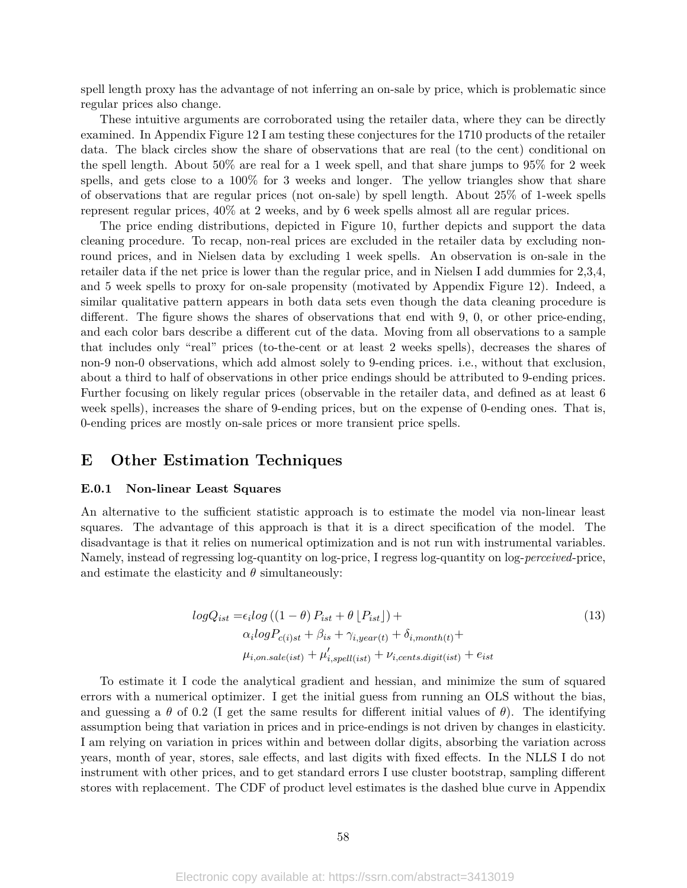spell length proxy has the advantage of not inferring an on-sale by price, which is problematic since regular prices also change.

These intuitive arguments are corroborated using the retailer data, where they can be directly examined. In Appendix Figure 12 I am testing these conjectures for the 1710 products of the retailer data. The black circles show the share of observations that are real (to the cent) conditional on the spell length. About 50% are real for a 1 week spell, and that share jumps to 95% for 2 week spells, and gets close to a 100% for 3 weeks and longer. The yellow triangles show that share of observations that are regular prices (not on-sale) by spell length. About 25% of 1-week spells represent regular prices, 40% at 2 weeks, and by 6 week spells almost all are regular prices.

The price ending distributions, depicted in Figure 10, further depicts and support the data cleaning procedure. To recap, non-real prices are excluded in the retailer data by excluding nonround prices, and in Nielsen data by excluding 1 week spells. An observation is on-sale in the retailer data if the net price is lower than the regular price, and in Nielsen I add dummies for 2,3,4, and 5 week spells to proxy for on-sale propensity (motivated by Appendix Figure 12). Indeed, a similar qualitative pattern appears in both data sets even though the data cleaning procedure is different. The figure shows the shares of observations that end with 9, 0, or other price-ending, and each color bars describe a different cut of the data. Moving from all observations to a sample that includes only "real" prices (to-the-cent or at least 2 weeks spells), decreases the shares of non-9 non-0 observations, which add almost solely to 9-ending prices. i.e., without that exclusion, about a third to half of observations in other price endings should be attributed to 9-ending prices. Further focusing on likely regular prices (observable in the retailer data, and defined as at least 6 week spells), increases the share of 9-ending prices, but on the expense of 0-ending ones. That is, 0-ending prices are mostly on-sale prices or more transient price spells.

## **E Other Estimation Techniques**

#### **E.0.1 Non-linear Least Squares**

An alternative to the sufficient statistic approach is to estimate the model via non-linear least squares. The advantage of this approach is that it is a direct specification of the model. The disadvantage is that it relies on numerical optimization and is not run with instrumental variables. Namely, instead of regressing log-quantity on log-price, I regress log-quantity on log-*perceived*-price, and estimate the elasticity and  $\theta$  simultaneously:

$$
logQ_{ist} = \epsilon_i log ((1 - \theta) P_{ist} + \theta [P_{ist}]) +
$$
  
\n
$$
\alpha_i logP_{c(i)st} + \beta_{is} + \gamma_{i, year(t)} + \delta_{i, month(t)} +
$$
  
\n
$$
\mu_{i, on, sale(ist)} + \mu'_{i, spell(ist)} + \nu_{i, cents, digit(ist)} + e_{ist}
$$
\n(13)

To estimate it I code the analytical gradient and hessian, and minimize the sum of squared errors with a numerical optimizer. I get the initial guess from running an OLS without the bias, and guessing a  $\theta$  of 0.2 (I get the same results for different initial values of  $\theta$ ). The identifying assumption being that variation in prices and in price-endings is not driven by changes in elasticity. I am relying on variation in prices within and between dollar digits, absorbing the variation across years, month of year, stores, sale effects, and last digits with fixed effects. In the NLLS I do not instrument with other prices, and to get standard errors I use cluster bootstrap, sampling different stores with replacement. The CDF of product level estimates is the dashed blue curve in Appendix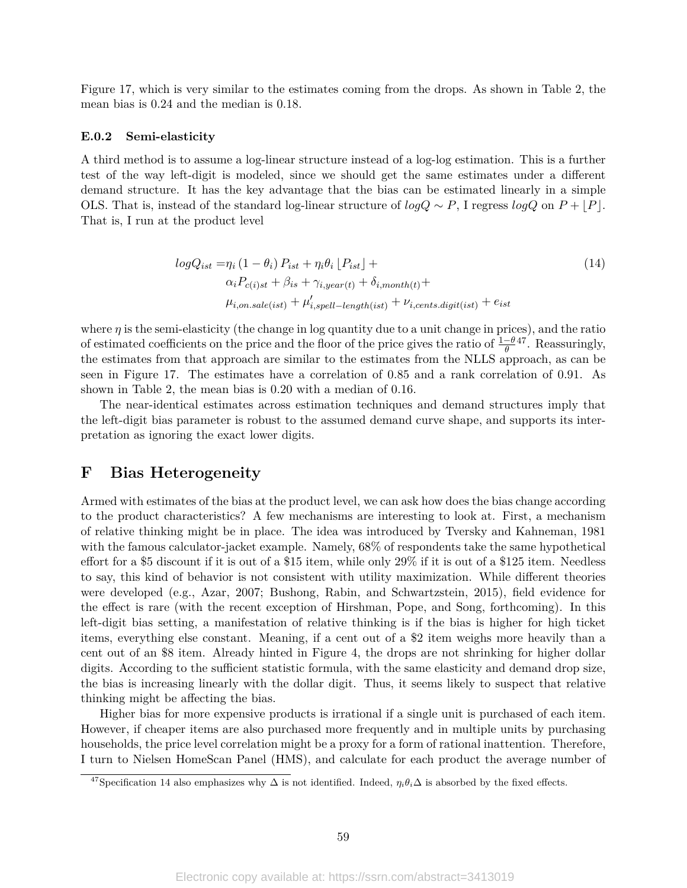Figure 17, which is very similar to the estimates coming from the drops. As shown in Table 2, the mean bias is 0.24 and the median is 0.18.

#### **E.0.2 Semi-elasticity**

A third method is to assume a log-linear structure instead of a log-log estimation. This is a further test of the way left-digit is modeled, since we should get the same estimates under a different demand structure. It has the key advantage that the bias can be estimated linearly in a simple OLS. That is, instead of the standard log-linear structure of  $logQ \sim P$ , I regress  $logQ$  on  $P + |P|$ . That is, I run at the product level

$$
logQ_{ist} = \eta_i (1 - \theta_i) P_{ist} + \eta_i \theta_i \left[ P_{ist} \right] +
$$
  
\n
$$
\alpha_i P_{c(i)st} + \beta_{is} + \gamma_{i, year(t)} + \delta_{i, month(t)} +
$$
  
\n
$$
\mu_{i, on. sale(ist)} + \mu'_{i, spell-length(ist)} + \nu_{i, cents. digit(ist)} + e_{ist}
$$
\n(14)

where  $\eta$  is the semi-elasticity (the change in log quantity due to a unit change in prices), and the ratio of estimated coefficients on the price and the floor of the price gives the ratio of  $\frac{1-\theta}{\theta}$ <sup>47</sup>. Reassuringly, the estimates from that approach are similar to the estimates from the NLLS approach, as can be seen in Figure 17. The estimates have a correlation of 0.85 and a rank correlation of 0.91. As shown in Table 2, the mean bias is 0.20 with a median of 0.16.

The near-identical estimates across estimation techniques and demand structures imply that the left-digit bias parameter is robust to the assumed demand curve shape, and supports its interpretation as ignoring the exact lower digits.

### **F Bias Heterogeneity**

Armed with estimates of the bias at the product level, we can ask how does the bias change according to the product characteristics? A few mechanisms are interesting to look at. First, a mechanism of relative thinking might be in place. The idea was introduced by Tversky and Kahneman, 1981 with the famous calculator-jacket example. Namely, 68% of respondents take the same hypothetical effort for a \$5 discount if it is out of a \$15 item, while only 29% if it is out of a \$125 item. Needless to say, this kind of behavior is not consistent with utility maximization. While different theories were developed (e.g., Azar, 2007; Bushong, Rabin, and Schwartzstein, 2015), field evidence for the effect is rare (with the recent exception of Hirshman, Pope, and Song, forthcoming). In this left-digit bias setting, a manifestation of relative thinking is if the bias is higher for high ticket items, everything else constant. Meaning, if a cent out of a \$2 item weighs more heavily than a cent out of an \$8 item. Already hinted in Figure 4, the drops are not shrinking for higher dollar digits. According to the sufficient statistic formula, with the same elasticity and demand drop size, the bias is increasing linearly with the dollar digit. Thus, it seems likely to suspect that relative thinking might be affecting the bias.

Higher bias for more expensive products is irrational if a single unit is purchased of each item. However, if cheaper items are also purchased more frequently and in multiple units by purchasing households, the price level correlation might be a proxy for a form of rational inattention. Therefore, I turn to Nielsen HomeScan Panel (HMS), and calculate for each product the average number of

<sup>&</sup>lt;sup>47</sup>Specification 14 also emphasizes why  $\Delta$  is not identified. Indeed,  $\eta_i\theta_i\Delta$  is absorbed by the fixed effects.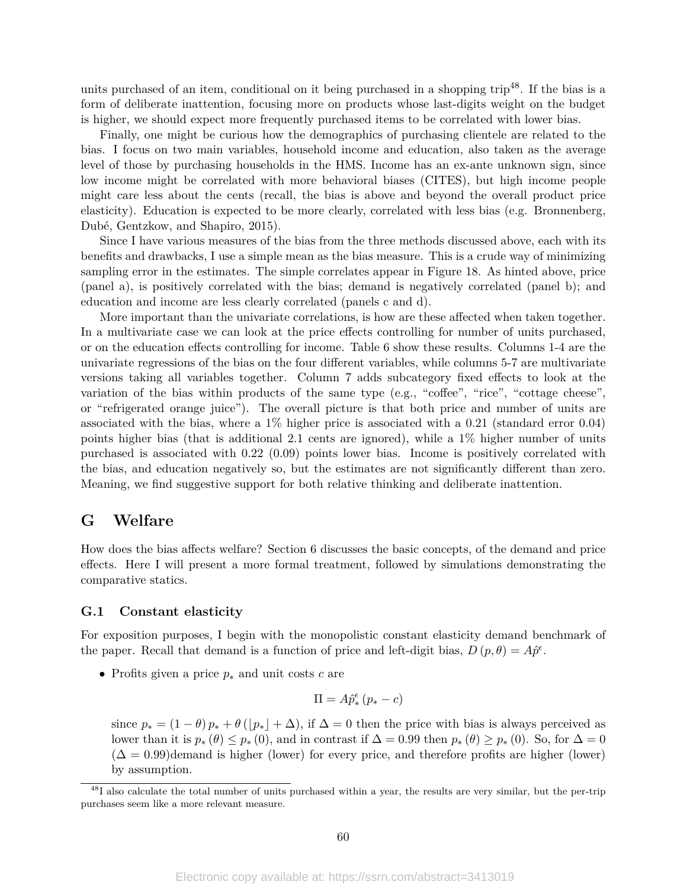units purchased of an item, conditional on it being purchased in a shopping trip<sup>48</sup>. If the bias is a form of deliberate inattention, focusing more on products whose last-digits weight on the budget is higher, we should expect more frequently purchased items to be correlated with lower bias.

Finally, one might be curious how the demographics of purchasing clientele are related to the bias. I focus on two main variables, household income and education, also taken as the average level of those by purchasing households in the HMS. Income has an ex-ante unknown sign, since low income might be correlated with more behavioral biases (CITES), but high income people might care less about the cents (recall, the bias is above and beyond the overall product price elasticity). Education is expected to be more clearly, correlated with less bias (e.g. Bronnenberg, Dubé, Gentzkow, and Shapiro, 2015).

Since I have various measures of the bias from the three methods discussed above, each with its benefits and drawbacks, I use a simple mean as the bias measure. This is a crude way of minimizing sampling error in the estimates. The simple correlates appear in Figure 18. As hinted above, price (panel a), is positively correlated with the bias; demand is negatively correlated (panel b); and education and income are less clearly correlated (panels c and d).

More important than the univariate correlations, is how are these affected when taken together. In a multivariate case we can look at the price effects controlling for number of units purchased, or on the education effects controlling for income. Table 6 show these results. Columns 1-4 are the univariate regressions of the bias on the four different variables, while columns 5-7 are multivariate versions taking all variables together. Column 7 adds subcategory fixed effects to look at the variation of the bias within products of the same type (e.g., "coffee", "rice", "cottage cheese", or "refrigerated orange juice"). The overall picture is that both price and number of units are associated with the bias, where a  $1\%$  higher price is associated with a 0.21 (standard error 0.04) points higher bias (that is additional 2.1 cents are ignored), while a  $1\%$  higher number of units purchased is associated with 0.22 (0.09) points lower bias. Income is positively correlated with the bias, and education negatively so, but the estimates are not significantly different than zero. Meaning, we find suggestive support for both relative thinking and deliberate inattention.

### **G Welfare**

How does the bias affects welfare? Section 6 discusses the basic concepts, of the demand and price effects. Here I will present a more formal treatment, followed by simulations demonstrating the comparative statics.

### **G.1 Constant elasticity**

For exposition purposes, I begin with the monopolistic constant elasticity demand benchmark of the paper. Recall that demand is a function of price and left-digit bias,  $D(p, \theta) = A\hat{p}^{\epsilon}$ .

• Profits given a price *p*<sup>∗</sup> and unit costs *c* are

$$
\Pi = A \hat{p}^{\epsilon}_* \left(p_*-c\right)
$$

since  $p_* = (1 - \theta) p_* + \theta (\lfloor p_* \rfloor + \Delta)$ , if  $\Delta = 0$  then the price with bias is always perceived as lower than it is  $p_*(\theta) \leq p_*(0)$ , and in contrast if  $\Delta = 0.99$  then  $p_*(\theta) \geq p_*(0)$ . So, for  $\Delta = 0$  $(\Delta = 0.99)$ demand is higher (lower) for every price, and therefore profits are higher (lower) by assumption.

 $^{48}I$  also calculate the total number of units purchased within a year, the results are very similar, but the per-trip purchases seem like a more relevant measure.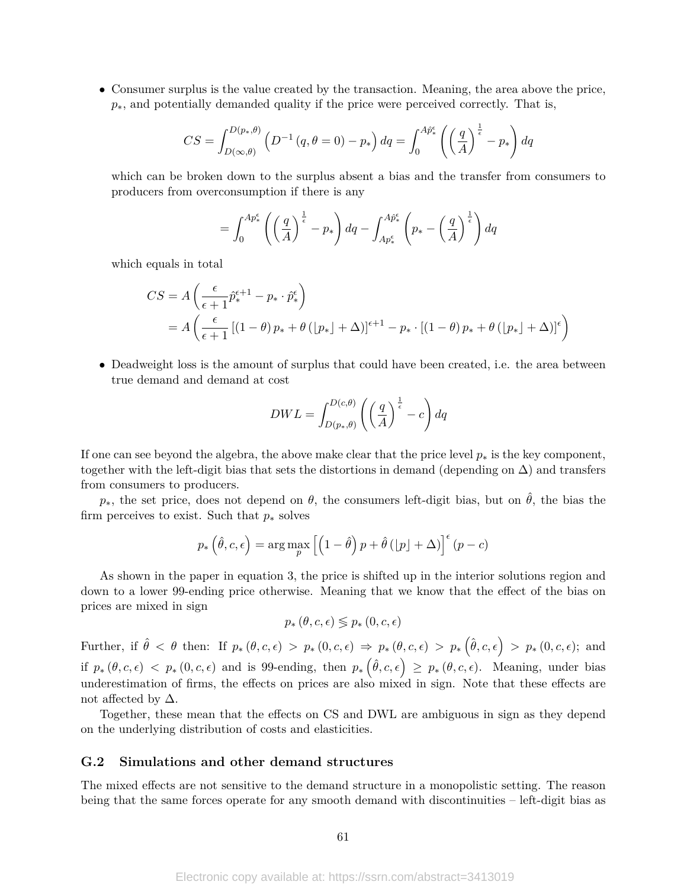• Consumer surplus is the value created by the transaction. Meaning, the area above the price, *p*<sup>∗</sup>, and potentially demanded quality if the price were perceived correctly. That is,

$$
CS = \int_{D(\infty,\theta)}^{D(p_*,\theta)} \left( D^{-1}(q,\theta=0) - p_* \right) dq = \int_0^{A\hat{p}^{\epsilon}_*} \left( \left( \frac{q}{A} \right)^{\frac{1}{\epsilon}} - p_* \right) dq
$$

which can be broken down to the surplus absent a bias and the transfer from consumers to producers from overconsumption if there is any

$$
= \int_0^{Ap_*^{\epsilon}} \left( \left( \frac{q}{A} \right)^{\frac{1}{\epsilon}} - p_* \right) dq - \int_{Ap_*^{\epsilon}}^{Ap_*^{\epsilon}} \left( p_* - \left( \frac{q}{A} \right)^{\frac{1}{\epsilon}} \right) dq
$$

which equals in total

$$
CS = A \left( \frac{\epsilon}{\epsilon + 1} \hat{p}_*^{\epsilon + 1} - p_* \cdot \hat{p}_*^{\epsilon} \right)
$$
  
=  $A \left( \frac{\epsilon}{\epsilon + 1} \left[ (1 - \theta) p_* + \theta \left( p_* \right] + \Delta \right) \right]^{\epsilon + 1} - p_* \cdot \left[ (1 - \theta) p_* + \theta \left( p_* \right] + \Delta \right]^{\epsilon} \right)$ 

• Deadweight loss is the amount of surplus that could have been created, i.e. the area between true demand and demand at cost

$$
DWL = \int_{D(p_*,\theta)}^{D(c,\theta)} \left( \left(\frac{q}{A}\right)^{\frac{1}{\epsilon}} - c \right) dq
$$

If one can see beyond the algebra, the above make clear that the price level  $p_*$  is the key component, together with the left-digit bias that sets the distortions in demand (depending on  $\Delta$ ) and transfers from consumers to producers.

 $p_{*}$ , the set price, does not depend on  $\theta$ , the consumers left-digit bias, but on  $\hat{\theta}$ , the bias the firm perceives to exist. Such that *p*<sup>∗</sup> solves

$$
p_*\left(\hat{\theta}, c, \epsilon\right) = \arg\max_{p} \left[ \left(1 - \hat{\theta}\right) p + \hat{\theta}\left(\lfloor p \rfloor + \Delta\right) \right]^{\epsilon} (p - c)
$$

As shown in the paper in equation 3, the price is shifted up in the interior solutions region and down to a lower 99-ending price otherwise. Meaning that we know that the effect of the bias on prices are mixed in sign

$$
p_*\left(\theta, c, \epsilon\right) \lessgtr p_*\left(0, c, \epsilon\right)
$$

Further, if  $\hat{\theta} < \theta$  then: If  $p_*(\theta, c, \epsilon) > p_*(0, c, \epsilon) \Rightarrow p_*(\theta, c, \epsilon) > p_*(\hat{\theta}, c, \epsilon) > p_*(0, c, \epsilon);$  and if  $p_*(\theta, c, \epsilon) < p_*(0, c, \epsilon)$  and is 99-ending, then  $p_*(\hat{\theta}, c, \epsilon) \ge p_*(\theta, c, \epsilon)$ . Meaning, under bias underestimation of firms, the effects on prices are also mixed in sign. Note that these effects are not affected by  $\Delta$ .

Together, these mean that the effects on CS and DWL are ambiguous in sign as they depend on the underlying distribution of costs and elasticities.

### **G.2 Simulations and other demand structures**

The mixed effects are not sensitive to the demand structure in a monopolistic setting. The reason being that the same forces operate for any smooth demand with discontinuities – left-digit bias as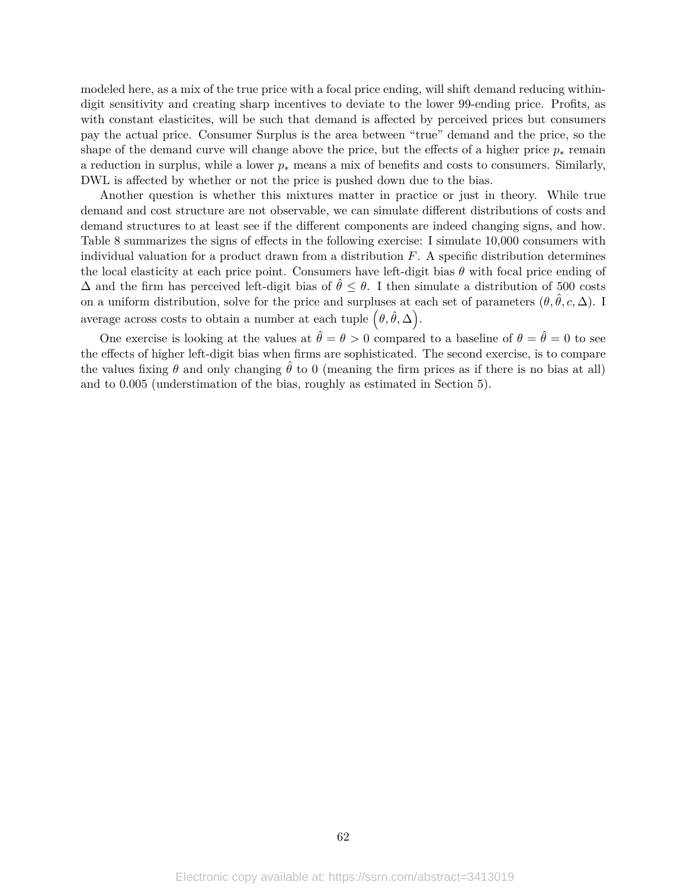modeled here, as a mix of the true price with a focal price ending, will shift demand reducing withindigit sensitivity and creating sharp incentives to deviate to the lower 99-ending price. Profits, as with constant elasticites, will be such that demand is affected by perceived prices but consumers pay the actual price. Consumer Surplus is the area between "true" demand and the price, so the shape of the demand curve will change above the price, but the effects of a higher price  $p_*$  remain a reduction in surplus, while a lower  $p_*$  means a mix of benefits and costs to consumers. Similarly, DWL is affected by whether or not the price is pushed down due to the bias.

Another question is whether this mixtures matter in practice or just in theory. While true demand and cost structure are not observable, we can simulate different distributions of costs and demand structures to at least see if the different components are indeed changing signs, and how. Table 8 summarizes the signs of effects in the following exercise: I simulate 10,000 consumers with individual valuation for a product drawn from a distribution *F*. A specific distribution determines the local elasticity at each price point. Consumers have left-digit bias *θ* with focal price ending of  $\Delta$  and the firm has perceived left-digit bias of  $\hat{\theta} \leq \theta$ . I then simulate a distribution of 500 costs on a uniform distribution, solve for the price and surpluses at each set of parameters  $(\theta, \hat{\theta}, c, \Delta)$ . I average across costs to obtain a number at each tuple  $(\theta, \hat{\theta}, \Delta)$ .

One exercise is looking at the values at  $\hat{\theta} = \theta > 0$  compared to a baseline of  $\theta = \hat{\theta} = 0$  to see the effects of higher left-digit bias when firms are sophisticated. The second exercise, is to compare the values fixing  $\theta$  and only changing  $\hat{\theta}$  to 0 (meaning the firm prices as if there is no bias at all) and to 0.005 (understimation of the bias, roughly as estimated in Section 5).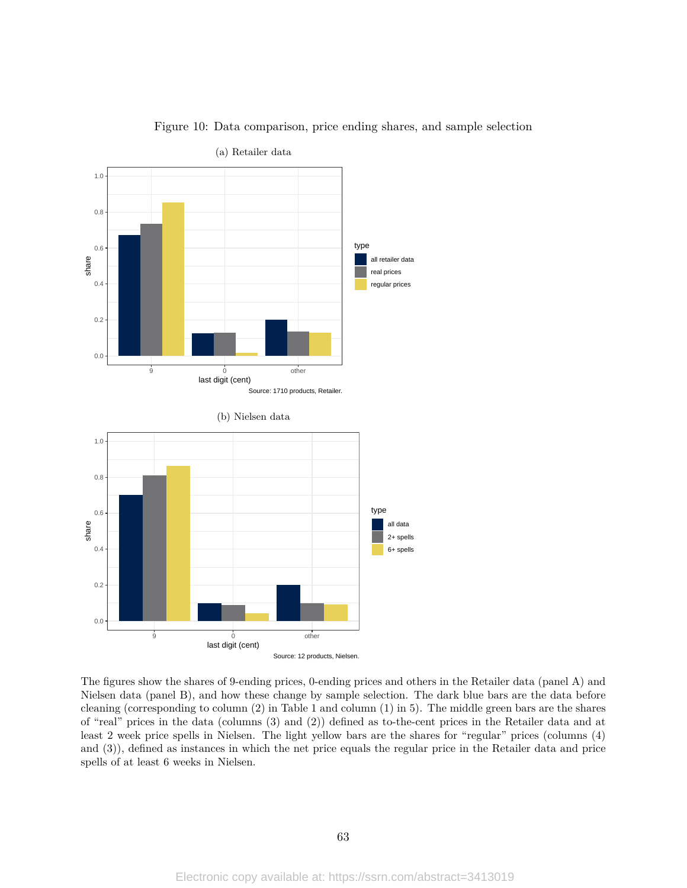

Figure 10: Data comparison, price ending shares, and sample selection

The figures show the shares of 9-ending prices, 0-ending prices and others in the Retailer data (panel A) and Nielsen data (panel B), and how these change by sample selection. The dark blue bars are the data before cleaning (corresponding to column (2) in Table 1 and column (1) in 5). The middle green bars are the shares of "real" prices in the data (columns (3) and (2)) defined as to-the-cent prices in the Retailer data and at least 2 week price spells in Nielsen. The light yellow bars are the shares for "regular" prices (columns (4) and (3)), defined as instances in which the net price equals the regular price in the Retailer data and price spells of at least 6 weeks in Nielsen.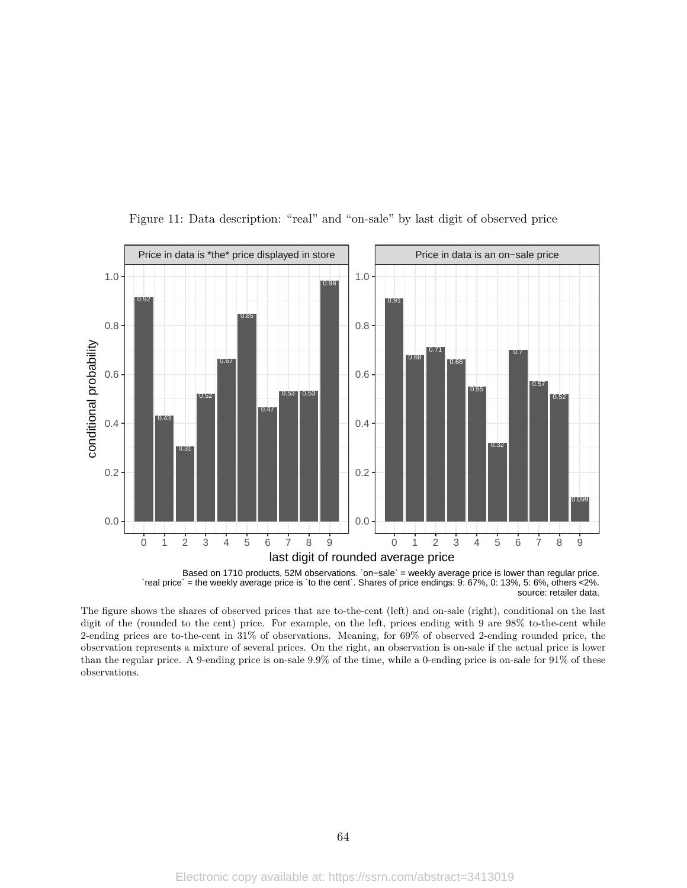

Figure 11: Data description: "real" and "on-sale" by last digit of observed price

`real price` = the weekly average price is `to the cent`. Shares of price endings: 9: 67%, 0: 13%, 5: 6%, others <2%. source: retailer data.

The figure shows the shares of observed prices that are to-the-cent (left) and on-sale (right), conditional on the last digit of the (rounded to the cent) price. For example, on the left, prices ending with 9 are 98% to-the-cent while 2-ending prices are to-the-cent in 31% of observations. Meaning, for 69% of observed 2-ending rounded price, the observation represents a mixture of several prices. On the right, an observation is on-sale if the actual price is lower than the regular price. A 9-ending price is on-sale 9.9% of the time, while a 0-ending price is on-sale for 91% of these observations.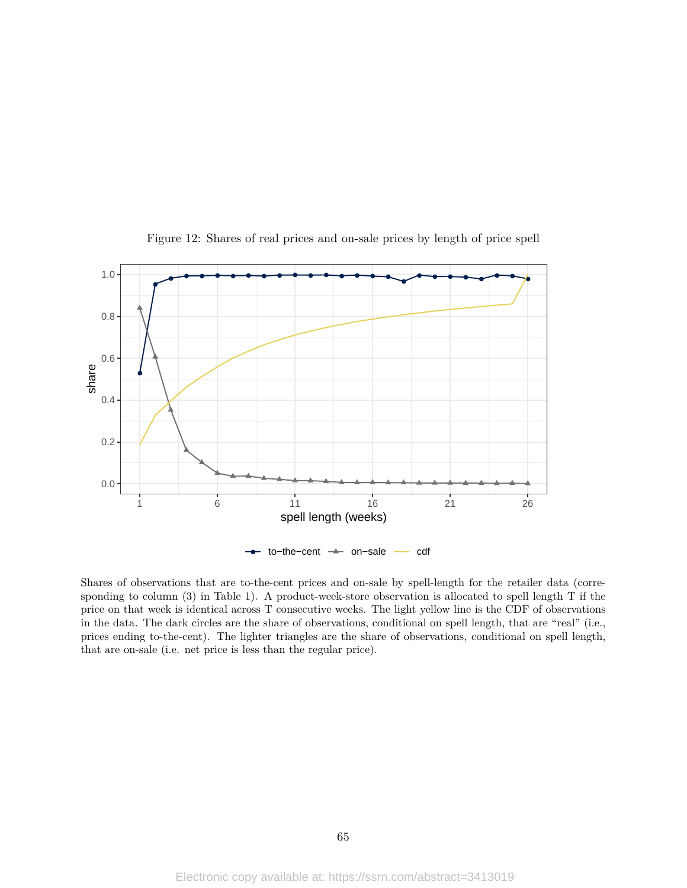

Figure 12: Shares of real prices and on-sale prices by length of price spell

Shares of observations that are to-the-cent prices and on-sale by spell-length for the retailer data (corresponding to column (3) in Table 1). A product-week-store observation is allocated to spell length T if the price on that week is identical across T consecutive weeks. The light yellow line is the CDF of observations in the data. The dark circles are the share of observations, conditional on spell length, that are "real" (i.e., prices ending to-the-cent). The lighter triangles are the share of observations, conditional on spell length, that are on-sale (i.e. net price is less than the regular price).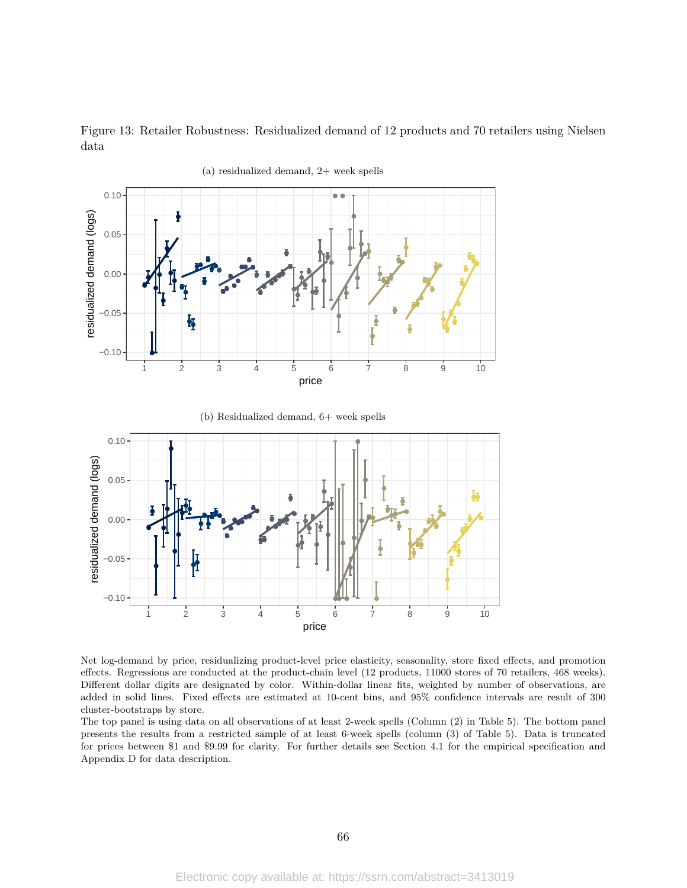Figure 13: Retailer Robustness: Residualized demand of 12 products and 70 retailers using Nielsen data



(a) residualized demand, 2+ week spells

Net log-demand by price, residualizing product-level price elasticity, seasonality, store fixed effects, and promotion effects. Regressions are conducted at the product-chain level (12 products, 11000 stores of 70 retailers, 468 weeks). Different dollar digits are designated by color. Within-dollar linear fits, weighted by number of observations, are added in solid lines. Fixed effects are estimated at 10-cent bins, and 95% confidence intervals are result of 300 cluster-bootstraps by store.

The top panel is using data on all observations of at least 2-week spells (Column (2) in Table 5). The bottom panel presents the results from a restricted sample of at least 6-week spells (column (3) of Table 5). Data is truncated for prices between \$1 and \$9.99 for clarity. For further details see Section 4.1 for the empirical specification and Appendix D for data description.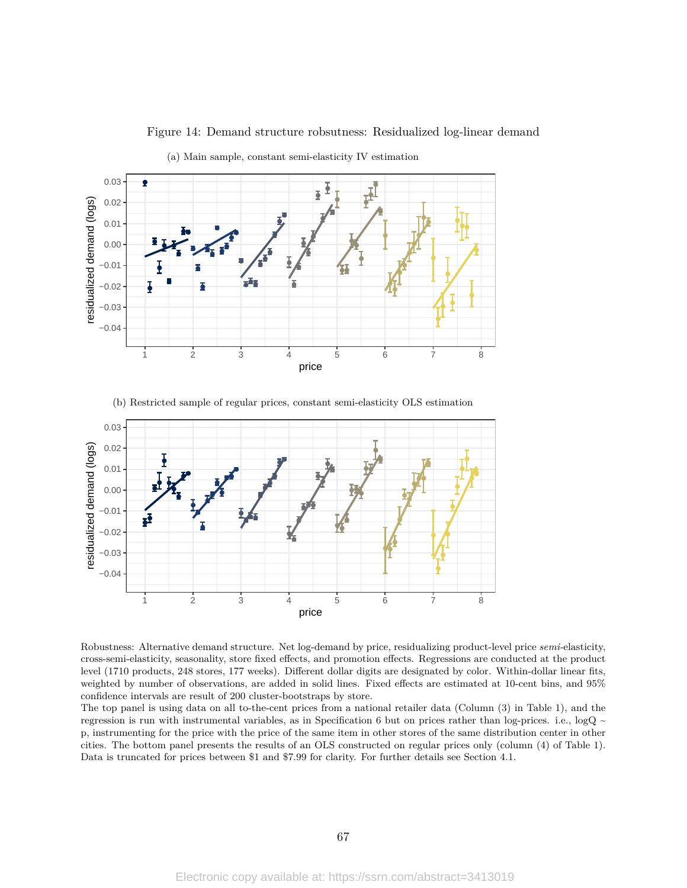

Figure 14: Demand structure robsutness: Residualized log-linear demand

(a) Main sample, constant semi-elasticity IV estimation

(b) Restricted sample of regular prices, constant semi-elasticity OLS estimation



Robustness: Alternative demand structure. Net log-demand by price, residualizing product-level price *semi-*elasticity, cross-semi-elasticity, seasonality, store fixed effects, and promotion effects. Regressions are conducted at the product level (1710 products, 248 stores, 177 weeks). Different dollar digits are designated by color. Within-dollar linear fits, weighted by number of observations, are added in solid lines. Fixed effects are estimated at 10-cent bins, and 95% confidence intervals are result of 200 cluster-bootstraps by store.

The top panel is using data on all to-the-cent prices from a national retailer data (Column (3) in Table 1), and the regression is run with instrumental variables, as in Specification 6 but on prices rather than log-prices. i.e.,  $logQ \sim$ p, instrumenting for the price with the price of the same item in other stores of the same distribution center in other cities. The bottom panel presents the results of an OLS constructed on regular prices only (column (4) of Table 1). Data is truncated for prices between \$1 and \$7.99 for clarity. For further details see Section 4.1.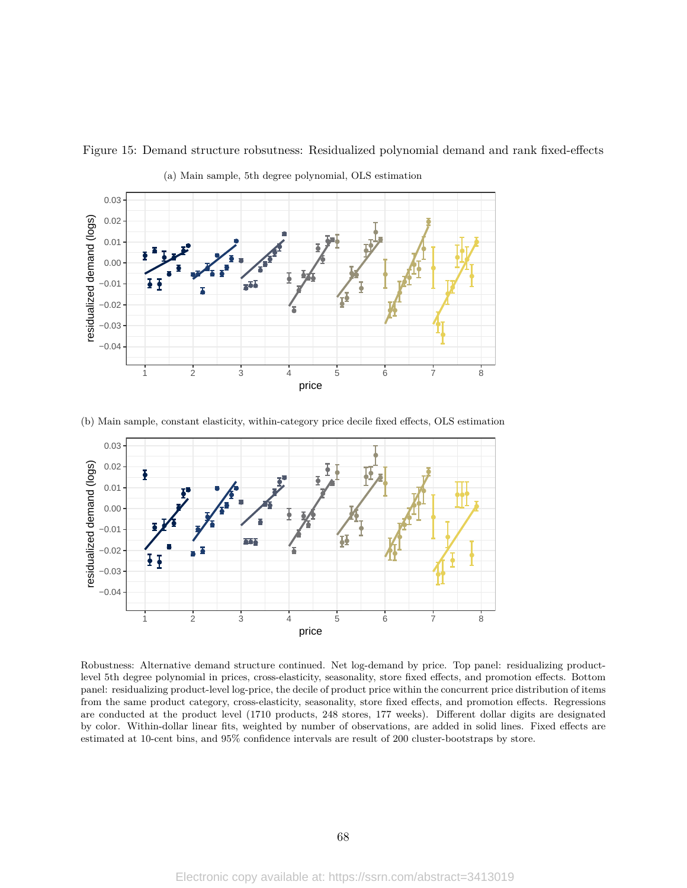

Figure 15: Demand structure robsutness: Residualized polynomial demand and rank fixed-effects

(b) Main sample, constant elasticity, within-category price decile fixed effects, OLS estimation



Robustness: Alternative demand structure continued. Net log-demand by price. Top panel: residualizing productlevel 5th degree polynomial in prices, cross-elasticity, seasonality, store fixed effects, and promotion effects. Bottom panel: residualizing product-level log-price, the decile of product price within the concurrent price distribution of items from the same product category, cross-elasticity, seasonality, store fixed effects, and promotion effects. Regressions are conducted at the product level (1710 products, 248 stores, 177 weeks). Different dollar digits are designated by color. Within-dollar linear fits, weighted by number of observations, are added in solid lines. Fixed effects are estimated at 10-cent bins, and 95% confidence intervals are result of 200 cluster-bootstraps by store.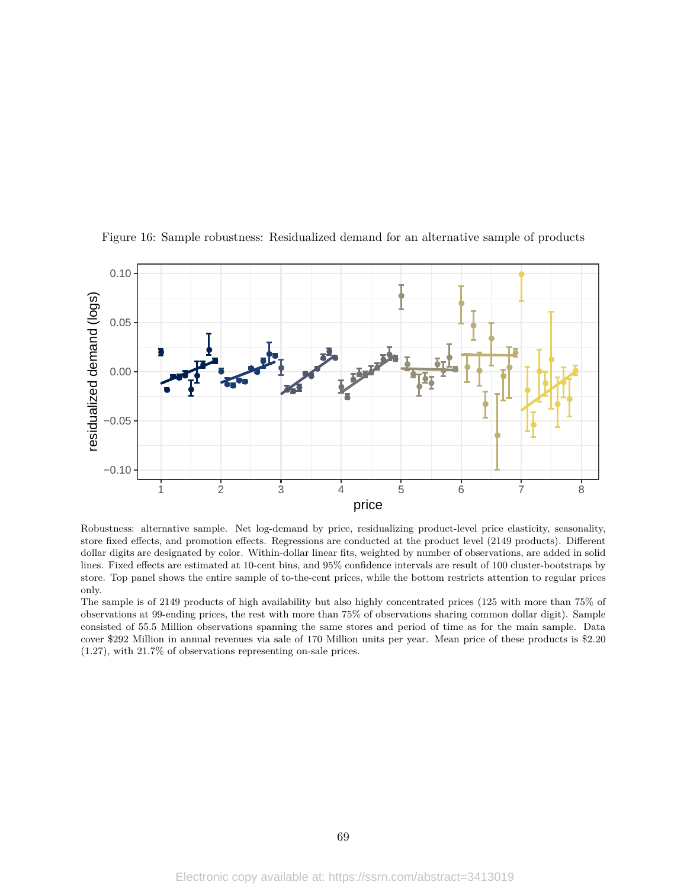

Figure 16: Sample robustness: Residualized demand for an alternative sample of products

Robustness: alternative sample. Net log-demand by price, residualizing product-level price elasticity, seasonality, store fixed effects, and promotion effects. Regressions are conducted at the product level (2149 products). Different dollar digits are designated by color. Within-dollar linear fits, weighted by number of observations, are added in solid lines. Fixed effects are estimated at 10-cent bins, and 95% confidence intervals are result of 100 cluster-bootstraps by store. Top panel shows the entire sample of to-the-cent prices, while the bottom restricts attention to regular prices only.

The sample is of 2149 products of high availability but also highly concentrated prices (125 with more than 75% of observations at 99-ending prices, the rest with more than 75% of observations sharing common dollar digit). Sample consisted of 55.5 Million observations spanning the same stores and period of time as for the main sample. Data cover \$292 Million in annual revenues via sale of 170 Million units per year. Mean price of these products is \$2.20 (1.27), with 21.7% of observations representing on-sale prices.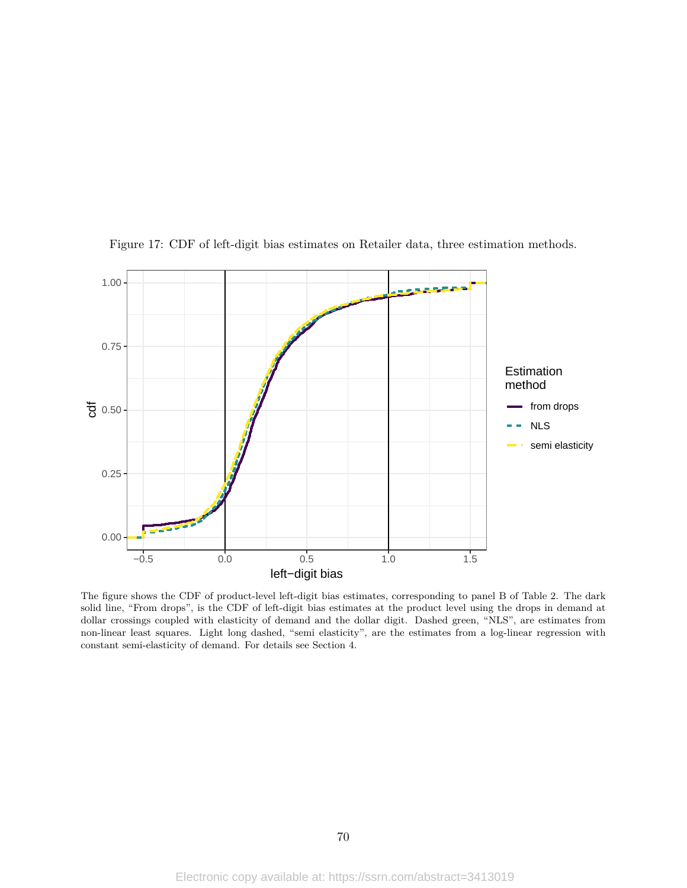

Figure 17: CDF of left-digit bias estimates on Retailer data, three estimation methods.

The figure shows the CDF of product-level left-digit bias estimates, corresponding to panel B of Table 2. The dark solid line, "From drops", is the CDF of left-digit bias estimates at the product level using the drops in demand at dollar crossings coupled with elasticity of demand and the dollar digit. Dashed green, "NLS", are estimates from non-linear least squares. Light long dashed, "semi elasticity", are the estimates from a log-linear regression with constant semi-elasticity of demand. For details see Section 4.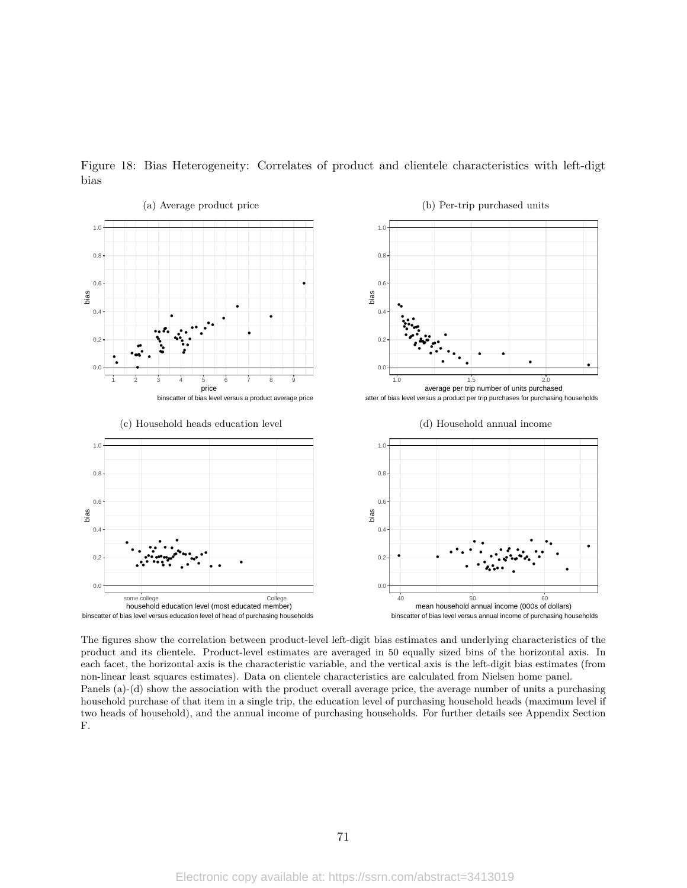

Figure 18: Bias Heterogeneity: Correlates of product and clientele characteristics with left-digt bias

The figures show the correlation between product-level left-digit bias estimates and underlying characteristics of the product and its clientele. Product-level estimates are averaged in 50 equally sized bins of the horizontal axis. In each facet, the horizontal axis is the characteristic variable, and the vertical axis is the left-digit bias estimates (from non-linear least squares estimates). Data on clientele characteristics are calculated from Nielsen home panel. Panels (a)-(d) show the association with the product overall average price, the average number of units a purchasing household purchase of that item in a single trip, the education level of purchasing household heads (maximum level if two heads of household), and the annual income of purchasing households. For further details see Appendix Section F.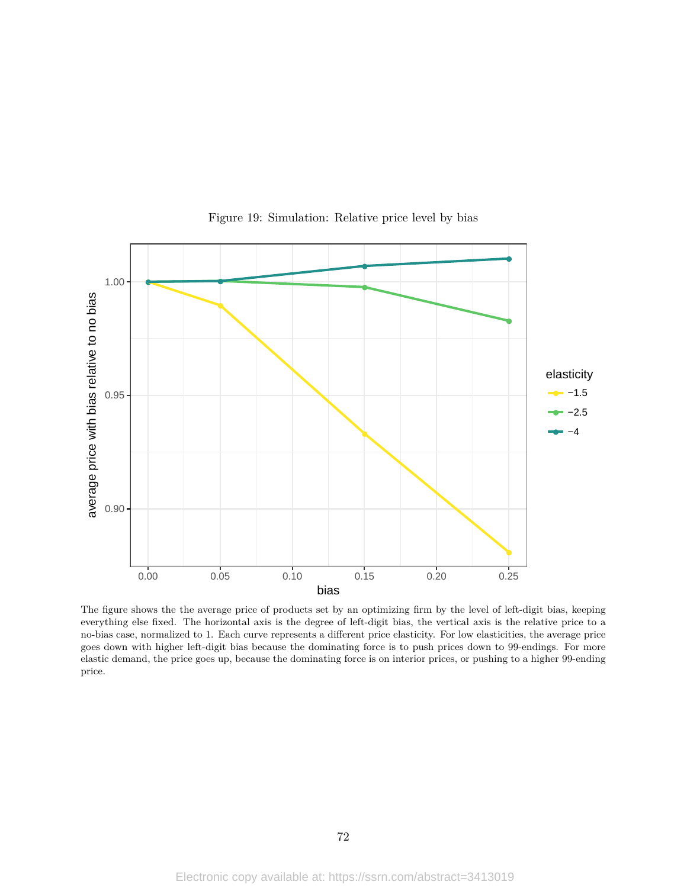

Figure 19: Simulation: Relative price level by bias

The figure shows the the average price of products set by an optimizing firm by the level of left-digit bias, keeping everything else fixed. The horizontal axis is the degree of left-digit bias, the vertical axis is the relative price to a no-bias case, normalized to 1. Each curve represents a different price elasticity. For low elasticities, the average price goes down with higher left-digit bias because the dominating force is to push prices down to 99-endings. For more elastic demand, the price goes up, because the dominating force is on interior prices, or pushing to a higher 99-ending price.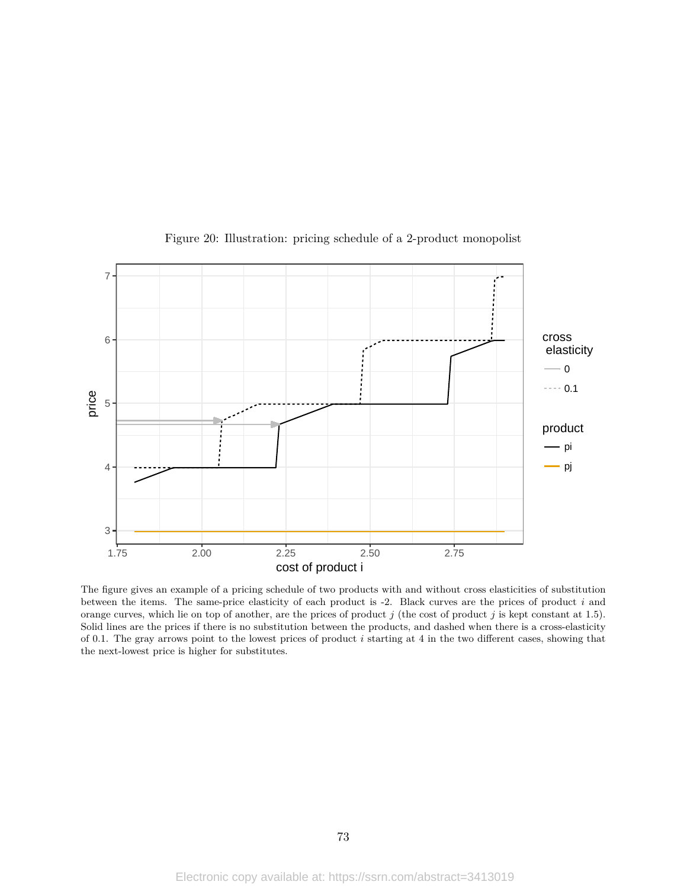

Figure 20: Illustration: pricing schedule of a 2-product monopolist

The figure gives an example of a pricing schedule of two products with and without cross elasticities of substitution between the items. The same-price elasticity of each product is -2. Black curves are the prices of product *i* and orange curves, which lie on top of another, are the prices of product *j* (the cost of product *j* is kept constant at 1.5). Solid lines are the prices if there is no substitution between the products, and dashed when there is a cross-elasticity of 0.1. The gray arrows point to the lowest prices of product *i* starting at 4 in the two different cases, showing that the next-lowest price is higher for substitutes.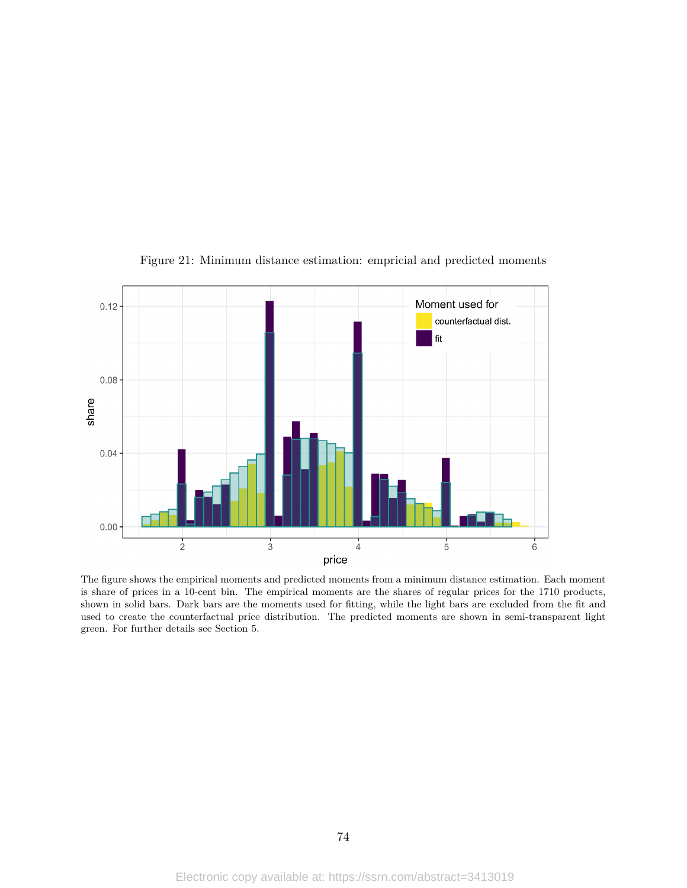

Figure 21: Minimum distance estimation: empricial and predicted moments

The figure shows the empirical moments and predicted moments from a minimum distance estimation. Each moment is share of prices in a 10-cent bin. The empirical moments are the shares of regular prices for the 1710 products, shown in solid bars. Dark bars are the moments used for fitting, while the light bars are excluded from the fit and used to create the counterfactual price distribution. The predicted moments are shown in semi-transparent light green. For further details see Section 5.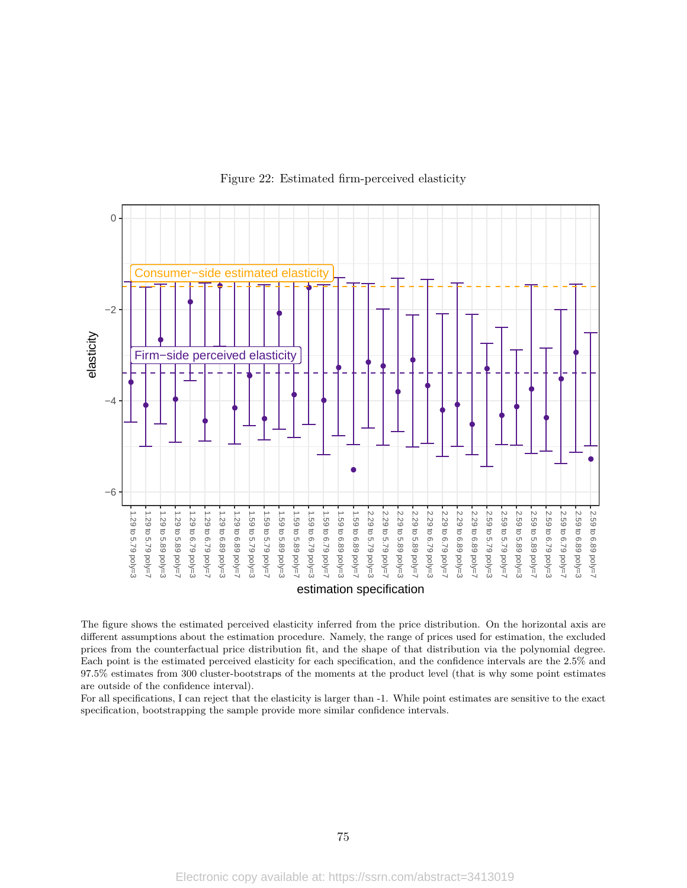

## Figure 22: Estimated firm-perceived elasticity

The figure shows the estimated perceived elasticity inferred from the price distribution. On the horizontal axis are different assumptions about the estimation procedure. Namely, the range of prices used for estimation, the excluded prices from the counterfactual price distribution fit, and the shape of that distribution via the polynomial degree. Each point is the estimated perceived elasticity for each specification, and the confidence intervals are the 2.5% and 97.5% estimates from 300 cluster-bootstraps of the moments at the product level (that is why some point estimates are outside of the confidence interval).

For all specifications, I can reject that the elasticity is larger than -1. While point estimates are sensitive to the exact specification, bootstrapping the sample provide more similar confidence intervals.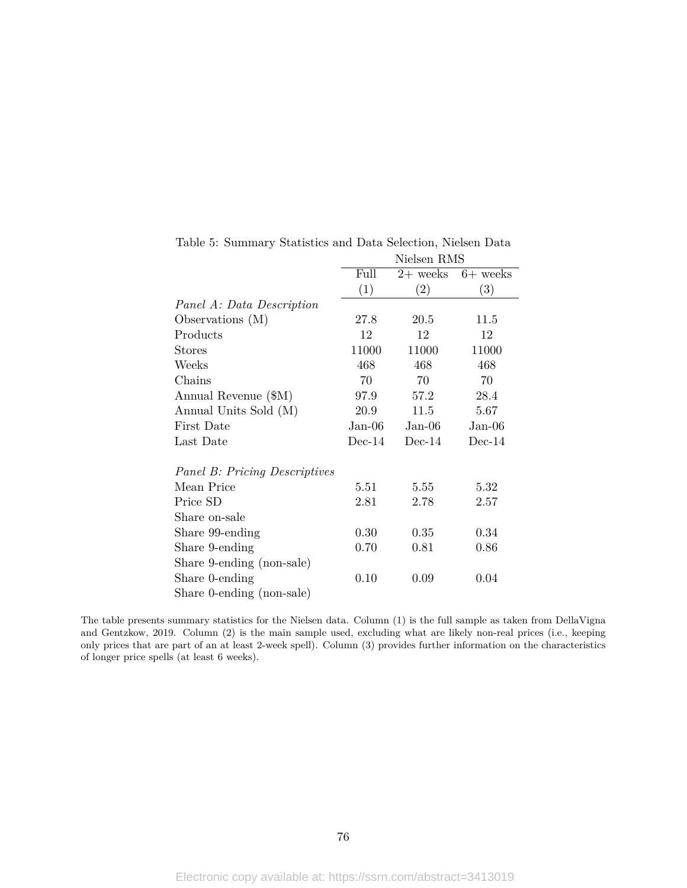|                                      |          | Nielsen RMS |            |  |  |
|--------------------------------------|----------|-------------|------------|--|--|
|                                      | Full     | $2+$ weeks  | $6+$ weeks |  |  |
|                                      | (1)      | (2)         | (3)        |  |  |
| Panel A: Data Description            |          |             |            |  |  |
| Observations $(M)$                   | 27.8     | 20.5        | 11.5       |  |  |
| Products                             | 12       | 12          | 12         |  |  |
| <b>Stores</b>                        | 11000    | 11000       | 11000      |  |  |
| Weeks                                | 468      | 468         | 468        |  |  |
| Chains                               | 70       | 70          | 70         |  |  |
| Annual Revenue (\$M)                 | 97.9     | 57.2        | 28.4       |  |  |
| Annual Units Sold (M)                | 20.9     | 11.5        | 5.67       |  |  |
| First Date                           | $Jan-06$ | $Jan-06$    | $Jan-06$   |  |  |
| Last Date                            | $Dec-14$ | $Dec-14$    | $Dec-14$   |  |  |
| <b>Panel B: Pricing Descriptives</b> |          |             |            |  |  |
| Mean Price                           | 5.51     | 5.55        | 5.32       |  |  |
| Price SD                             | 2.81     | 2.78        | 2.57       |  |  |
| Share on-sale                        |          |             |            |  |  |
| Share 99-ending                      | 0.30     | 0.35        | 0.34       |  |  |
| Share 9-ending                       | 0.70     | 0.81        | 0.86       |  |  |
| Share 9-ending (non-sale)            |          |             |            |  |  |
| Share 0-ending                       | 0.10     | 0.09        | 0.04       |  |  |
| Share 0-ending (non-sale)            |          |             |            |  |  |

Table 5: Summary Statistics and Data Selection, Nielsen Data

The table presents summary statistics for the Nielsen data. Column (1) is the full sample as taken from DellaVigna and Gentzkow, 2019. Column (2) is the main sample used, excluding what are likely non-real prices (i.e., keeping only prices that are part of an at least 2-week spell). Column (3) provides further information on the characteristics of longer price spells (at least 6 weeks).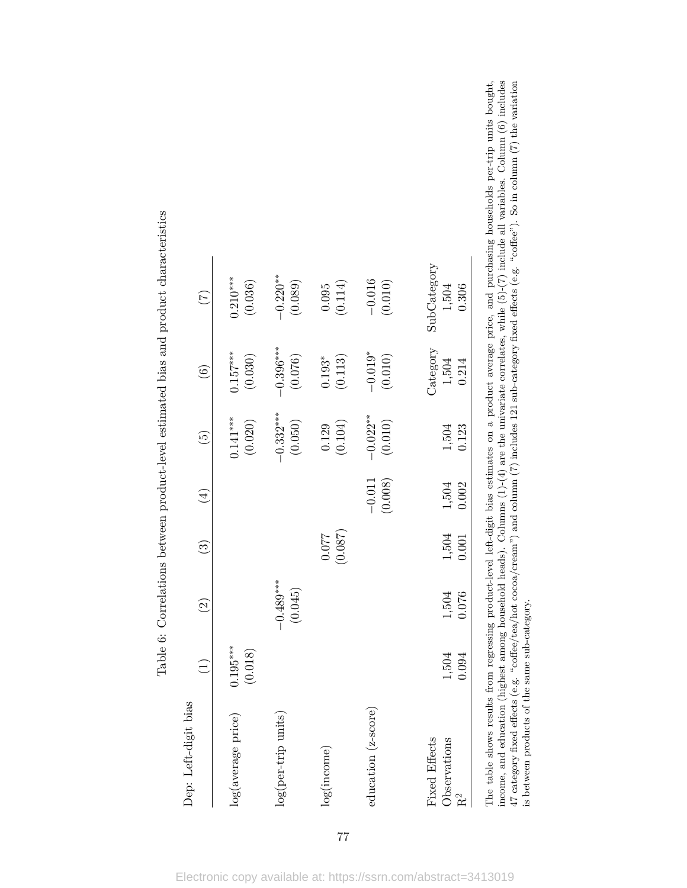| Dep: Left-digit bias                            | $\widehat{\Xi}$       | $\widetilde{c}$        | $\widehat{S}$    | $(\pm)$             | $\widetilde{5}$        | $\widehat{\odot}$                      | $(\overline{z})$              |  |
|-------------------------------------------------|-----------------------|------------------------|------------------|---------------------|------------------------|----------------------------------------|-------------------------------|--|
| log(average price)                              | $0.195***$<br>(0.018) |                        |                  |                     | $0.141***$<br>(0.020)  | $0.157***$<br>(0.030)                  | $0.210***$<br>(0.036)         |  |
| log(per-trip units)                             |                       | $-0.489***$<br>(0.045) |                  |                     | $-0.332***$<br>(0.050) | $-0.396***$<br>(0.076)                 | $-0.220**$<br>(0.089)         |  |
| log(income)                                     |                       |                        | (0.087)<br>0.077 |                     | $(0.129)$<br>(0.104)   | $\left(0.113\right)$<br>$0.193^{\ast}$ | (0.114)<br>0.095              |  |
| education (z-score)                             |                       |                        |                  | $-0.011$<br>(0.008) | $-0.022**$<br>(0.010)  | $-0.019*$<br>(0.010)                   | $-0.016$<br>(0.010)           |  |
| Fixed Effects<br>Observations<br>R <sup>2</sup> | 1,504<br>0.094        | 1,504<br>0.076         | 1,504<br>0.001   | 0.002<br>1,504      | 0.123<br>1,504         | Category<br>1,504<br>0.214             | SubCategory<br>1,504<br>0.306 |  |

Table 6: Correlations between product-level estimated bias and product characteristics Table 6: Correlations between product-level estimated bias and product characteristics The table shows results from regressing product-level left-digit bias estimates on a product average price, and purchasing households per-trip units bought,<br>income, and education (highest among household heads). Columns ( income, and education (highest among household heads). Columns (1)-(4) are the univariate correlates, while (5)-(7) include all variables. Column (6) includes 47 category fixed effects (e.g. "coffee/tea/hot cocoa/cream") and column (7) includes 121 sub-category fixed effects (e.g. "coffee"). So in column (7) the variation The table shows results from regressing product-level left-digit bias estimates on a product average price, and purchasing households per-trip units bought, is between products of the same sub-category.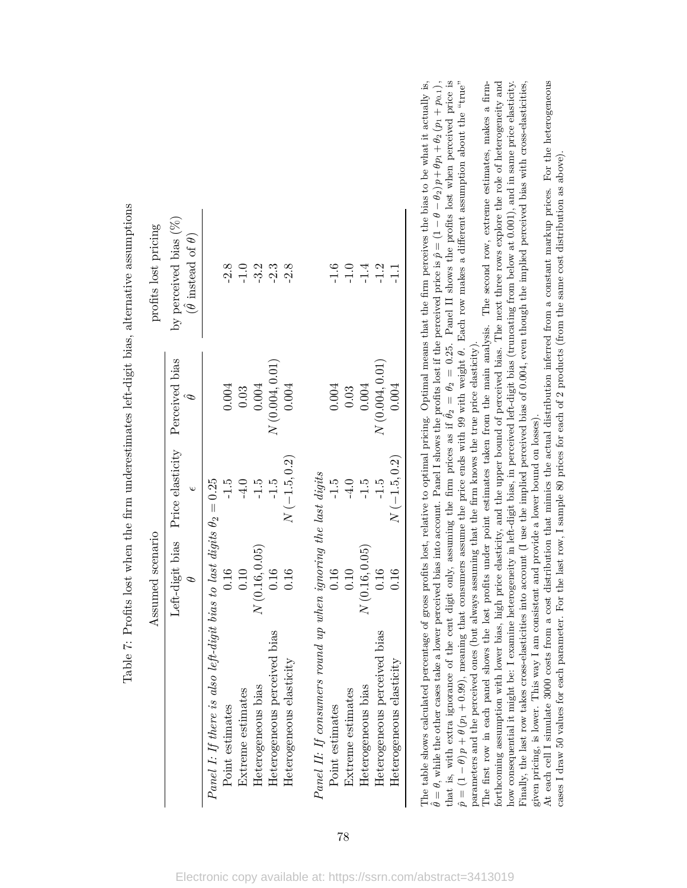| profits lost pricing | by perceived bias (%)<br>$(\hat{\theta}$ instead of $\theta)$ |                                                        | $-2.8$          | $-1.0$            | $-3.2$             | $-2.3$                          | $-2.8$                      |                                                               | $-1.6$          | $-1.0$            | $-1.4$             | $-1.2$                          |                             |
|----------------------|---------------------------------------------------------------|--------------------------------------------------------|-----------------|-------------------|--------------------|---------------------------------|-----------------------------|---------------------------------------------------------------|-----------------|-------------------|--------------------|---------------------------------|-----------------------------|
|                      |                                                               |                                                        | 0.004           | 0.03              | 0.004              | $N\left(0.004,0.01\right)$      | 0.004                       |                                                               | 0.004           | 0.03              | 0.004              | N(0.004, 0.01)                  | 0.004                       |
|                      | Left-digit bias Price elasticity Perceived bias               |                                                        | $-1.5$          | $-4.0$            | $-1.5$             | $-1.5$                          | $N(-1.5,0.2)$               |                                                               | $-1.5$          | $-4.0$            | $-1.5$             | $-1.5$                          | $N(-1.5, 0.2)$              |
| Assumed scenario     |                                                               | is also left-digit bias to last digits $\theta_2=0.25$ | 0.16            | 0.10              | N(0.16, 0.05)      | 0.16                            | 0.16                        |                                                               | 0.16            | 0.10              | N(0.16, 0.05)      | 0.16                            | 0.16                        |
|                      |                                                               | Panel I: If there                                      | Point estimates | Extreme estimates | Heterogeneous bias | perceived bias<br>Heterogeneous | elasticity<br>Heterogeneous | Panel II: If consumers round up when ignoring the last digits | Point estimates | Extreme estimates | Heterogeneous bias | perceived bias<br>Heterogeneous | elasticity<br>Heterogeneous |

Table 7: Profits lost when the firm underestimates left-digit bias, alternative assumptions Table 7: Profits lost when the firm underestimates left-digit bias, alternative assumptions The table shows calculated percentage of gross profits lost, relative to optimal pricing. Optimal means that the firm perceives the bias to be what it actually is, ˆ*θ* = *θ*, while the other cases take a lower perceived bias into account. Panel I shows the profits lost if the perceived price is ˆ*p* = (1  $- θ - θ<sub>2</sub>$ )  $p$ <br><del>C</del>+ +*θp*1 +*θ*2 (*p*1 + *p*0*.*1)*,* that is, with extra ignorance of the cent digit only, assuming the firm prices as if  $\hat{\theta}_2 = \theta_2 = 0.25$ . Panel II shows the profits lost when perceived price is  $\hat{\theta}_2 = \theta_2 = 0.25$ . Panel II shows the profits lost when perceived price is  $\hat{p} = (1$  *θ*) *p* + *θ* (*p*1 + 0*.*99), meaning that consumers assume the price ends with 99 with weight *θ*. Each row makes a different assumption about the "true" parameters and the perceived ones (but always assuming that the firm knows the true price elasticity).

forthcoming assumption with lower bias, high price elasticity, and the upper bound of perceived bias. The next three rows explore the role of heterogeneity and how consequential it might be: I examine heterogeneity in left-digit bias, in perceived left-digit bias (truncating from below at 0.001), and in same price elasticity. The first row in each panel shows the lost profits under point estimates taken from the main analysis. The second row, extreme estimates, makes a firm-The first row in each panel shows the lost profits under point estimates taken from the main analysis. The second row, extreme estimates, makes a firmforthcoming assumption with lower bias, high price elasticity, and the upper bound of perceived bias. The next three rows explore the role of heterogeneity and Finally, the last row takes cross-elasticities into account (I use the implied perceived bias of 0.004, even though the implied perceived bias with cross-elasticities, how consequential it might be: I examine heterogeneity in left-digit bias, in perceived left-digit bias (truncating from below at 0.001), and in same price elasticity. Finally, the last row takes cross-elasticities into account (I use the implied perceived bias of 0.004, even though the implied perceived bias with cross-elasticities, given pricing, is lower. This way I am consistent and provide a lower bound on losses). given pricing, is lower. This way I am consistent and provide a lower bound on losses).

At each cell I simulate 3000 costs from a cost distribution that mimics the actual distribution inferred from a constant markup prices. For the heterogeneous At each cell I simulate 3000 costs from a cost distribution that mimics the actual distribution inferred from a constant markup prices. For the heterogeneous cases I draw 50 values for each parameter. For the last row, I sample 80 prices for each of 2 products (from the same cost distribution as above). cases I draw 50 values for each parameter. For the last row, I sample 80 prices for each of 2 products (from the same cost distribution as above).